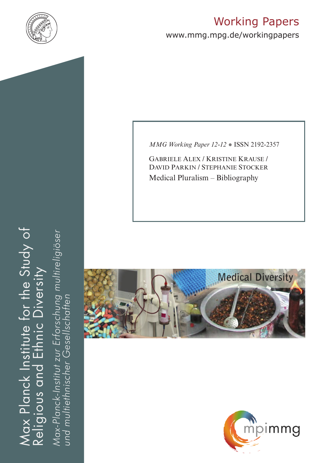

# Working Papers

www.mmg.mpg.de/workingpapers

*MMG Working Paper 12-12* ● ISSN 2192-2357

Gabriele Alex / Kristine Krause / David Parkin / Stephanie Stocker Medical Pluralism – Bibliography





Max Planck Institute for the Study of Religious and Ethnic Diversity Max Planck Institute for the Study of Religious and Ethnic Diversity

*Max-Planck-Institut zur Erforschung multireligiöser*  Max-Planck-Institut zur Erforschung multireligiöser<br>und multiethnischer Gesellschaften *und multiethnischer Gesellschaften*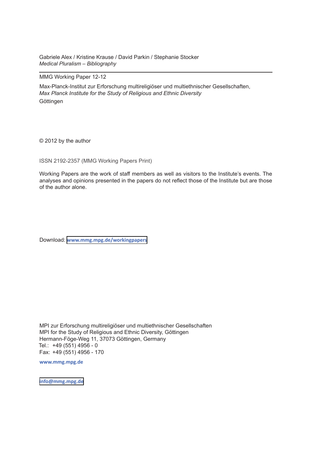Gabriele Alex / Kristine Krause / David Parkin / Stephanie Stocker *Medical Pluralism – Bibliography* 

#### MMG Working Paper 12-12

Max-Planck-Institut zur Erforschung multireligiöser und multiethnischer Gesellschaften, *Max Planck Institute for the Study of Religious and Ethnic Diversity* **Göttingen** 

© 2012 by the author

ISSN 2192-2357 (MMG Working Papers Print)

Working Papers are the work of staff members as well as visitors to the Institute's events. The analyses and opinions presented in the papers do not reflect those of the Institute but are those of the author alone.

Download: **www.mmg.mpg.de/workingpapers**

MPI zur Erforschung multireligiöser und multiethnischer Gesellschaften MPI for the Study of Religious and Ethnic Diversity, Göttingen Hermann-Föge-Weg 11, 37073 Göttingen, Germany Tel.: +49 (551) 4956 - 0 Fax: +49 (551) 4956 - 170

**www.mmg.mpg.de**

**info@mmg.mpg.de**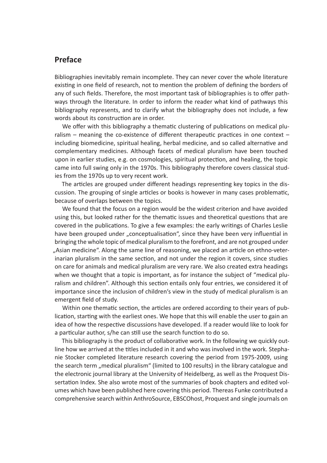## **Preface**

Bibliographies inevitably remain incomplete. They can never cover the whole literature existing in one field of research, not to mention the problem of defining the borders of any of such fields. Therefore, the most important task of bibliographies is to offer pathways through the literature. In order to inform the reader what kind of pathways this bibliography represents, and to clarify what the bibliography does not include, a few words about its construction are in order.

We offer with this bibliography a thematic clustering of publications on medical pluralism – meaning the co-existence of different therapeutic practices in one context – including biomedicine, spiritual healing, herbal medicine, and so called alternative and complementary medicines. Although facets of medical pluralism have been touched upon in earlier studies, e.g. on cosmologies, spiritual protection, and healing, the topic came into full swing only in the 1970s. This bibliography therefore covers classical studies from the 1970s up to very recent work.

The articles are grouped under different headings representing key topics in the discussion. The grouping of single articles or books is however in many cases problematic, because of overlaps between the topics.

We found that the focus on a region would be the widest criterion and have avoided using this, but looked rather for the thematic issues and theoretical questions that are covered in the publications. To give a few examples: the early writings of Charles Leslie have been grouped under "conceptualisation", since they have been very influential in bringing the whole topic of medical pluralism to the forefront, and are not grouped under "Asian medicine". Along the same line of reasoning, we placed an article on ethno-veterinarian pluralism in the same section, and not under the region it covers, since studies on care for animals and medical pluralism are very rare. We also created extra headings when we thought that a topic is important, as for instance the subject of "medical pluralism and children". Although this section entails only four entries, we considered it of importance since the inclusion of children's view in the study of medical pluralism is an emergent field of study.

Within one thematic section, the articles are ordered according to their years of publication, starting with the earliest ones. We hope that this will enable the user to gain an idea of how the respective discussions have developed. If a reader would like to look for a particular author, s/he can still use the search function to do so.

This bibliography is the product of collaborative work. In the following we quickly outline how we arrived at the titles included in it and who was involved in the work. Stephanie Stocker completed literature research covering the period from 1975-2009, using the search term "medical pluralism" (limited to 100 results) in the library catalogue and the electronic journal library at the University of Heidelberg, as well as the Proquest Dissertation Index. She also wrote most of the summaries of book chapters and edited volumes which have been published here covering this period. Thereas Funke contributed a comprehensive search within AnthroSource, EBSCOhost, Proquest and single journals on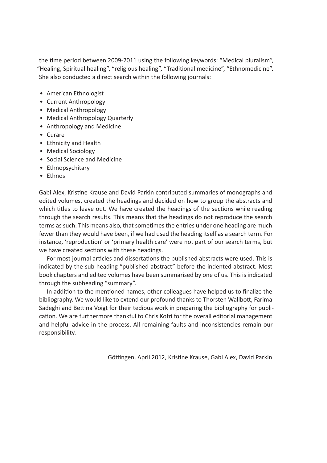the time period between 2009-2011 using the following keywords: "Medical pluralism", "Healing, Spiritual healing", "religious healing", "Traditional medicine", "Ethnomedicine". She also conducted a direct search within the following journals:

- American Ethnologist
- Current Anthropology
- Medical Anthropology
- Medical Anthropology Quarterly
- Anthropology and Medicine
- Curare
- Ethnicity and Health
- Medical Sociology
- Social Science and Medicine
- Ethnopsychitary
- Ethnos

Gabi Alex, Kristine Krause and David Parkin contributed summaries of monographs and edited volumes, created the headings and decided on how to group the abstracts and which titles to leave out. We have created the headings of the sections while reading through the search results. This means that the headings do not reproduce the search terms as such. This means also, that sometimes the entries under one heading are much fewer than they would have been, if we had used the heading itself as a search term. For instance, 'reproduction' or 'primary health care' were not part of our search terms, but we have created sections with these headings.

For most journal articles and dissertations the published abstracts were used. This is indicated by the sub heading "published abstract" before the indented abstract. Most book chapters and edited volumes have been summarised by one of us. This is indicated through the subheading "summary".

In addition to the mentioned names, other colleagues have helped us to finalize the bibliography. We would like to extend our profound thanks to Thorsten Wallbott, Farima Sadeghi and Bettina Voigt for their tedious work in preparing the bibliography for publication. We are furthermore thankful to Chris Kofri for the overall editorial management and helpful advice in the process. All remaining faults and inconsistencies remain our responsibility.

Göttingen, April 2012, Kristine Krause, Gabi Alex, David Parkin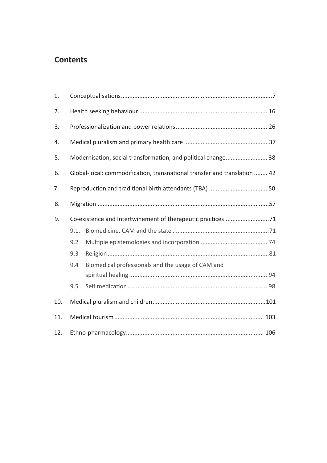## **Contents**

| 1.  |                                                                           |                                                   |
|-----|---------------------------------------------------------------------------|---------------------------------------------------|
| 2.  |                                                                           |                                                   |
| 3.  |                                                                           |                                                   |
| 4.  |                                                                           |                                                   |
| 5.  | Modernisation, social transformation, and political change 38             |                                                   |
| 6.  | Global-local: commodification, transnational transfer and translation  42 |                                                   |
| 7.  |                                                                           |                                                   |
| 8.  |                                                                           |                                                   |
| 9.  | Co-existence and Intertwinement of therapeutic practices71                |                                                   |
|     | 9.1.                                                                      |                                                   |
|     | 9.2                                                                       |                                                   |
|     | 9.3                                                                       |                                                   |
|     | 9.4                                                                       | Biomedical professionals and the usage of CAM and |
|     |                                                                           |                                                   |
|     | 9.5                                                                       |                                                   |
| 10. |                                                                           |                                                   |
| 11. |                                                                           |                                                   |
| 12. |                                                                           |                                                   |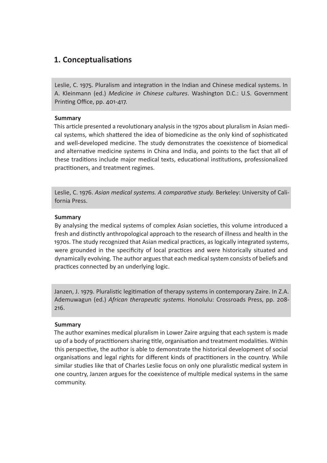## **1. Conceptualisations**

Leslie, C. 1975. Pluralism and integration in the Indian and Chinese medical systems. In A. Kleinmann (ed.) *Medicine in Chinese cultures*. Washington D.C.: U.S. Government Printing Office, pp. 401-417.

#### **Summary**

This article presented a revolutionary analysis in the 1970s about pluralism in Asian medical systems, which shattered the idea of biomedicine as the only kind of sophisticated and well-developed medicine. The study demonstrates the coexistence of biomedical and alternative medicine systems in China and India, and points to the fact that all of these traditions include major medical texts, educational institutions, professionalized practitioners, and treatment regimes.

Leslie, C. 1976. *Asian medical systems. A comparative study.* Berkeley: University of California Press.

#### **Summary**

By analysing the medical systems of complex Asian societies, this volume introduced a fresh and distinctly anthropological approach to the research of illness and health in the 1970s. The study recognized that Asian medical practices, as logically integrated systems, were grounded in the specificity of local practices and were historically situated and dynamically evolving. The author argues that each medical system consists of beliefs and practices connected by an underlying logic.

Janzen, J. 1979. Pluralistic legitimation of therapy systems in contemporary Zaire. In Z.A. Ademuwagun (ed.) *African therapeutic systems.* Honolulu: Crossroads Press, pp. 208- 216.

#### **Summary**

The author examines medical pluralism in Lower Zaire arguing that each system is made up of a body of practitioners sharing title, organisation and treatment modalities. Within this perspective, the author is able to demonstrate the historical development of social organisations and legal rights for different kinds of practitioners in the country. While similar studies like that of Charles Leslie focus on only one pluralistic medical system in one country, Janzen argues for the coexistence of multiple medical systems in the same community.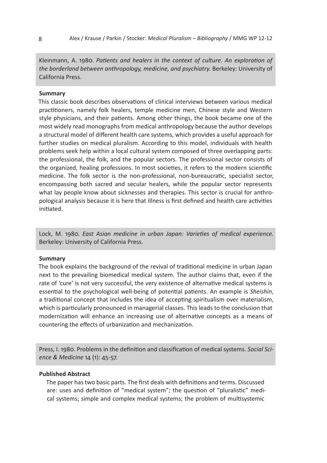Kleinmann, A. 1980. *Patients and healers in the context of culture. An exploration of the borderland between anthropology, medicine, and psychiatry.* Berkeley: University of California Press.

#### **Summary**

This classic book describes observations of clinical interviews between various medical practitioners, namely folk healers, temple medicine men, Chinese style and Western style physicians, and their patients. Among other things, the book became one of the most widely read monographs from medical anthropology because the author develops a structural model of different health care systems, which provides a useful approach for further studies on medical pluralism. According to this model, individuals with health problems seek help within a local cultural system composed of three overlapping parts: the professional, the folk, and the popular sectors. The professional sector consists of the organized, healing professions. In most societies, it refers to the modern scientific medicine. The folk sector is the non-professional, non-bureaucratic, specialist sector, encompassing both sacred and secular healers, while the popular sector represents what lay people know about sicknesses and therapies. This sector is crucial for anthropological analysis because it is here that illness is first defined and health care activities initiated.

Lock, M. 1980. *East Asian medicine in urban Japan: Varieties of medical experience.* Berkeley: University of California Press.

#### **Summary**

The book explains the background of the revival of traditional medicine in urban Japan next to the prevailing biomedical medical system. The author claims that, even if the rate of 'cure' is not very successful, the very existence of alternative medical systems is essential to the psychological well-being of potential patients. An example is *Sheishin*, a traditional concept that includes the idea of accepting spiritualism over materialism, which is particularly pronounced in managerial classes. This leads to the conclusion that modernization will enhance an increasing use of alternative concepts as a means of countering the effects of urbanization and mechanization.

Press, I. 1980. Problems in the definition and classification of medical systems. *Social Science & Medicine* 14 (1): 45-57.

#### **Published Abstract**

The paper has two basic parts. The first deals with definitions and terms. Discussed are: uses and definition of "medical system"; the question of "pluralistic" medical systems; simple and complex medical systems; the problem of multisystemic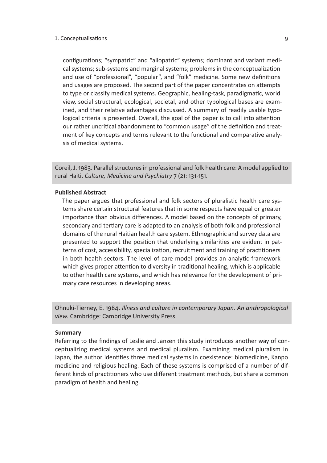#### 1. Conceptualisations 9

configurations; "sympatric" and "allopatric" systems; dominant and variant medical systems; sub-systems and marginal systems; problems in the conceptualization and use of "professional", "popular", and "folk" medicine. Some new definitions and usages are proposed. The second part of the paper concentrates on attempts to type or classify medical systems. Geographic, healing-task, paradigmatic, world view, social structural, ecological, societal, and other typological bases are examined, and their relative advantages discussed. A summary of readily usable typological criteria is presented. Overall, the goal of the paper is to call into attention our rather uncritical abandonment to "common usage" of the definition and treatment of key concepts and terms relevant to the functional and comparative analysis of medical systems.

Coreil, J. 1983. Parallel structures in professional and folk health care: A model applied to rural Haiti. *Culture, Medicine and Psychiatry* 7 (2): 131-151.

#### **Published Abstract**

The paper argues that professional and folk sectors of pluralistic health care systems share certain structural features that in some respects have equal or greater importance than obvious differences. A model based on the concepts of primary, secondary and tertiary care is adapted to an analysis of both folk and professional domains of the rural Haitian health care system. Ethnographic and survey data are presented to support the position that underlying similarities are evident in patterns of cost, accessibility, specialization, recruitment and training of practitioners in both health sectors. The level of care model provides an analytic framework which gives proper attention to diversity in traditional healing, which is applicable to other health care systems, and which has relevance for the development of primary care resources in developing areas.

Ohnuki-Tierney, E. 1984. *Illness and culture in contemporary Japan. An anthropological view.* Cambridge: Cambridge University Press.

#### **Summary**

Referring to the findings of Leslie and Janzen this study introduces another way of conceptualizing medical systems and medical pluralism. Examining medical pluralism in Japan, the author identifies three medical systems in coexistence: biomedicine, Kanpo medicine and religious healing. Each of these systems is comprised of a number of different kinds of practitioners who use different treatment methods, but share a common paradigm of health and healing.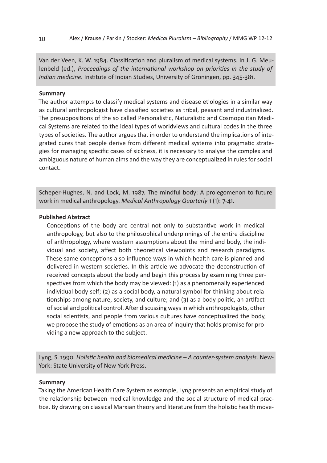Van der Veen, K. W. 1984. Classification and pluralism of medical systems. In J. G. Meulenbeld (ed.), *Proceedings of the international workshop on priorities in the study of Indian medicine.* Institute of Indian Studies, University of Groningen, pp. 345-381.

#### **Summary**

The author attempts to classify medical systems and disease etiologies in a similar way as cultural anthropologist have classified societies as tribal, peasant and industrialized. The presuppositions of the so called Personalistic, Naturalistic and Cosmopolitan Medical Systems are related to the ideal types of worldviews and cultural codes in the three types of societies. The author argues that in order to understand the implications of integrated cures that people derive from different medical systems into pragmatic strategies for managing specific cases of sickness, it is necessary to analyse the complex and ambiguous nature of human aims and the way they are conceptualized in rules for social contact.

Scheper-Hughes, N. and Lock, M. 1987. The mindful body: A prolegomenon to future work in medical anthropology. *Medical Anthropology Quarterly* 1 (1): 7-41.

#### **Published Abstract**

Conceptions of the body are central not only to substantive work in medical anthropology, but also to the philosophical underpinnings of the entire discipline of anthropology, where western assumptions about the mind and body, the individual and society, affect both theoretical viewpoints and research paradigms. These same conceptions also influence ways in which health care is planned and delivered in western societies. In this article we advocate the deconstruction of received concepts about the body and begin this process by examining three perspectives from which the body may be viewed: (1) as a phenomenally experienced individual body-self; (2) as a social body, a natural symbol for thinking about relationships among nature, society, and culture; and (3) as a body politic, an artifact of social and political control. After discussing ways in which anthropologists, other social scientists, and people from various cultures have conceptualized the body, we propose the study of emotions as an area of inquiry that holds promise for providing a new approach to the subject.

Lyng, S. 1990. *Holistic health and biomedical medicine – A counter-system analysis.* New-York: State University of New York Press.

#### **Summary**

Taking the American Health Care System as example, Lyng presents an empirical study of the relationship between medical knowledge and the social structure of medical practice. By drawing on classical Marxian theory and literature from the holistic health move-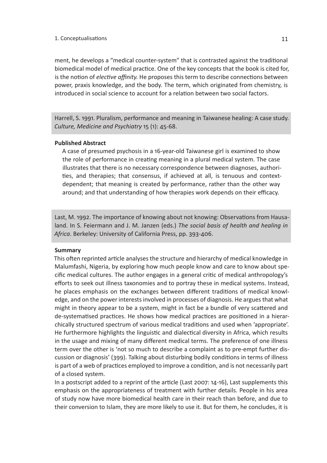#### 1. Conceptualisations 11

ment, he develops a "medical counter-system" that is contrasted against the traditional biomedical model of medical practice. One of the key concepts that the book is cited for, is the notion of *elective affinity.* He proposes this term to describe connections between power, praxis knowledge, and the body. The term, which originated from chemistry, is introduced in social science to account for a relation between two social factors.

Harrell, S. 1991. Pluralism, performance and meaning in Taiwanese healing: A case study. *Culture, Medicine and Psychiatry* 15 (1): 45-68.

#### **Published Abstract**

A case of presumed psychosis in a 16-year-old Taiwanese girl is examined to show the role of performance in creating meaning in a plural medical system. The case illustrates that there is no necessary correspondence between diagnoses, authorities, and therapies; that consensus, if achieved at all, is tenuous and contextdependent; that meaning is created by performance, rather than the other way around; and that understanding of how therapies work depends on their efficacy.

Last, M. 1992. The importance of knowing about not knowing: Observations from Hausaland. In S. Feiermann and J. M. Janzen (eds.) *The social basis of health and healing in Africa*. Berkeley: University of California Press, pp. 393-406.

#### **Summary**

This often reprinted article analyses the structure and hierarchy of medical knowledge in Malumfashi, Nigeria, by exploring how much people know and care to know about specific medical cultures. The author engages in a general critic of medical anthropology's efforts to seek out illness taxonomies and to portray these in medical systems. Instead, he places emphasis on the exchanges between different traditions of medical knowledge, and on the power interests involved in processes of diagnosis. He argues that what might in theory appear to be a system, might in fact be a bundle of very scattered and de-systematised practices. He shows how medical practices are positioned in a hierarchically structured spectrum of various medical traditions and used when 'appropriate'. He furthermore highlights the linguistic and dialectical diversity in Africa, which results in the usage and mixing of many different medical terms. The preference of one illness term over the other is 'not so much to describe a complaint as to pre-empt further discussion or diagnosis' (399). Talking about disturbing bodily conditions in terms of illness is part of a web of practices employed to improve a condition, and is not necessarily part of a closed system.

In a postscript added to a reprint of the article (Last 2007: 14-16), Last supplements this emphasis on the appropriateness of treatment with further details. People in his area of study now have more biomedical health care in their reach than before, and due to their conversion to Islam, they are more likely to use it. But for them, he concludes, it is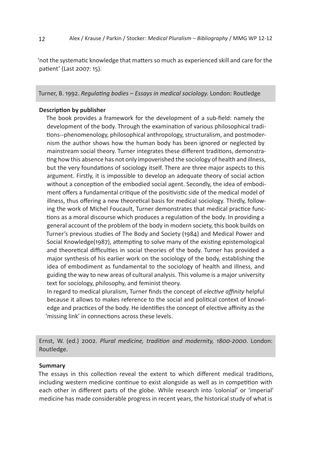'not the systematic knowledge that matters so much as experienced skill and care for the patient' (Last 2007: 15).

Turner, B. 1992. *Regulating bodies – Essays in medical sociology.* London: Routledge

#### **Description by publisher**

The book provides a framework for the development of a sub-field: namely the development of the body. Through the examination of various philosophical traditions--phenomenology, philosophical anthropology, structuralism, and postmodernism the author shows how the human body has been ignored or neglected by mainstream social theory. Turner integrates these different traditions, demonstrating how this absence has not only impoverished the sociology of health and illness, but the very foundations of sociology itself. There are three major aspects to this argument. Firstly, it is impossible to develop an adequate theory of social action without a conception of the embodied social agent. Secondly, the idea of embodiment offers a fundamental critique of the positivistic side of the medical model of illness, thus offering a new theoretical basis for medical sociology. Thirdly, following the work of Michel Foucault, Turner demonstrates that medical practice functions as a moral discourse which produces a regulation of the body. In providing a general account of the problem of the body in modern society, this book builds on Turner's previous studies of The Body and Society (1984) and Medical Power and Social Knowledge(1987), attempting to solve many of the existing epistemological and theoretical difficulties in social theories of the body. Turner has provided a major synthesis of his earlier work on the sociology of the body, establishing the idea of embodiment as fundamental to the sociology of health and illness, and guiding the way to new areas of cultural analysis. This volume is a major university text for sociology, philosophy, and feminist theory.

In regard to medical pluralism, Turner finds the concept of *elective affinity* helpful because it allows to makes reference to the social and political context of knowledge and practices of the body. He identifies the concept of elective affinity as the 'missing link' in connections across these levels.

Ernst, W. (ed.) 2002. *Plural medicine, tradition and modernity, 1800-2000*. London: Routledge.

#### **Summary**

The essays in this collection reveal the extent to which different medical traditions, including western medicine continue to exist alongside as well as in competition with each other in different parts of the globe. While research into 'colonial' or 'imperial' medicine has made considerable progress in recent years, the historical study of what is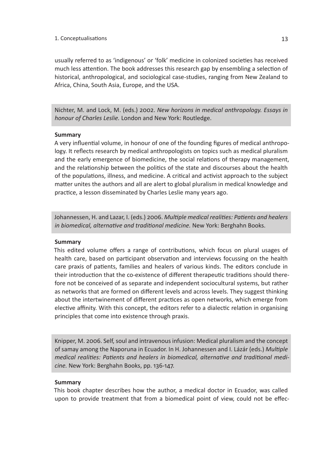#### 1. Conceptualisations 13

usually referred to as 'indigenous' or 'folk' medicine in colonized societies has received much less attention. The book addresses this research gap by ensembling a selection of historical, anthropological, and sociological case-studies, ranging from New Zealand to Africa, China, South Asia, Europe, and the USA.

Nichter, M. and Lock, M. (eds.) 2002. *New horizons in medical anthropology. Essays in honour of Charles Leslie.* London and New York: Routledge.

#### **Summary**

A very influential volume, in honour of one of the founding figures of medical anthropology. It reflects research by medical anthropologists on topics such as medical pluralism and the early emergence of biomedicine, the social relations of therapy management, and the relationship between the politics of the state and discourses about the health of the populations, illness, and medicine. A critical and activist approach to the subject matter unites the authors and all are alert to global pluralism in medical knowledge and practice, a lesson disseminated by Charles Leslie many years ago.

Johannessen, H. and Lazar, I. (eds.) 2006. *Multiple medical realities: Patients and healers in biomedical, alternative and traditional medicine.* New York: Berghahn Books.

#### **Summary**

This edited volume offers a range of contributions, which focus on plural usages of health care, based on participant observation and interviews focussing on the health care praxis of patients, families and healers of various kinds. The editors conclude in their introduction that the co-existence of different therapeutic traditions should therefore not be conceived of as separate and independent sociocultural systems, but rather as networks that are formed on different levels and across levels. They suggest thinking about the intertwinement of different practices as open networks, which emerge from elective affinity. With this concept, the editors refer to a dialectic relation in organising principles that come into existence through praxis.

Knipper, M. 2006. Self, soul and intravenous infusion: Medical pluralism and the concept of samay among the Naporuna in Ecuador. In H. Johannessen and I. Lázár (eds.) *Multiple medical realities: Patients and healers in biomedical, alternative and traditional medicine.* New York: Berghahn Books, pp. 136-147.

#### **Summary**

This book chapter describes how the author, a medical doctor in Ecuador, was called upon to provide treatment that from a biomedical point of view, could not be effec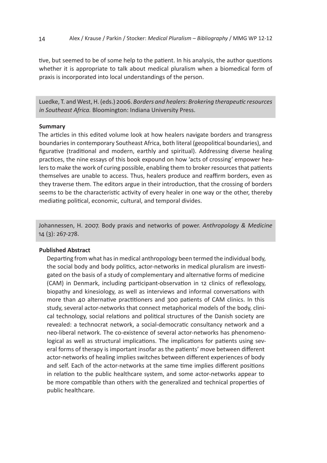tive, but seemed to be of some help to the patient. In his analysis, the author questions whether it is appropriate to talk about medical pluralism when a biomedical form of praxis is incorporated into local understandings of the person.

Luedke, T. and West, H. (eds.) 2006. *Borders and healers: Brokering therapeutic resources in Southeast Africa.* Bloomington: Indiana University Press.

#### **Summary**

The articles in this edited volume look at how healers navigate borders and transgress boundaries in contemporary Southeast Africa, both literal (geopolitical boundaries), and figurative (traditional and modern, earthly and spiritual). Addressing diverse healing practices, the nine essays of this book expound on how 'acts of crossing' empower healers to make the work of curing possible, enabling them to broker resources that patients themselves are unable to access. Thus, healers produce and reaffirm borders, even as they traverse them. The editors argue in their introduction, that the crossing of borders seems to be the characteristic activity of every healer in one way or the other, thereby mediating political, economic, cultural, and temporal divides.

Johannessen, H. 2007. Body praxis and networks of power. *Anthropology & Medicine* 14 (3): 267-278.

#### **Published Abstract**

Departing from what has in medical anthropology been termed the individual body, the social body and body politics, actor-networks in medical pluralism are investigated on the basis of a study of complementary and alternative forms of medicine (CAM) in Denmark, including participant-observation in 12 clinics of reflexology, biopathy and kinesiology, as well as interviews and informal conversations with more than 40 alternative practitioners and 300 patients of CAM clinics. In this study, several actor-networks that connect metaphorical models of the body, clinical technology, social relations and political structures of the Danish society are revealed: a technocrat network, a social-democratic consultancy network and a neo-liberal network. The co-existence of several actor-networks has phenomenological as well as structural implications. The implications for patients using several forms of therapy is important insofar as the patients' move between different actor-networks of healing implies switches between different experiences of body and self. Each of the actor-networks at the same time implies different positions in relation to the public healthcare system, and some actor-networks appear to be more compatible than others with the generalized and technical properties of public healthcare.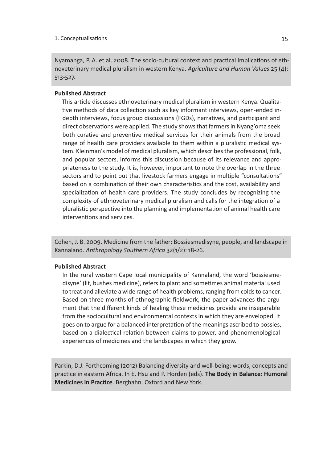Nyamanga, P. A. et al. 2008. The socio-cultural context and practical implications of ethnoveterinary medical pluralism in western Kenya. *Agriculture and Human Values* 25 (4): 513-527.

#### **Published Abstract**

This article discusses ethnoveterinary medical pluralism in western Kenya. Qualitative methods of data collection such as key informant interviews, open-ended indepth interviews, focus group discussions (FGDs), narratives, and participant and direct observations were applied. The study shows that farmers in Nyang'oma seek both curative and preventive medical services for their animals from the broad range of health care providers available to them within a pluralistic medical system. Kleinman's model of medical pluralism, which describes the professional, folk, and popular sectors, informs this discussion because of its relevance and appropriateness to the study. It is, however, important to note the overlap in the three sectors and to point out that livestock farmers engage in multiple "consultations" based on a combination of their own characteristics and the cost, availability and specialization of health care providers. The study concludes by recognizing the complexity of ethnoveterinary medical pluralism and calls for the integration of a pluralistic perspective into the planning and implementation of animal health care interventions and services.

Cohen, J. B. 2009. Medicine from the father: Bossiesmedisyne, people, and landscape in Kannaland. *Anthropology Southern Africa* 32(1/2): 18-26.

#### **Published Abstract**

In the rural western Cape local municipality of Kannaland, the word 'bossiesmedisyne' (lit, bushes medicine), refers to plant and sometimes animal material used to treat and alleviate a wide range of health problems, ranging from colds to cancer. Based on three months of ethnographic fieldwork, the paper advances the argument that the different kinds of healing these medicines provide are inseparable from the sociocultural and environmental contexts in which they are enveloped. It goes on to argue for a balanced interpretation of the meanings ascribed to bossies, based on a dialectical relation between claims to power, and phenomenological experiences of medicines and the landscapes in which they grow.

Parkin, D.J. Forthcoming (2012) Balancing diversity and well-being: words, concepts and practice in eastern Africa. In E. Hsu and P. Horden (eds). **The Body in Balance: Humoral Medicines in Practice**. Berghahn. Oxford and New York.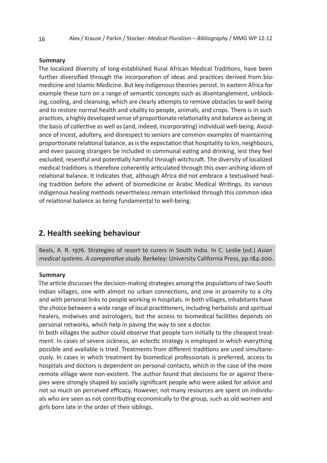#### **Summary**

The localized diversity of long-established Rural African Medical Traditions, have been further diversified through the incorporation of ideas and practices derived from biomedicine and Islamic Medicine. But key indigenous theories persist. In eastern Africa for example these turn on a range of semantic concepts such as disentanglement, unblocking, cooling, and cleansing, which are clearly attempts to remove obstacles to well-being and to restore normal health and vitality to people, animals, and crops. There is in such practices, a highly developed sense of proportionate relationality and balance as being at the basis of collective as well as (and, indeed, incorporating) individual well-being. Avoidance of incest, adultery, and disrespect to seniors are common examples of maintaining proportionate relational balance, as is the expectation that hospitality to kin, neighbours, and even passing strangers be included in communal eating and drinking, lest they feel excluded, resentful and potentially harmful through witchcraft. The diversity of localized medical traditions is therefore coherently articulated through this over-arching idiom of relational balance. It indicates that, although Africa did not embrace a textualised healing tradition before the advent of biomedicine or Arabic Medical Writings, its various indigenous healing methods nevertheless remain interlinked through this common idea of relational balance as being fundamental to well-being.

## **2. Health seeking behaviour**

Beals, A. R. 1976. Strategies of resort to curers in South India. In C. Leslie (ed.) *Asian medical systems. A comparative study.* Berkeley: University California Press, pp.184-200.

#### **Summary**

The article discusses the decision-making strategies among the populations of two South Indian villages, one with almost no urban connections, and one in proximity to a city and with personal links to people working in hospitals. In both villages, inhabitants have the choice between a wide range of local practitioners, including herbalists and spiritual healers, midwives and astrologers, but the access to biomedical facilities depends on personal networks, which help in paving the way to see a doctor.

In both villages the author could observe that people turn initially to the cheapest treatment. In cases of severe sickness, an eclectic strategy is employed in which everything possible and available is tried. Treatments from different traditions are used simultaneously. In cases in which treatment by biomedical professionals is preferred, access to hospitals and doctors is dependent on personal contacts, which in the case of the more remote village were non-existent. The author found that decisions for or against therapies were strongly shaped by socially significant people who were asked for advice and not so much on perceived efficacy. However, not many resources are spent on individuals who are seen as not contributing economically to the group, such as old women and girls born late in the order of their siblings.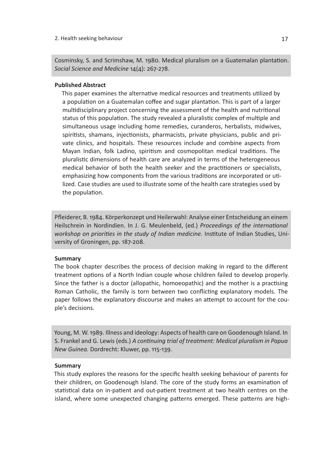Cosminsky, S. and Scrimshaw, M. 1980. Medical pluralism on a Guatemalan plantation. *Social Science and Medicine* 14(4): 267-278.

#### **Published Abstract**

This paper examines the alternative medical resources and treatments utilized by a population on a Guatemalan coffee and sugar plantation. This is part of a larger multidisciplinary project concerning the assessment of the health and nutritional status of this population. The study revealed a pluralistic complex of multiple and simultaneous usage including home remedies, curanderos, herbalists, midwives, spiritists, shamans, injectionists, pharmacists, private physicians, public and private clinics, and hospitals. These resources include and combine aspects from Mayan Indian, folk Ladino, spiritism and cosmopolitan medical traditions. The pluralistic dimensions of health care are analyzed in terms of the heterogeneous medical behavior of both the health seeker and the practitioners or specialists, emphasizing how components from the various traditions are incorporated or utilized. Case studies are used to illustrate some of the health care strategies used by the population.

Pfleiderer, B. 1984. Körperkonzept und Heilerwahl: Analyse einer Entscheidung an einem Heilschrein in Nordindien. In J. G. Meulenbeld, (ed.) *Proceedings of the international workshop on priorities in the study of Indian medicine.* Institute of Indian Studies, University of Groningen, pp. 187-208.

#### **Summary**

The book chapter describes the process of decision making in regard to the different treatment options of a North Indian couple whose children failed to develop properly. Since the father is a doctor (allopathic, homoeopathic) and the mother is a practising Roman Catholic, the family is torn between two conflicting explanatory models. The paper follows the explanatory discourse and makes an attempt to account for the couple's decisions.

Young, M. W. 1989. Illness and ideology: Aspects of health care on Goodenough Island. In S. Frankel and G. Lewis (eds.) *A continuing trial of treatment: Medical pluralism in Papua New Guinea.* Dordrecht: Kluwer, pp. 115-139.

#### **Summary**

This study explores the reasons for the specific health seeking behaviour of parents for their children, on Goodenough Island. The core of the study forms an examination of statistical data on in-patient and out-patient treatment at two health centres on the island, where some unexpected changing patterns emerged. These patterns are high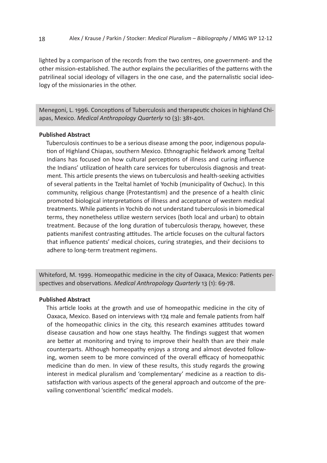lighted by a comparison of the records from the two centres, one government- and the other mission-established. The author explains the peculiarities of the patterns with the patrilineal social ideology of villagers in the one case, and the paternalistic social ideology of the missionaries in the other.

Menegoni, L. 1996. Conceptions of Tuberculosis and therapeutic choices in highland Chiapas, Mexico. *Medical Anthropology Quarterly* 10 (3): 381-401.

#### **Published Abstract**

Tuberculosis continues to be a serious disease among the poor, indigenous population of Highland Chiapas, southern Mexico. Ethnographic fieldwork among Tzeltal Indians has focused on how cultural perceptions of illness and curing influence the Indians' utilization of health care services for tuberculosis diagnosis and treatment. This article presents the views on tuberculosis and health-seeking activities of several patients in the Tzeltal hamlet of Yochib (municipality of Oxchuc). In this community, religious change (Protestantism) and the presence of a health clinic promoted biological interpretations of illness and acceptance of western medical treatments. While patients in Yochib do not understand tuberculosis in biomedical terms, they nonetheless utilize western services (both local and urban) to obtain treatment. Because of the long duration of tuberculosis therapy, however, these patients manifest contrasting attitudes. The article focuses on the cultural factors that influence patients' medical choices, curing strategies, and their decisions to adhere to long-term treatment regimens.

Whiteford, M. 1999. Homeopathic medicine in the city of Oaxaca, Mexico: Patients perspectives and observations. *Medical Anthropology Quarterly* 13 (1): 69-78.

#### **Published Abstract**

This article looks at the growth and use of homeopathic medicine in the city of Oaxaca, Mexico. Based on interviews with 174 male and female patients from half of the homeopathic clinics in the city, this research examines attitudes toward disease causation and how one stays healthy. The findings suggest that women are better at monitoring and trying to improve their health than are their male counterparts. Although homeopathy enjoys a strong and almost devoted following, women seem to be more convinced of the overall efficacy of homeopathic medicine than do men. In view of these results, this study regards the growing interest in medical pluralism and 'complementary' medicine as a reaction to dissatisfaction with various aspects of the general approach and outcome of the prevailing conventional 'scientific' medical models.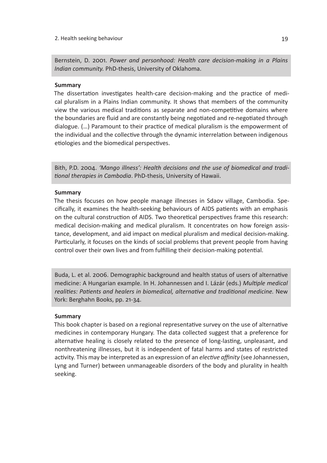Bernstein, D. 2001. *Power and personhood: Health care decision-making in a Plains Indian community.* PhD-thesis, University of Oklahoma.

#### **Summary**

The dissertation investigates health-care decision-making and the practice of medical pluralism in a Plains Indian community. It shows that members of the community view the various medical traditions as separate and non-competitive domains where the boundaries are fluid and are constantly being negotiated and re-negotiated through dialogue. (…) Paramount to their practice of medical pluralism is the empowerment of the individual and the collective through the dynamic interrelation between indigenous etiologies and the biomedical perspectives.

Bith, P.D. 2004. *'Mango illness': Health decisions and the use of biomedical and traditional therapies in Cambodia*. PhD-thesis, University of Hawaii.

#### **Summary**

The thesis focuses on how people manage illnesses in Sdaov village, Cambodia. Specifically, it examines the health-seeking behaviours of AIDS patients with an emphasis on the cultural construction of AIDS. Two theoretical perspectives frame this research: medical decision-making and medical pluralism. It concentrates on how foreign assistance, development, and aid impact on medical pluralism and medical decision-making. Particularly, it focuses on the kinds of social problems that prevent people from having control over their own lives and from fulfilling their decision-making potential.

Buda, L. et al. 2006. Demographic background and health status of users of alternative medicine: A Hungarian example. In H. Johannessen and I. Lázár (eds.) *Multiple medical realities: Patients and healers in biomedical, alternative and traditional medicine.* New York: Berghahn Books, pp. 21-34.

#### **Summary**

This book chapter is based on a regional representative survey on the use of alternative medicines in contemporary Hungary. The data collected suggest that a preference for alternative healing is closely related to the presence of long-lasting, unpleasant, and nonthreatening illnesses, but it is independent of fatal harms and states of restricted activity. This may be interpreted as an expression of an *elective affinity* (see Johannessen, Lyng and Turner) between unmanageable disorders of the body and plurality in health seeking.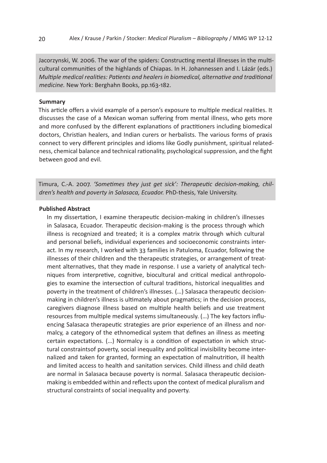Jacorzynski, W. 2006. The war of the spiders: Constructing mental illnesses in the multicultural communities of the highlands of Chiapas. In H. Johannessen and I. Lázár (eds.) *Multiple medical realities: Patients and healers in biomedical, alternative and traditional medicine.* New York: Berghahn Books, pp.163-182.

#### **Summary**

This article offers a vivid example of a person's exposure to multiple medical realities. It discusses the case of a Mexican woman suffering from mental illness, who gets more and more confused by the different explanations of practitioners including biomedical doctors, Christian healers, and Indian curers or herbalists. The various forms of praxis connect to very different principles and idioms like Godly punishment, spiritual relatedness, chemical balance and technical rationality, psychological suppression, and the fight between good and evil.

Timura, C.-A. 2007. *'Sometimes they just get sick': Therapeutic decision-making, children's health and poverty in Salasaca, Ecuador.* PhD-thesis, Yale University.

#### **Published Abstract**

In my dissertation, I examine therapeutic decision-making in children's illnesses in Salasaca, Ecuador. Therapeutic decision-making is the process through which illness is recognized and treated; it is a complex matrix through which cultural and personal beliefs, individual experiences and socioeconomic constraints interact. In my research, I worked with 33 families in Patuloma, Ecuador, following the illnesses of their children and the therapeutic strategies, or arrangement of treatment alternatives, that they made in response. I use a variety of analytical techniques from interpretive, cognitive, biocultural and critical medical anthropologies to examine the intersection of cultural traditions, historical inequalities and poverty in the treatment of children's illnesses. (…) Salasaca therapeutic decisionmaking in children's illness is ultimately about pragmatics; in the decision process, caregivers diagnose illness based on multiple health beliefs and use treatment resources from multiple medical systems simultaneously. (…) The key factors influencing Salasaca therapeutic strategies are prior experience of an illness and normalcy, a category of the ethnomedical system that defines an illness as meeting certain expectations. (…) Normalcy is a condition of expectation in which structural constraintsof poverty, social inequality and political invisibility become internalized and taken for granted, forming an expectation of malnutrition, ill health and limited access to health and sanitation services. Child illness and child death are normal in Salasaca because poverty is normal. Salasaca therapeutic decisionmaking is embedded within and reflects upon the context of medical pluralism and structural constraints of social inequality and poverty.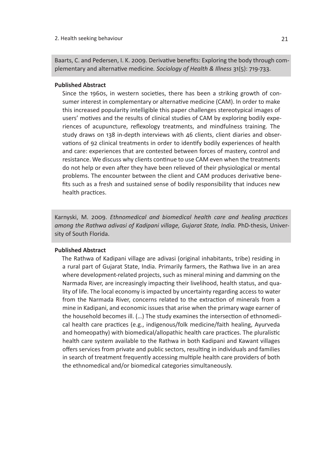Baarts, C. and Pedersen, I. K. 2009. Derivative benefits: Exploring the body through complementary and alternative medicine*. Sociology of Health & Illness* 31(5): 719-733.

#### **Published Abstract**

Since the 1960s, in western societies, there has been a striking growth of consumer interest in complementary or alternative medicine (CAM). In order to make this increased popularity intelligible this paper challenges stereotypical images of users' motives and the results of clinical studies of CAM by exploring bodily experiences of acupuncture, reflexology treatments, and mindfulness training. The study draws on 138 in-depth interviews with 46 clients, client diaries and observations of 92 clinical treatments in order to identify bodily experiences of health and care: experiences that are contested between forces of mastery, control and resistance. We discuss why clients continue to use CAM even when the treatments do not help or even after they have been relieved of their physiological or mental problems. The encounter between the client and CAM produces derivative benefits such as a fresh and sustained sense of bodily responsibility that induces new health practices.

Karnyski, M. 2009. *Ethnomedical and biomedical health care and healing practices among the Rathwa adivasi of Kadipani village, Gujarat State, India.* PhD-thesis, University of South Florida.

#### **Published Abstract**

The Rathwa of Kadipani village are adivasi (original inhabitants, tribe) residing in a rural part of Gujarat State, India. Primarily farmers, the Rathwa live in an area where development-related projects, such as mineral mining and damming on the Narmada River, are increasingly impacting their livelihood, health status, and quality of life. The local economy is impacted by uncertainty regarding access to water from the Narmada River, concerns related to the extraction of minerals from a mine in Kadipani, and economic issues that arise when the primary wage earner of the household becomes ill. (…) The study examines the intersection of ethnomedical health care practices (e.g., indigenous/folk medicine/faith healing, Ayurveda and homeopathy) with biomedical/allopathic health care practices. The pluralistic health care system available to the Rathwa in both Kadipani and Kawant villages offers services from private and public sectors, resulting in individuals and families in search of treatment frequently accessing multiple health care providers of both the ethnomedical and/or biomedical categories simultaneously.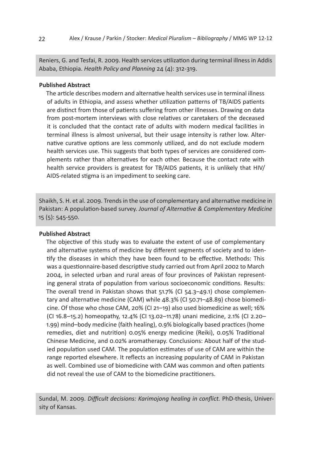Reniers, G. and Tesfai, R. 2009. Health services utilization during terminal illness in Addis Ababa, Ethiopia. *Health Policy and Planning* 24 (4): 312-319.

#### **Published Abstract**

The article describes modern and alternative health services use in terminal illness of adults in Ethiopia, and assess whether utilization patterns of TB/AIDS patients are distinct from those of patients suffering from other illnesses. Drawing on data from post-mortem interviews with close relatives or caretakers of the deceased it is concluded that the contact rate of adults with modern medical facilities in terminal illness is almost universal, but their usage intensity is rather low. Alternative curative options are less commonly utilized, and do not exclude modern health services use. This suggests that both types of services are considered complements rather than alternatives for each other. Because the contact rate with health service providers is greatest for TB/AIDS patients, it is unlikely that HIV/ AIDS-related stigma is an impediment to seeking care.

Shaikh, S. H. et al. 2009. Trends in the use of complementary and alternative medicine in Pakistan: A population-based survey. *Journal of Alternative & Complementary Medicine*  15 (5): 545-550.

#### **Published Abstract**

The objective of this study was to evaluate the extent of use of complementary and alternative systems of medicine by different segments of society and to identify the diseases in which they have been found to be effective. Methods: This was a questionnaire-based descriptive study carried out from April 2002 to March 2004, in selected urban and rural areas of four provinces of Pakistan representing general strata of population from various socioeconomic conditions. Results: The overall trend in Pakistan shows that 51.7% (CI 54.3–49.1) chose complementary and alternative medicine (CAM) while 48.3% (CI 50.71–48.89) chose biomedicine. Of those who chose CAM, 20% (CI 21–19) also used biomedicine as well; 16% (CI 16.8–15.2) homeopathy, 12.4% (CI 13.02–11.78) unani medicine, 2.1% (CI 2.20– 1.99) mind–body medicine (faith healing), 0.9% biologically based practices (home remedies, diet and nutrition) 0.05% energy medicine (Reiki), 0.05% Traditional Chinese Medicine, and 0.02% aromatherapy. Conclusions: About half of the studied population used CAM. The population estimates of use of CAM are within the range reported elsewhere. It reflects an increasing popularity of CAM in Pakistan as well. Combined use of biomedicine with CAM was common and often patients did not reveal the use of CAM to the biomedicine practitioners.

Sundal, M. 2009. *Difficult decisions: Karimojong healing in conflict.* PhD-thesis, University of Kansas.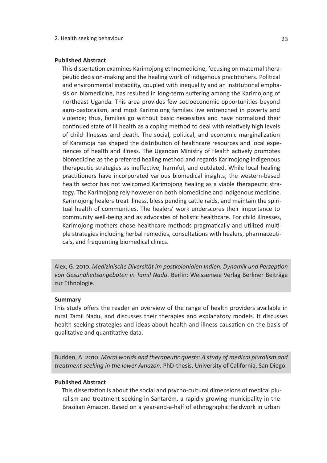#### **Published Abstract**

This dissertation examines Karimojong ethnomedicine, focusing on maternal therapeutic decision-making and the healing work of indigenous practitioners. Political and environmental instability, coupled with inequality and an institutional emphasis on biomedicine, has resulted in long-term suffering among the Karimojong of northeast Uganda. This area provides few socioeconomic opportunities beyond agro-pastoralism, and most Karimojong families live entrenched in poverty and violence; thus, families go without basic necessities and have normalized their continued state of ill health as a coping method to deal with relatively high levels of child illnesses and death. The social, political, and economic marginalization of Karamoja has shaped the distribution of healthcare resources and local experiences of health and illness. The Ugandan Ministry of Health actively promotes biomedicine as the preferred healing method and regards Karimojong indigenous therapeutic strategies as ineffective, harmful, and outdated. While local healing practitioners have incorporated various biomedical insights, the western-based health sector has not welcomed Karimojong healing as a viable therapeutic strategy. The Karimojong rely however on both biomedicine and indigenous medicine. Karimojong healers treat illness, bless pending cattle raids, and maintain the spiritual health of communities. The healers' work underscores their importance to community well-being and as advocates of holistic healthcare. For child illnesses, Karimojong mothers chose healthcare methods pragmatically and utilized multiple strategies including herbal remedies, consultations with healers, pharmaceuticals, and frequenting biomedical clinics.

Alex, G. 2010. *Medizinische Diversität im postkolonialen Indien. Dynamik und Perzeption von Gesundheitsangeboten in Tamil Nadu*. Berlin: Weissensee Verlag Berliner Beiträge zur Ethnologie.

#### **Summary**

This study offers the reader an overview of the range of health providers available in rural Tamil Nadu, and discusses their therapies and explanatory models. It discusses health seeking strategies and ideas about health and illness causation on the basis of qualitative and quantitative data.

Budden, A. 2010. *Moral worlds and therapeutic quests: A study of medical pluralism and treatment-seeking in the lower Amazon.* PhD-thesis, University of California, San Diego.

#### **Published Abstract**

This dissertation is about the social and psycho-cultural dimensions of medical pluralism and treatment seeking in Santarém, a rapidly growing municipality in the Brazilian Amazon. Based on a year-and-a-half of ethnographic fieldwork in urban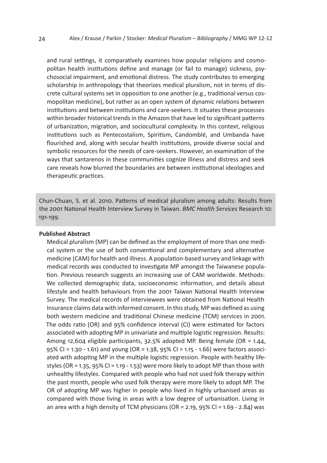and rural settings, it comparatively examines how popular religions and cosmopolitan health institutions define and manage (or fail to manage) sickness, psychosocial impairment, and emotional distress. The study contributes to emerging scholarship in anthropology that theorizes medical pluralism, not in terms of discrete cultural systems set in opposition to one another (e.g., traditional versus cosmopolitan medicine), but rather as an open system of dynamic relations between institutions and between institutions and care-seekers. It situates these processes within broader historical trends in the Amazon that have led to significant patterns of urbanization, migration, and sociocultural complexity. In this context, religious institutions such as Pentecostalism, Spiritism, Candomblé, and Umbanda have flourished and, along with secular health institutions, provide diverse social and symbolic resources for the needs of care-seekers. However, an examination of the ways that santarenos in these communities cognize illness and distress and seek care reveals how blurred the boundaries are between institutional ideologies and therapeutic practices.

Chun-Chuan, S. et al. 2010. Patterns of medical pluralism among adults: Results from the 2001 National Health Interview Survey in Taiwan. *BMC Health Services* Research 10: 191-199.

#### **Published Abstract**

Medical pluralism (MP) can be defined as the employment of more than one medical system or the use of both conventional and complementary and alternative medicine (CAM) for health and illness. A population-based survey and linkage with medical records was conducted to investigate MP amongst the Taiwanese population. Previous research suggests an increasing use of CAM worldwide. Methods: We collected demographic data, socioeconomic information, and details about lifestyle and health behaviours from the 2001 Taiwan National Health Interview Survey. The medical records of interviewees were obtained from National Health Insurance claims data with informed consent. In this study, MP was defined as using both western medicine and traditional Chinese medicine (TCM) services in 2001. The odds ratio (OR) and 95% confidence interval (CI) were estimated for factors associated with adopting MP in univariate and multiple logistic regression. Results: Among 12,604 eligible participants, 32.5% adopted MP. Being female (OR = 1.44, 95% CI = 1.30 - 1.61) and young (OR = 1.38, 95% CI = 1.15 - 1.66) were factors associated with adopting MP in the multiple logistic regression. People with healthy lifestyles (OR = 1.35, 95% CI = 1.19 - 1.53) were more likely to adopt MP than those with unhealthy lifestyles. Compared with people who had not used folk therapy within the past month, people who used folk therapy were more likely to adopt MP. The OR of adopting MP was higher in people who lived in highly urbanised areas as compared with those living in areas with a low degree of urbanisation. Living in an area with a high density of TCM physicians (OR = 2.19, 95% CI = 1.69 - 2.84) was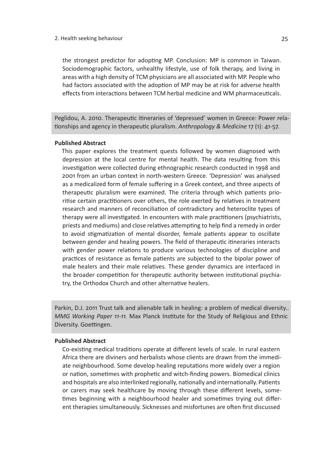#### 2. Health seeking behaviour 25

the strongest predictor for adopting MP. Conclusion: MP is common in Taiwan. Sociodemographic factors, unhealthy lifestyle, use of folk therapy, and living in areas with a high density of TCM physicians are all associated with MP. People who had factors associated with the adoption of MP may be at risk for adverse health effects from interactions between TCM herbal medicine and WM pharmaceuticals.

Peglidou, A. 2010. Therapeutic itineraries of 'depressed' women in Greece: Power relationships and agency in therapeutic pluralism. *Anthropology & Medicine* 17 (1): 41-57.

#### **Published Abstract**

This paper explores the treatment quests followed by women diagnosed with depression at the local centre for mental health. The data resulting from this investigation were collected during ethnographic research conducted in 1998 and 2001 from an urban context in north-western Greece. 'Depression' was analysed as a medicalized form of female suffering in a Greek context, and three aspects of therapeutic pluralism were examined. The criteria through which patients prioritise certain practitioners over others, the role exerted by relatives in treatment research and manners of reconciliation of contradictory and heteroclite types of therapy were all investigated. In encounters with male practitioners (psychiatrists, priests and mediums) and close relatives attempting to help find a remedy in order to avoid stigmatization of mental disorder, female patients appear to oscillate between gender and healing powers. The field of therapeutic itineraries interacts with gender power relations to produce various technologies of discipline and practices of resistance as female patients are subjected to the bipolar power of male healers and their male relatives. These gender dynamics are interfaced in the broader competition for therapeutic authority between institutional psychiatry, the Orthodox Church and other alternative healers.

Parkin, D.J. 2011 Trust talk and alienable talk in healing: a problem of medical diversity.. *MMG Working Paper 11-11.* Max Planck Institute for the Study of Religious and Ethnic Diversity. Goettingen.

#### **Published Abstract**

Co-existing medical traditions operate at different levels of scale. In rural eastern Africa there are diviners and herbalists whose clients are drawn from the immediate neighbourhood. Some develop healing reputations more widely over a region or nation, sometimes with prophetic and witch-finding powers. Biomedical clinics and hospitals are also interlinked regionally, nationally and internationally. Patients or carers may seek healthcare by moving through these different levels, sometimes beginning with a neighbourhood healer and sometimes trying out different therapies simultaneously. Sicknesses and misfortunes are often first discussed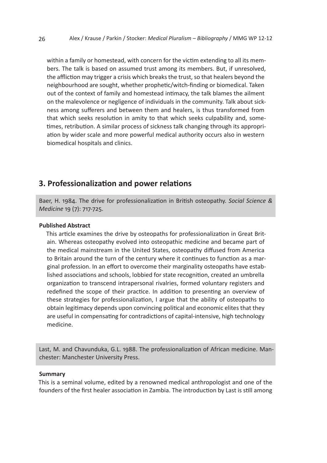within a family or homestead, with concern for the victim extending to all its members. The talk is based on assumed trust among its members. But, if unresolved, the affliction may trigger a crisis which breaks the trust, so that healers beyond the neighbourhood are sought, whether prophetic/witch-finding or biomedical. Taken out of the context of family and homestead intimacy, the talk blames the ailment on the malevolence or negligence of individuals in the community. Talk about sickness among sufferers and between them and healers, is thus transformed from that which seeks resolution in amity to that which seeks culpability and, sometimes, retribution. A similar process of sickness talk changing through its appropriation by wider scale and more powerful medical authority occurs also in western biomedical hospitals and clinics.

### **3. Professionalization and power relations**

Baer, H. 1984. The drive for professionalization in British osteopathy. *Social Science & Medicine* 19 (7): 717-725.

#### **Published Abstract**

This article examines the drive by osteopaths for professionalization in Great Britain. Whereas osteopathy evolved into osteopathic medicine and became part of the medical mainstream in the United States, osteopathy diffused from America to Britain around the turn of the century where it continues to function as a marginal profession. In an effort to overcome their marginality osteopaths have established associations and schools, lobbied for state recognition, created an umbrella organization to transcend intrapersonal rivalries, formed voluntary registers and redefined the scope of their practice. In addition to presenting an overview of these strategies for professionalization, I argue that the ability of osteopaths to obtain legitimacy depends upon convincing political and economic elites that they are useful in compensating for contradictions of capital-intensive, high technology medicine.

Last, M. and Chavunduka, G.L. 1988. The professionalization of African medicine. Manchester: Manchester University Press.

#### **Summary**

This is a seminal volume, edited by a renowned medical anthropologist and one of the founders of the first healer association in Zambia. The introduction by Last is still among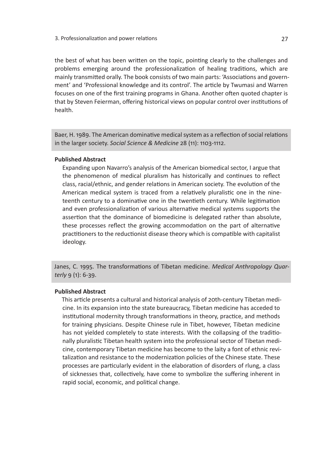the best of what has been written on the topic, pointing clearly to the challenges and problems emerging around the professionalization of healing traditions, which are mainly transmitted orally. The book consists of two main parts: 'Associations and government' and 'Professional knowledge and its control'. The article by Twumasi and Warren focuses on one of the first training programs in Ghana. Another often quoted chapter is that by Steven Feierman, offering historical views on popular control over institutions of health.

Baer, H. 1989. The American dominative medical system as a reflection of social relations in the larger society. *Social Science & Medicine* 28 (11): 1103-1112.

#### **Published Abstract**

Expanding upon Navarro's analysis of the American biomedical sector, I argue that the phenomenon of medical pluralism has historically and continues to reflect class, racial/ethnic, and gender relations in American society. The evolution of the American medical system is traced from a relatively pluralistic one in the nineteenth century to a dominative one in the twentieth century. While legitimation and even professionalization of various alternative medical systems supports the assertion that the dominance of biomedicine is delegated rather than absolute, these processes reflect the growing accommodation on the part of alternative practitioners to the reductionist disease theory which is compatible with capitalist ideology.

Janes, C. 1995. The transformations of Tibetan medicine. *Medical Anthropology Quarterly* 9 (1): 6-39.

#### **Published Abstract**

This article presents a cultural and historical analysis of 20th-century Tibetan medicine. In its expansion into the state bureaucracy, Tibetan medicine has acceded to institutional modernity through transformations in theory, practice, and methods for training physicians. Despite Chinese rule in Tibet, however, Tibetan medicine has not yielded completely to state interests. With the collapsing of the traditionally pluralistic Tibetan health system into the professional sector of Tibetan medicine, contemporary Tibetan medicine has become to the laity a font of ethnic revitalization and resistance to the modernization policies of the Chinese state. These processes are particularly evident in the elaboration of disorders of rlung, a class of sicknesses that, collectively, have come to symbolize the suffering inherent in rapid social, economic, and political change.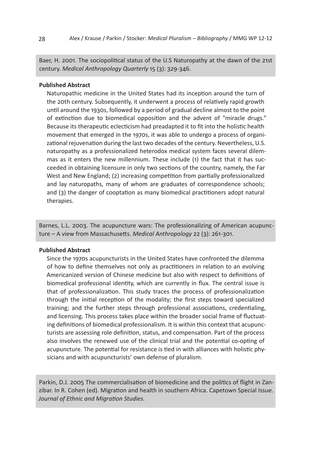Baer, H. 2001. The sociopolitical status of the U.S Naturopathy at the dawn of the 21st century. *Medical Anthropology Quarterly* 15 (3): 329-346.

#### **Published Abstract**

Naturopathic medicine in the United States had its inception around the turn of the 20th century. Subsequently, it underwent a process of relatively rapid growth until around the 1930s, followed by a period of gradual decline almost to the point of extinction due to biomedical opposition and the advent of "miracle drugs." Because its therapeutic eclecticism had preadapted it to fit into the holistic health movement that emerged in the 1970s, it was able to undergo a process of organizational rejuvenation during the last two decades of the century. Nevertheless, U.S. naturopathy as a professionalized heterodox medical system faces several dilemmas as it enters the new millennium. These include (1) the fact that it has succeeded in obtaining licensure in only two sections of the country, namely, the Far West and New England; (2) increasing competition from partially professionalized and lay naturopaths, many of whom are graduates of correspondence schools; and (3) the danger of cooptation as many biomedical practitioners adopt natural therapies.

Barnes, L.L. 2003. The acupuncture wars: The professionalizing of American acupuncture – A view from Massachusetts. *Medical Anthropology* 22 (3): 261-301.

#### **Published Abstract**

Since the 1970s acupuncturists in the United States have confronted the dilemma of how to define themselves not only as practitioners in relation to an evolving Americanized version of Chinese medicine but also with respect to definitions of biomedical professional identity, which are currently in flux. The central issue is that of professionalization. This study traces the process of professionalization through the initial reception of the modality; the first steps toward specialized training; and the further steps through professional associations, credentialing, and licensing. This process takes place within the broader social frame of fluctuating definitions of biomedical professionalism. It is within this context that acupuncturists are assessing role definition, status, and compensation. Part of the process also involves the renewed use of the clinical trial and the potential co-opting of acupuncture. The potential for resistance is tied in with alliances with holistic physicians and with acupuncturists' own defense of pluralism.

Parkin, D.J. 2005 The commercialisation of biomedicine and the politics of flight in Zanzibar. In R. Cohen (ed). Migration and health in southern Africa. Capetown Special Issue. *Journal of Ethnic and Migration Studies.*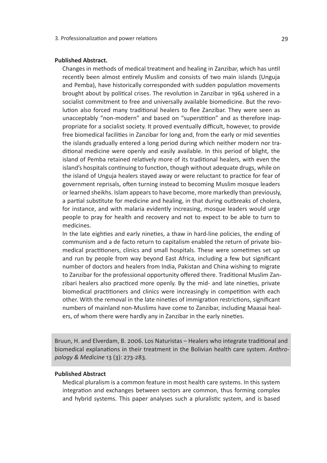#### **Published Abstract.**

Changes in methods of medical treatment and healing in Zanzibar, which has until recently been almost entirely Muslim and consists of two main islands (Unguja and Pemba), have historically corresponded with sudden population movements brought about by political crises. The revolution in Zanzibar in 1964 ushered in a socialist commitment to free and universally available biomedicine. But the revolution also forced many traditional healers to flee Zanzibar. They were seen as unacceptably "non-modern" and based on "superstition" and as therefore inappropriate for a socialist society. It proved eventually difficult, however, to provide free biomedical facilities in Zanzibar for long and, from the early or mid seventies the islands gradually entered a long period during which neither modern nor traditional medicine were openly and easily available. In this period of blight, the island of Pemba retained relatively more of its traditional healers, with even the island's hospitals continuing to function, though without adequate drugs, while on the island of Unguja healers stayed away or were reluctant to practice for fear of government reprisals, often turning instead to becoming Muslim mosque leaders or learned sheikhs. Islam appears to have become, more markedly than previously, a partial substitute for medicine and healing, in that during outbreaks of cholera, for instance, and with malaria evidently increasing, mosque leaders would urge people to pray for health and recovery and not to expect to be able to turn to medicines.

In the late eighties and early nineties, a thaw in hard-line policies, the ending of communism and a de facto return to capitalism enabled the return of private biomedical practitioners, clinics and small hospitals. These were sometimes set up and run by people from way beyond East Africa, including a few but significant number of doctors and healers from India, Pakistan and China wishing to migrate to Zanzibar for the professional opportunity offered there. Traditional Muslim Zanzibari healers also practiced more openly. By the mid- and late nineties, private biomedical practitioners and clinics were increasingly in competition with each other. With the removal in the late nineties of immigration restrictions, significant numbers of mainland non-Muslims have come to Zanzibar, including Maasai healers, of whom there were hardly any in Zanzibar in the early nineties.

Bruun, H. and Elverdam, B. 2006. Los Naturistas – Healers who integrate traditional and biomedical explanations in their treatment in the Bolivian health care system. *Anthropology & Medicine* 13 (3): 273-283.

#### **Published Abstract**

Medical pluralism is a common feature in most health care systems. In this system integration and exchanges between sectors are common, thus forming complex and hybrid systems. This paper analyses such a pluralistic system, and is based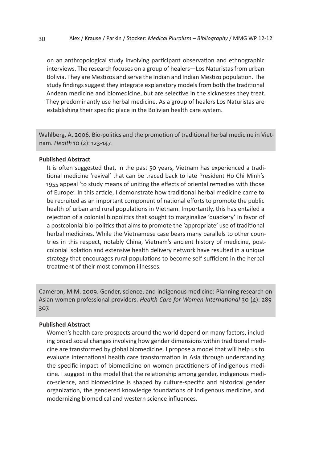on an anthropological study involving participant observation and ethnographic interviews. The research focuses on a group of healers—Los Naturistas from urban Bolivia. They are Mestizos and serve the Indian and Indian Mestizo population. The study findings suggest they integrate explanatory models from both the traditional Andean medicine and biomedicine, but are selective in the sicknesses they treat. They predominantly use herbal medicine. As a group of healers Los Naturistas are establishing their specific place in the Bolivian health care system.

Wahlberg, A. 2006. Bio-politics and the promotion of traditional herbal medicine in Vietnam. *Health* 10 (2): 123-147.

#### **Published Abstract**

It is often suggested that, in the past 50 years, Vietnam has experienced a traditional medicine 'revival' that can be traced back to late President Ho Chi Minh's 1955 appeal 'to study means of uniting the effects of oriental remedies with those of Europe'. In this article, I demonstrate how traditional herbal medicine came to be recruited as an important component of national efforts to promote the public health of urban and rural populations in Vietnam. Importantly, this has entailed a rejection of a colonial biopolitics that sought to marginalize 'quackery' in favor of a postcolonial bio-politics that aims to promote the 'appropriate' use of traditional herbal medicines. While the Vietnamese case bears many parallels to other countries in this respect, notably China, Vietnam's ancient history of medicine, postcolonial isolation and extensive health delivery network have resulted in a unique strategy that encourages rural populations to become self-sufficient in the herbal treatment of their most common illnesses.

Cameron, M.M. 2009. Gender, science, and indigenous medicine: Planning research on Asian women professional providers. *Health Care for Women International* 30 (4): 289- 307.

#### **Published Abstract**

Women's health care prospects around the world depend on many factors, including broad social changes involving how gender dimensions within traditional medicine are transformed by global biomedicine. I propose a model that will help us to evaluate international health care transformation in Asia through understanding the specific impact of biomedicine on women practitioners of indigenous medicine. I suggest in the model that the relationship among gender, indigenous medico-science, and biomedicine is shaped by culture-specific and historical gender organization, the gendered knowledge foundations of indigenous medicine, and modernizing biomedical and western science influences.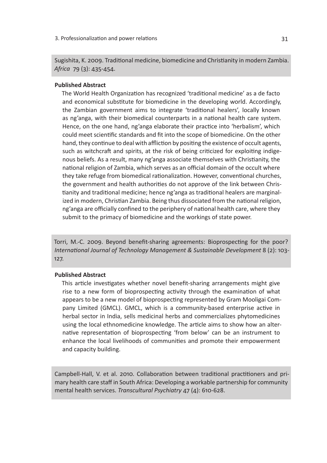Sugishita, K. 2009. Traditional medicine, biomedicine and Christianity in modern Zambia. *Africa* 79 (3): 435-454.

#### **Published Abstract**

The World Health Organization has recognized 'traditional medicine' as a de facto and economical substitute for biomedicine in the developing world. Accordingly, the Zambian government aims to integrate 'traditional healers', locally known as ng'anga, with their biomedical counterparts in a national health care system. Hence, on the one hand, ng'anga elaborate their practice into 'herbalism', which could meet scientific standards and fit into the scope of biomedicine. On the other hand, they continue to deal with affliction by positing the existence of occult agents, such as witchcraft and spirits, at the risk of being criticized for exploiting indigenous beliefs. As a result, many ng'anga associate themselves with Christianity, the national religion of Zambia, which serves as an official domain of the occult where they take refuge from biomedical rationalization. However, conventional churches, the government and health authorities do not approve of the link between Christianity and traditional medicine; hence ng'anga as traditional healers are marginalized in modern, Christian Zambia. Being thus dissociated from the national religion, ng'anga are officially confined to the periphery of national health care, where they submit to the primacy of biomedicine and the workings of state power.

Torri, M.-C. 2009. Beyond benefit-sharing agreements: Bioprospecting for the poor? *International Journal of Technology Management & Sustainable Development* 8 (2): 103- 127.

#### **Published Abstract**

This article investigates whether novel benefit-sharing arrangements might give rise to a new form of bioprospecting activity through the examination of what appears to be a new model of bioprospecting represented by Gram Mooligai Company Limited (GMCL). GMCL, which is a community-based enterprise active in herbal sector in India, sells medicinal herbs and commercializes phytomedicines using the local ethnomedicine knowledge. The article aims to show how an alternative representation of bioprospecting 'from below' can be an instrument to enhance the local livelihoods of communities and promote their empowerment and capacity building.

Campbell-Hall, V. et al. 2010. Collaboration between traditional practitioners and primary health care staff in South Africa: Developing a workable partnership for community mental health services. *Transcultural Psychiatry* 47 (4): 610-628.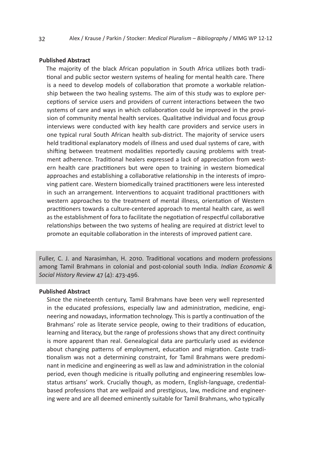#### **Published Abstract**

The majority of the black African population in South Africa utilizes both traditional and public sector western systems of healing for mental health care. There is a need to develop models of collaboration that promote a workable relationship between the two healing systems. The aim of this study was to explore perceptions of service users and providers of current interactions between the two systems of care and ways in which collaboration could be improved in the provision of community mental health services. Qualitative individual and focus group interviews were conducted with key health care providers and service users in one typical rural South African health sub-district. The majority of service users held traditional explanatory models of illness and used dual systems of care, with shifting between treatment modalities reportedly causing problems with treatment adherence. Traditional healers expressed a lack of appreciation from western health care practitioners but were open to training in western biomedical approaches and establishing a collaborative relationship in the interests of improving patient care. Western biomedically trained practitioners were less interested in such an arrangement. Interventions to acquaint traditional practitioners with western approaches to the treatment of mental illness, orientation of Western practitioners towards a culture-centered approach to mental health care, as well as the establishment of fora to facilitate the negotiation of respectful collaborative relationships between the two systems of healing are required at district level to promote an equitable collaboration in the interests of improved patient care.

Fuller, C. J. and Narasimhan, H. 2010. Traditional vocations and modern professions among Tamil Brahmans in colonial and post-colonial south India. *Indian Economic & Social History Review* 47 (4): 473-496.

#### **Published Abstract**

Since the nineteenth century, Tamil Brahmans have been very well represented in the educated professions, especially law and administration, medicine, engineering and nowadays, information technology. This is partly a continuation of the Brahmans' role as literate service people, owing to their traditions of education, learning and literacy, but the range of professions shows that any direct continuity is more apparent than real. Genealogical data are particularly used as evidence about changing patterns of employment, education and migration. Caste traditionalism was not a determining constraint, for Tamil Brahmans were predominant in medicine and engineering as well as law and administration in the colonial period, even though medicine is ritually polluting and engineering resembles lowstatus artisans' work. Crucially though, as modern, English-language, credentialbased professions that are wellpaid and prestigious, law, medicine and engineering were and are all deemed eminently suitable for Tamil Brahmans, who typically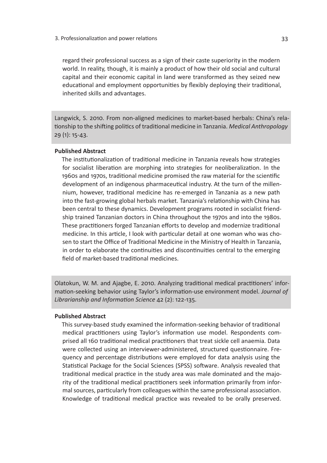regard their professional success as a sign of their caste superiority in the modern world. In reality, though, it is mainly a product of how their old social and cultural capital and their economic capital in land were transformed as they seized new educational and employment opportunities by flexibly deploying their traditional, inherited skills and advantages.

Langwick, S. 2010. From non-aligned medicines to market-based herbals: China's relationship to the shifting politics of traditional medicine in Tanzania. *Medical Anthropology* 29 (1): 15-43.

#### **Published Abstract**

The institutionalization of traditional medicine in Tanzania reveals how strategies for socialist liberation are morphing into strategies for neoliberalization. In the 1960s and 1970s, traditional medicine promised the raw material for the scientific development of an indigenous pharmaceutical industry. At the turn of the millennium, however, traditional medicine has re-emerged in Tanzania as a new path into the fast-growing global herbals market. Tanzania's relationship with China has been central to these dynamics. Development programs rooted in socialist friendship trained Tanzanian doctors in China throughout the 1970s and into the 1980s. These practitioners forged Tanzanian efforts to develop and modernize traditional medicine. In this article, I look with particular detail at one woman who was chosen to start the Office of Traditional Medicine in the Ministry of Health in Tanzania, in order to elaborate the continuities and discontinuities central to the emerging field of market-based traditional medicines.

Olatokun, W. M. and Ajagbe, E. 2010. Analyzing traditional medical practitioners' information-seeking behavior using Taylor's information-use environment model. *Journal of Librarianship and Information Science* 42 (2): 122-135.

#### **Published Abstract**

This survey-based study examined the information-seeking behavior of traditional medical practitioners using Taylor's information use model. Respondents comprised all 160 traditional medical practitioners that treat sickle cell anaemia. Data were collected using an interviewer-administered, structured questionnaire. Frequency and percentage distributions were employed for data analysis using the Statistical Package for the Social Sciences (SPSS) software. Analysis revealed that traditional medical practice in the study area was male dominated and the majority of the traditional medical practitioners seek information primarily from informal sources, particularly from colleagues within the same professional association. Knowledge of traditional medical practice was revealed to be orally preserved.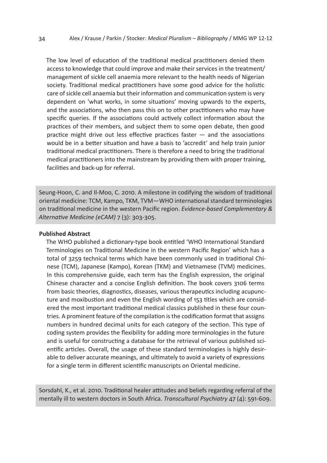The low level of education of the traditional medical practitioners denied them access to knowledge that could improve and make their services in the treatment/ management of sickle cell anaemia more relevant to the health needs of Nigerian society. Traditional medical practitioners have some good advice for the holistic care of sickle cell anaemia but their information and communication system is very dependent on 'what works, in some situations' moving upwards to the experts, and the associations, who then pass this on to other practitioners who may have specific queries. If the associations could actively collect information about the practices of their members, and subject them to some open debate, then good practice might drive out less effective practices faster — and the associations would be in a better situation and have a basis to 'accredit' and help train junior traditional medical practitioners. There is therefore a need to bring the traditional medical practitioners into the mainstream by providing them with proper training, facilities and back-up for referral.

Seung-Hoon, C. and Il-Moo, C. 2010. A milestone in codifying the wisdom of traditional oriental medicine: TCM, Kampo, TKM, TVM—WHO international standard terminologies on traditional medicine in the western Pacific region. *Evidence-based Complementary & Alternative Medicine (eCAM)* 7 (3): 303-305.

#### **Published Abstract**

The WHO published a dictionary-type book entitled 'WHO International Standard Terminologies on Traditional Medicine in the western Pacific Region' which has a total of 3259 technical terms which have been commonly used in traditional Chinese (TCM), Japanese (Kampo), Korean (TKM) and Vietnamese (TVM) medicines. In this comprehensive guide, each term has the English expression, the original Chinese character and a concise English definition. The book covers 3106 terms from basic theories, diagnostics, diseases, various therapeutics including acupuncture and moxibustion and even the English wording of 153 titles which are considered the most important traditional medical classics published in these four countries. A prominent feature of the compilation is the codification format that assigns numbers in hundred decimal units for each category of the section. This type of coding system provides the flexibility for adding more terminologies in the future and is useful for constructing a database for the retrieval of various published scientific articles. Overall, the usage of these standard terminologies is highly desirable to deliver accurate meanings, and ultimately to avoid a variety of expressions for a single term in different scientific manuscripts on Oriental medicine.

Sorsdahl, K., et al. 2010. Traditional healer attitudes and beliefs regarding referral of the mentally ill to western doctors in South Africa. *Transcultural Psychiatry* 47 (4): 591-609.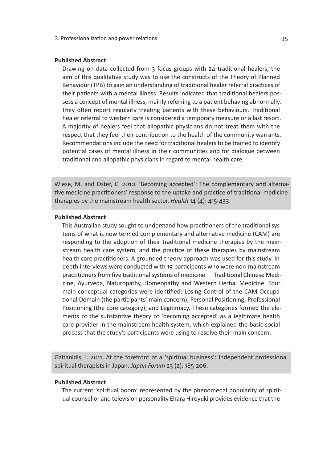#### **Published Abstract**

Drawing on data collected from 3 focus groups with 24 traditional healers, the aim of this qualitative study was to use the constructs of the Theory of Planned Behaviour (TPB) to gain an understanding of traditional healer referral practices of their patients with a mental illness. Results indicated that traditional healers possess a concept of mental illness, mainly referring to a patient behaving abnormally. They often report regularly treating patients with these behaviours. Traditional healer referral to western care is considered a temporary measure or a last resort. A majority of healers feel that allopathic physicians do not treat them with the respect that they feel their contribution to the health of the community warrants. Recommendations include the need for traditional healers to be trained to identify potential cases of mental illness in their communities and for dialogue between traditional and allopathic physicians in regard to mental health care.

Wiese, M. and Oster, C. 2010. 'Becoming accepted': The complementary and alternative medicine practitioners' response to the uptake and practice of traditional medicine therapies by the mainstream health sector. *Health* 14 (4): 415-433.

#### **Published Abstract**

This Australian study sought to understand how practitioners of the traditional systems of what is now termed complementary and alternative medicine (CAM) are responding to the adoption of their traditional medicine therapies by the mainstream health care system, and the practice of these therapies by mainstream health care practitioners. A grounded theory approach was used for this study. Indepth interviews were conducted with 19 participants who were non-mainstream practitioners from five traditional systems of medicine — Traditional Chinese Medicine, Ayurveda, Naturopathy, Homeopathy and Western Herbal Medicine. Four main conceptual categories were identified: Losing Control of the CAM Occupational Domain (the participants' main concern); Personal Positioning; Professional Positioning (the core category); and Legitimacy. These categories formed the elements of the substantive theory of 'becoming accepted' as a legitimate health care provider in the mainstream health system, which explained the basic social process that the study's participants were using to resolve their main concern.

Gaitanidis, I. 2011. At the forefront of a 'spiritual business': Independent professional spiritual therapists in Japan. *Japan Forum* 23 (2): 185-206.

#### **Published Abstract**

The current 'spiritual boom' represented by the phenomenal popularity of spiritual counsellor and television personality Ehara Hiroyuki provides evidence that the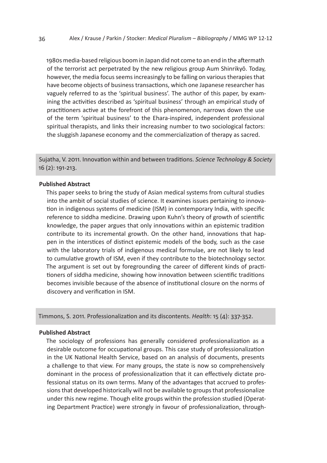1980s media-based religious boom in Japan did not come to an end in the aftermath of the terrorist act perpetrated by the new religious group Aum Shinrikyō. Today, however, the media focus seems increasingly to be falling on various therapies that have become objects of business transactions, which one Japanese researcher has vaguely referred to as the 'spiritual business'. The author of this paper, by examining the activities described as 'spiritual business' through an empirical study of practitioners active at the forefront of this phenomenon, narrows down the use of the term 'spiritual business' to the Ehara-inspired, independent professional spiritual therapists, and links their increasing number to two sociological factors: the sluggish Japanese economy and the commercialization of therapy as sacred.

Sujatha, V. 2011. Innovation within and between traditions. *Science Technology & Society* 16 (2): 191-213.

#### **Published Abstract**

This paper seeks to bring the study of Asian medical systems from cultural studies into the ambit of social studies of science. It examines issues pertaining to innovation in indigenous systems of medicine (ISM) in contemporary India, with specific reference to siddha medicine. Drawing upon Kuhn's theory of growth of scientific knowledge, the paper argues that only innovations within an epistemic tradition contribute to its incremental growth. On the other hand, innovations that happen in the interstices of distinct epistemic models of the body, such as the case with the laboratory trials of indigenous medical formulae, are not likely to lead to cumulative growth of ISM, even if they contribute to the biotechnology sector. The argument is set out by foregrounding the career of different kinds of practitioners of siddha medicine, showing how innovation between scientific traditions becomes invisible because of the absence of institutional closure on the norms of discovery and verification in ISM.

Timmons, S. 2011. Professionalization and its discontents. *Health*: 15 (4): 337-352.

#### **Published Abstract**

The sociology of professions has generally considered professionalization as a desirable outcome for occupational groups. This case study of professionalization in the UK National Health Service, based on an analysis of documents, presents a challenge to that view. For many groups, the state is now so comprehensively dominant in the process of professionalization that it can effectively dictate professional status on its own terms. Many of the advantages that accrued to professions that developed historically will not be available to groups that professionalize under this new regime. Though elite groups within the profession studied (Operating Department Practice) were strongly in favour of professionalization, through-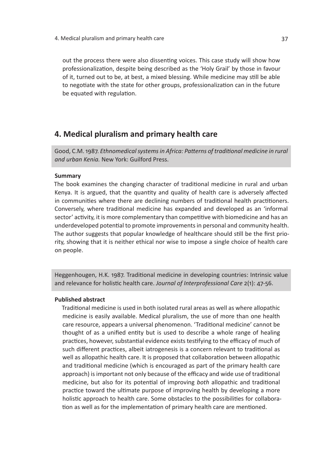out the process there were also dissenting voices. This case study will show how professionalization, despite being described as the 'Holy Grail' by those in favour of it, turned out to be, at best, a mixed blessing. While medicine may still be able to negotiate with the state for other groups, professionalization can in the future be equated with regulation.

# **4. Medical pluralism and primary health care**

Good, C.M. 1987. *Ethnomedical systems in Africa: Patterns of traditional medicine in rural and urban Kenia.* New York: Guilford Press.

#### **Summary**

The book examines the changing character of traditional medicine in rural and urban Kenya. It is argued, that the quantity and quality of health care is adversely affected in communities where there are declining numbers of traditional health practitioners. Conversely, where traditional medicine has expanded and developed as an 'informal sector' activity, it is more complementary than competitive with biomedicine and has an underdeveloped potential to promote improvements in personal and community health. The author suggests that popular knowledge of healthcare should still be the first priority, showing that it is neither ethical nor wise to impose a single choice of health care on people.

Heggenhougen, H.K. 1987. Traditional medicine in developing countries: Intrinsic value and relevance for holistic health care. *Journal of Interprofessional Care* 2(1): 47-56.

# **Published abstract**

Traditional medicine is used in both isolated rural areas as well as where allopathic medicine is easily available. Medical pluralism, the use of more than one health care resource, appears a universal phenomenon. 'Traditional medicine' cannot be thought of as a unified entity but is used to describe a whole range of healing practices, however, substantial evidence exists testifying to the efficacy of much of such different practices, albeit iatrogenesis is a concern relevant to traditional as well as allopathic health care. It is proposed that collaboration between allopathic and traditional medicine (which is encouraged as part of the primary health care approach) is important not only because of the efficacy and wide use of traditional medicine, but also for its potential of improving *both* allopathic and traditional practice toward the ultimate purpose of improving health by developing a more holistic approach to health care. Some obstacles to the possibilities for collaboration as well as for the implementation of primary health care are mentioned.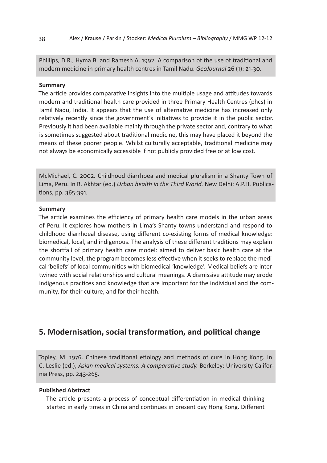Phillips, D.R., Hyma B. and Ramesh A. 1992. A comparison of the use of traditional and modern medicine in primary health centres in Tamil Nadu. *GeoJournal* 26 (1): 21-30.

#### **Summary**

The article provides comparative insights into the multiple usage and attitudes towards modern and traditional health care provided in three Primary Health Centres (phcs) in Tamil Nadu, India. It appears that the use of alternative medicine has increased only relatively recently since the government's initiatives to provide it in the public sector. Previously it had been available mainly through the private sector and, contrary to what is sometimes suggested about traditional medicine, this may have placed it beyond the means of these poorer people. Whilst culturally acceptable, traditional medicine may not always be economically accessible if not publicly provided free or at low cost.

McMichael, C. 2002. Childhood diarrhoea and medical pluralism in a Shanty Town of Lima, Peru. In R. Akhtar (ed.) *Urban health in the Third World.* New Delhi: A.P.H. Publications, pp. 365-391.

#### **Summary**

The article examines the efficiency of primary health care models in the urban areas of Peru. It explores how mothers in Lima's Shanty towns understand and respond to childhood diarrhoeal disease, using different co-existing forms of medical knowledge: biomedical, local, and indigenous. The analysis of these different traditions may explain the shortfall of primary health care model: aimed to deliver basic health care at the community level, the program becomes less effective when it seeks to replace the medical 'beliefs' of local communities with biomedical 'knowledge'. Medical beliefs are intertwined with social relationships and cultural meanings. A dismissive attitude may erode indigenous practices and knowledge that are important for the individual and the community, for their culture, and for their health.

# **5. Modernisation, social transformation, and political change**

Topley, M. 1976. Chinese traditional etiology and methods of cure in Hong Kong. In C. Leslie (ed.), *Asian medical systems. A comparative study.* Berkeley: University California Press, pp. 243-265.

## **Published Abstract**

The article presents a process of conceptual differentiation in medical thinking started in early times in China and continues in present day Hong Kong. Different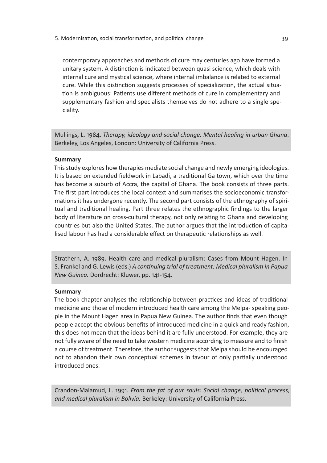5. Modernisation, social transformation, and political change 39

contemporary approaches and methods of cure may centuries ago have formed a unitary system. A distinction is indicated between quasi science, which deals with internal cure and mystical science, where internal imbalance is related to external cure. While this distinction suggests processes of specialization, the actual situation is ambiguous: Patients use different methods of cure in complementary and supplementary fashion and specialists themselves do not adhere to a single speciality.

Mullings, L. 1984. *Therapy, ideology and social change. Mental healing in urban Ghana*. Berkeley, Los Angeles, London: University of California Press.

## **Summary**

This study explores how therapies mediate social change and newly emerging ideologies. It is based on extended fieldwork in Labadi, a traditional Ga town, which over the time has become a suburb of Accra, the capital of Ghana. The book consists of three parts. The first part introduces the local context and summarises the socioeconomic transformations it has undergone recently. The second part consists of the ethnography of spiritual and traditional healing. Part three relates the ethnographic findings to the larger body of literature on cross-cultural therapy, not only relating to Ghana and developing countries but also the United States. The author argues that the introduction of capitalised labour has had a considerable effect on therapeutic relationships as well.

Strathern, A. 1989. Health care and medical pluralism: Cases from Mount Hagen. In S. Frankel and G. Lewis (eds.) *A continuing trial of treatment: Medical pluralism in Papua New Guinea.* Dordrecht: Kluwer, pp. 141-154.

## **Summary**

The book chapter analyses the relationship between practices and ideas of traditional medicine and those of modern introduced health care among the Melpa- speaking people in the Mount Hagen area in Papua New Guinea. The author finds that even though people accept the obvious benefits of introduced medicine in a quick and ready fashion, this does not mean that the ideas behind it are fully understood. For example, they are not fully aware of the need to take western medicine according to measure and to finish a course of treatment. Therefore, the author suggests that Melpa should be encouraged not to abandon their own conceptual schemes in favour of only partially understood introduced ones.

Crandon-Malamud, L. 1991. *From the fat of our souls: Social change, political process, and medical pluralism in Bolivia.* Berkeley: University of California Press.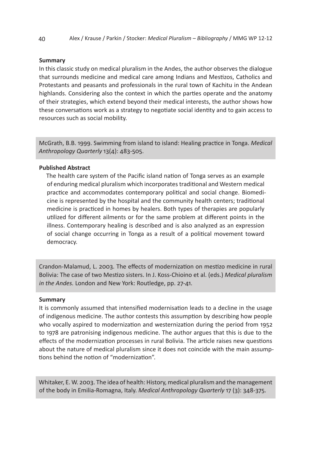## **Summary**

In this classic study on medical pluralism in the Andes, the author observes the dialogue that surrounds medicine and medical care among Indians and Mestizos, Catholics and Protestants and peasants and professionals in the rural town of Kachitu in the Andean highlands. Considering also the context in which the parties operate and the anatomy of their strategies, which extend beyond their medical interests, the author shows how these conversations work as a strategy to negotiate social identity and to gain access to resources such as social mobility.

McGrath, B.B. 1999. Swimming from island to island: Healing practice in Tonga. *Medical Anthropology Quarterly* 13(4): 483-505.

## **Published Abstract**

The health care system of the Pacific island nation of Tonga serves as an example of enduring medical pluralism which incorporates traditional and Western medical practice and accommodates contemporary political and social change. Biomedicine is represented by the hospital and the community health centers; traditional medicine is practiced in homes by healers. Both types of therapies are popularly utilized for different ailments or for the same problem at different points in the illness. Contemporary healing is described and is also analyzed as an expression of social change occurring in Tonga as a result of a political movement toward democracy.

Crandon-Malamud, L. 2003. The effects of modernization on mestizo medicine in rural Bolivia: The case of two Mestizo sisters. In J. Koss-Chioino et al. (eds.) *Medical pluralism in the Andes.* London and New York: Routledge, pp. 27-41.

#### **Summary**

It is commonly assumed that intensified modernisation leads to a decline in the usage of indigenous medicine. The author contests this assumption by describing how people who vocally aspired to modernization and westernization during the period from 1952 to 1978 are patronising indigenous medicine. The author argues that this is due to the effects of the modernization processes in rural Bolivia. The article raises new questions about the nature of medical pluralism since it does not coincide with the main assumptions behind the notion of "modernization".

Whitaker, E. W. 2003. The idea of health: History, medical pluralism and the management of the body in Emilia-Romagna, Italy. *Medical Anthropology Quarterly* 17 (3): 348-375.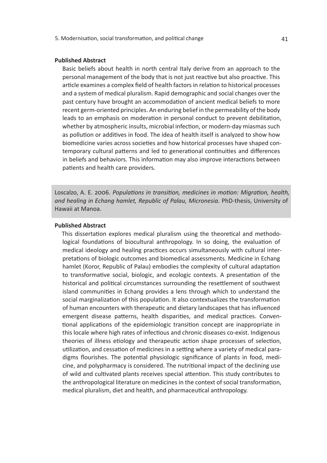### **Published Abstract**

Basic beliefs about health in north central Italy derive from an approach to the personal management of the body that is not just reactive but also proactive. This article examines a complex field of health factors in relation to historical processes and a system of medical pluralism. Rapid demographic and social changes over the past century have brought an accommodation of ancient medical beliefs to more recent germ-oriented principles. An enduring belief in the permeability of the body leads to an emphasis on moderation in personal conduct to prevent debilitation, whether by atmospheric insults, microbial infection, or modern-day miasmas such as pollution or additives in food. The idea of health itself is analyzed to show how biomedicine varies across societies and how historical processes have shaped contemporary cultural patterns and led to generational continuities and differences in beliefs and behaviors. This information may also improve interactions between patients and health care providers.

Loscalzo, A. E. 2006. *Populations in transition, medicines in motion: Migration, health, and healing in Echang hamlet, Republic of Palau, Micronesia.* PhD-thesis, University of Hawaii at Manoa.

# **Published Abstract**

This dissertation explores medical pluralism using the theoretical and methodological foundations of biocultural anthropology. In so doing, the evaluation of medical ideology and healing practices occurs simultaneously with cultural interpretations of biologic outcomes and biomedical assessments. Medicine in Echang hamlet (Koror, Republic of Palau) embodies the complexity of cultural adaptation to transformative social, biologic, and ecologic contexts. A presentation of the historical and political circumstances surrounding the resettlement of southwest island communities in Echang provides a lens through which to understand the social marginalization of this population. It also contextualizes the transformation of human encounters with therapeutic and dietary landscapes that has influenced emergent disease patterns, health disparities, and medical practices. Conventional applications of the epidemiologic transition concept are inappropriate in this locale where high rates of infectious and chronic diseases co-exist. Indigenous theories of illness etiology and therapeutic action shape processes of selection, utilization, and cessation of medicines in a setting where a variety of medical paradigms flourishes. The potential physiologic significance of plants in food, medicine, and polypharmacy is considered. The nutritional impact of the declining use of wild and cultivated plants receives special attention. This study contributes to the anthropological literature on medicines in the context of social transformation, medical pluralism, diet and health, and pharmaceutical anthropology.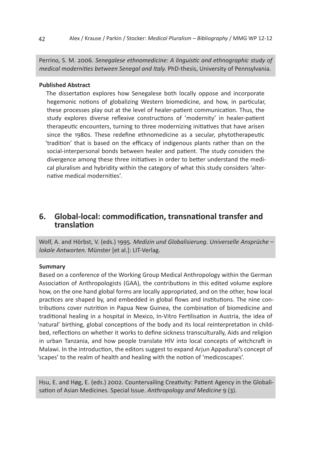Perrino, S. M. 2006. *Senegalese ethnomedicine: A linguistic and ethnographic study of medical modernities between Senegal and Italy.* PhD-thesis, University of Pennsylvania.

## **Published Abstract**

The dissertation explores how Senegalese both locally oppose and incorporate hegemonic notions of globalizing Western biomedicine, and how, in particular, these processes play out at the level of healer-patient communication. Thus, the study explores diverse reflexive constructions of 'modernity' in healer-patient therapeutic encounters, turning to three modernizing initiatives that have arisen since the 1980s. These redefine ethnomedicine as a secular, phytotherapeutic 'tradition' that is based on the efficacy of indigenous plants rather than on the social-interpersonal bonds between healer and patient. The study considers the divergence among these three initiatives in order to better understand the medical pluralism and hybridity within the category of what this study considers 'alternative medical modernities'.

# **6. Global-local: commodification, transnational transfer and translation**

Wolf, A. and Hörbst, V. (eds.) 1995*. Medizin und Globalisierung. Universelle Ansprüche – lokale Antworten.* Münster [et al.]: LIT-Verlag.

#### **Summary**

Based on a conference of the Working Group Medical Anthropology within the German Association of Anthropologists (GAA), the contributions in this edited volume explore how, on the one hand global forms are locally appropriated, and on the other, how local practices are shaped by, and embedded in global flows and institutions. The nine contributions cover nutrition in Papua New Guinea, the combination of biomedicine and traditional healing in a hospital in Mexico, In-Vitro Fertilisation in Austria, the idea of 'natural' birthing, global conceptions of the body and its local reinterpretation in childbed, reflections on whether it works to define sickness transculturally, Aids and religion in urban Tanzania, and how people translate HIV into local concepts of witchcraft in Malawi. In the introduction, the editors suggest to expand Arjun Appadurai's concept of 'scapes' to the realm of health and healing with the notion of 'medicoscapes'.

Hsu, E. and Høg, E. (eds.) 2002. Countervailing Creativity: Patient Agency in the Globalisation of Asian Medicines. Special Issue. *Anthropology and Medicine* 9 (3).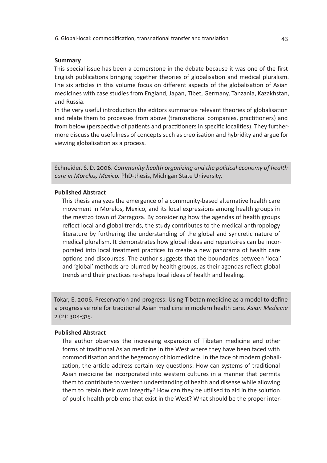#### **Summary**

This special issue has been a cornerstone in the debate because it was one of the first English publications bringing together theories of globalisation and medical pluralism. The six articles in this volume focus on different aspects of the globalisation of Asian medicines with case studies from England, Japan, Tibet, Germany, Tanzania, Kazakhstan, and Russia.

In the very useful introduction the editors summarize relevant theories of globalisation and relate them to processes from above (transnational companies, practitioners) and from below (perspective of patients and practitioners in specific localities). They furthermore discuss the usefulness of concepts such as creolisation and hybridity and argue for viewing globalisation as a process.

Schneider, S. D. 2006. *Community health organizing and the political economy of health care in Morelos, Mexico.* PhD-thesis, Michigan State University.

#### **Published Abstract**

This thesis analyzes the emergence of a community-based alternative health care movement in Morelos, Mexico, and its local expressions among health groups in the mestizo town of Zarragoza. By considering how the agendas of health groups reflect local and global trends, the study contributes to the medical anthropology literature by furthering the understanding of the global and syncretic nature of medical pluralism. It demonstrates how global ideas and repertoires can be incorporated into local treatment practices to create a new panorama of health care options and discourses. The author suggests that the boundaries between 'local' and 'global' methods are blurred by health groups, as their agendas reflect global trends and their practices re-shape local ideas of health and healing.

Tokar, E. 2006. Preservation and progress: Using Tibetan medicine as a model to define a progressive role for traditional Asian medicine in modern health care. *Asian Medicine*  2 (2): 304-315.

### **Published Abstract**

The author observes the increasing expansion of Tibetan medicine and other forms of traditional Asian medicine in the West where they have been faced with commoditisation and the hegemony of biomedicine. In the face of modern globalization, the article address certain key questions: How can systems of traditional Asian medicine be incorporated into western cultures in a manner that permits them to contribute to western understanding of health and disease while allowing them to retain their own integrity? How can they be utilised to aid in the solution of public health problems that exist in the West? What should be the proper inter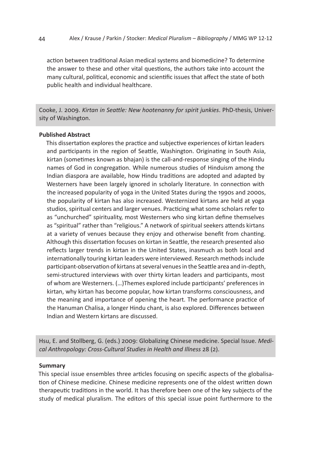action between traditional Asian medical systems and biomedicine? To determine the answer to these and other vital questions, the authors take into account the many cultural, political, economic and scientific issues that affect the state of both public health and individual healthcare.

Cooke, J. 2009. *Kirtan in Seattle: New hootenanny for spirit junkies*. PhD-thesis, University of Washington.

# **Published Abstract**

This dissertation explores the practice and subjective experiences of kirtan leaders and participants in the region of Seattle, Washington. Originating in South Asia, kirtan (sometimes known as bhajan) is the call-and-response singing of the Hindu names of God in congregation. While numerous studies of Hinduism among the Indian diaspora are available, how Hindu traditions are adopted and adapted by Westerners have been largely ignored in scholarly literature. In connection with the increased popularity of yoga in the United States during the 1990s and 2000s, the popularity of kirtan has also increased. Westernized kirtans are held at yoga studios, spiritual centers and larger venues. Practicing what some scholars refer to as "unchurched" spirituality, most Westerners who sing kirtan define themselves as "spiritual" rather than "religious." A network of spiritual seekers attends kirtans at a variety of venues because they enjoy and otherwise benefit from chanting. Although this dissertation focuses on kirtan in Seattle, the research presented also reflects larger trends in kirtan in the United States, inasmuch as both local and internationally touring kirtan leaders were interviewed. Research methods include participant-observation of kirtans at several venues in the Seattle area and in-depth, semi-structured interviews with over thirty kirtan leaders and participants, most of whom are Westerners. (…)Themes explored include participants' preferences in kirtan, why kirtan has become popular, how kirtan transforms consciousness, and the meaning and importance of opening the heart. The performance practice of the Hanuman Chalisa, a longer Hindu chant, is also explored. Differences between Indian and Western kirtans are discussed.

Hsu, E. and Stollberg, G. (eds.) 2009: Globalizing Chinese medicine. Special Issue. *Medical Anthropology: Cross-Cultural Studies in Health and Illness* 28 (2).

# **Summary**

This special issue ensembles three articles focusing on specific aspects of the globalisation of Chinese medicine. Chinese medicine represents one of the oldest written down therapeutic traditions in the world. It has therefore been one of the key subjects of the study of medical pluralism. The editors of this special issue point furthermore to the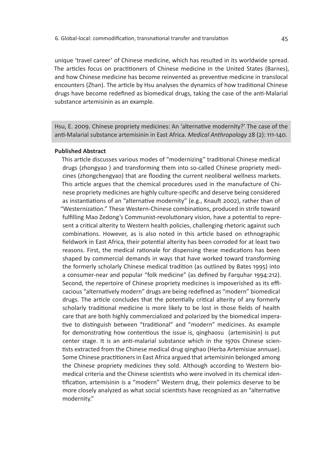unique 'travel career' of Chinese medicine, which has resulted in its worldwide spread. The articles focus on practitioners of Chinese medicine in the United States (Barnes), and how Chinese medicine has become reinvented as preventive medicine in translocal encounters (Zhan). The article by Hsu analyses the dynamics of how traditional Chinese drugs have become redefined as biomedical drugs, taking the case of the anti-Malarial substance artemisinin as an example.

Hsu, E. 2009. Chinese propriety medicines: An 'alternative modernity?' The case of the anti-Malarial substance artemisinin in East Africa. *Medical Anthropology* 28 (2): 111-140.

#### **Published Abstract**

This article discusses various modes of "modernizing" traditional Chinese medical drugs (zhongyao ) and transforming them into so-called Chinese propriety medicines (zhongchengyao) that are flooding the current neoliberal wellness markets. This article argues that the chemical procedures used in the manufacture of Chinese propriety medicines are highly culture-specific and deserve being considered as instantiations of an "alternative modernity" (e.g., Knauft 2002), rather than of "Westernization." These Western-Chinese combinations, produced in strife toward fulfilling Mao Zedong's Communist-revolutionary vision, have a potential to represent a critical alterity to Western health policies, challenging rhetoric against such combinations. However, as is also noted in this article based on ethnographic fieldwork in East Africa, their potential alterity has been corroded for at least two reasons. First, the medical rationale for dispensing these medications has been shaped by commercial demands in ways that have worked toward transforming the formerly scholarly Chinese medical tradition (as outlined by Bates 1995) into a consumer-near and popular "folk medicine" (as defined by Farquhar 1994:212). Second, the repertoire of Chinese propriety medicines is impoverished as its efficacious "alternatively modern" drugs are being redefined as "modern" biomedical drugs. The article concludes that the potentially critical alterity of any formerly scholarly traditional medicine is more likely to be lost in those fields of health care that are both highly commercialized and polarized by the biomedical imperative to distinguish between "traditional" and "modern" medicines. As example for demonstrating how contentious the issue is, qinghaosu (artemisinin) is put center stage. It is an anti-malarial substance which in the 1970s Chinese scientists extracted from the Chinese medical drug qinghao (Herba Artemisiae annuae). Some Chinese practitioners in East Africa argued that artemisinin belonged among the Chinese propriety medicines they sold. Although according to Western biomedical criteria and the Chinese scientists who were involved in its chemical identification, artemisinin is a "modern" Western drug, their polemics deserve to be more closely analyzed as what social scientists have recognized as an "alternative modernity."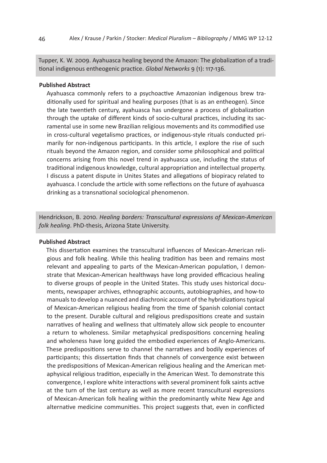Tupper, K. W. 2009. Ayahuasca healing beyond the Amazon: The globalization of a traditional indigenous entheogenic practice. *Global Networks* 9 (1): 117-136.

#### **Published Abstract**

Ayahuasca commonly refers to a psychoactive Amazonian indigenous brew traditionally used for spiritual and healing purposes (that is as an entheogen). Since the late twentieth century, ayahuasca has undergone a process of globalization through the uptake of different kinds of socio-cultural practices, including its sacramental use in some new Brazilian religious movements and its commodified use in cross-cultural vegetalismo practices, or indigenous-style rituals conducted primarily for non-indigenous participants. In this article, I explore the rise of such rituals beyond the Amazon region, and consider some philosophical and political concerns arising from this novel trend in ayahuasca use, including the status of traditional indigenous knowledge, cultural appropriation and intellectual property. I discuss a patent dispute in Unites States and allegations of biopiracy related to ayahuasca. I conclude the article with some reflections on the future of ayahuasca drinking as a transnational sociological phenomenon.

Hendrickson, B. 2010. *Healing borders: Transcultural expressions of Mexican-American folk healing*. PhD-thesis, Arizona State University.

#### **Published Abstract**

This dissertation examines the transcultural influences of Mexican-American religious and folk healing. While this healing tradition has been and remains most relevant and appealing to parts of the Mexican-American population, I demonstrate that Mexican-American healthways have long provided efficacious healing to diverse groups of people in the United States. This study uses historical documents, newspaper archives, ethnographic accounts, autobiographies, and how-to manuals to develop a nuanced and diachronic account of the hybridizations typical of Mexican-American religious healing from the time of Spanish colonial contact to the present. Durable cultural and religious predispositions create and sustain narratives of healing and wellness that ultimately allow sick people to encounter a return to wholeness. Similar metaphysical predispositions concerning healing and wholeness have long guided the embodied experiences of Anglo-Americans. These predispositions serve to channel the narratives and bodily experiences of participants; this dissertation finds that channels of convergence exist between the predispositions of Mexican-American religious healing and the American metaphysical religious tradition, especially in the American West. To demonstrate this convergence, I explore white interactions with several prominent folk saints active at the turn of the last century as well as more recent transcultural expressions of Mexican-American folk healing within the predominantly white New Age and alternative medicine communities. This project suggests that, even in conflicted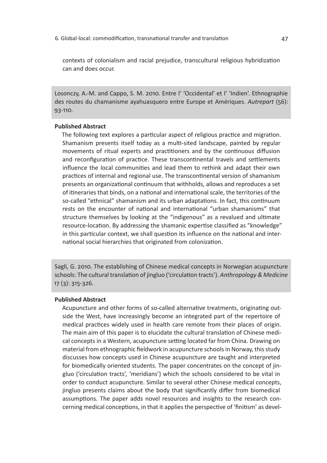contexts of colonialism and racial prejudice, transcultural religious hybridization can and does occur.

Losonczy, A.-M. and Cappo, S. M. 2010. Entre I' 'Occidental' et I' 'Indien'. Ethnographie des routes du chamanisme ayahuasquero entre Europe et Amériques. *Autrepart* (56): 93-110.

#### **Published Abstract**

The following text explores a particular aspect of religious practice and migration. Shamanism presents itself today as a multi-sited landscape, painted by regular movements of ritual experts and practitioners and by the continuous diffusion and reconfiguration of practice. These transcontinental travels and settlements influence the local communities and lead them to rethink and adapt their own practices of internal and regional use. The transcontinental version of shamanism presents an organizational continuum that withholds, allows and reproduces a set of itineraries that binds, on a national and international scale, the territories of the so-called "ethnical" shamanism and its urban adaptations. In fact, this continuum rests on the encounter of national and international "urban shamanisms" that structure themselves by looking at the "indigenous" as a revalued and ultimate resource-location. By addressing the shamanic expertise classified as "knowledge" in this particular context, we shall question its influence on the national and international social hierarchies that originated from colonization.

Sagli, G. 2010. The establishing of Chinese medical concepts in Norwegian acupuncture schools: The cultural translation of jingluo ('circulation tracts'). *Anthropology & Medicine* 17 (3): 315-326.

# **Published Abstract**

Acupuncture and other forms of so-called alternative treatments, originating outside the West, have increasingly become an integrated part of the repertoire of medical practices widely used in health care remote from their places of origin. The main aim of this paper is to elucidate the cultural translation of Chinese medical concepts in a Western, acupuncture setting located far from China. Drawing on material from ethnographic fieldwork in acupuncture schools in Norway, this study discusses how concepts used in Chinese acupuncture are taught and interpreted for biomedically oriented students. The paper concentrates on the concept of jingluo ('circulation tracts', 'meridians') which the schools considered to be vital in order to conduct acupuncture. Similar to several other Chinese medical concepts, jingluo presents claims about the body that significantly differ from biomedical assumptions. The paper adds novel resources and insights to the research concerning medical conceptions, in that it applies the perspective of 'finitism' as devel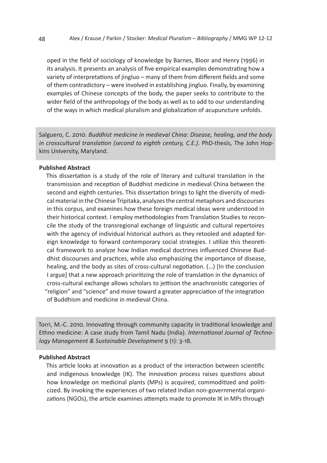oped in the field of sociology of knowledge by Barnes, Bloor and Henry (1996) in its analysis. It presents an analysis of five empirical examples demonstrating how a variety of interpretations of jingluo – many of them from different fields and some of them contradictory – were involved in establishing jingluo. Finally, by examining examples of Chinese concepts of the body, the paper seeks to contribute to the wider field of the anthropology of the body as well as to add to our understanding of the ways in which medical pluralism and globalization of acupuncture unfolds.

Salguero, C. 2010. *Buddhist medicine in medieval China: Disease, healing, and the body in crosscultural translation (second to eighth century, C.E.)*. PhD-thesis, The John Hopkins University, Maryland.

#### **Published Abstract**

This dissertation is a study of the role of literary and cultural translation in the transmission and reception of Buddhist medicine in medieval China between the second and eighth centuries. This dissertation brings to light the diversity of medical material in the Chinese Tripitaka, analyzes the central metaphors and discourses in this corpus, and examines how these foreign medical ideas were understood in their historical context. I employ methodologies from Translation Studies to reconcile the study of the transregional exchange of linguistic and cultural repertoires with the agency of individual historical authors as they retooled and adapted foreign knowledge to forward contemporary social strategies. I utilize this theoretical framework to analyze how Indian medical doctrines influenced Chinese Buddhist discourses and practices, while also emphasizing the importance of disease, healing, and the body as sites of cross-cultural negotiation. (…) [In the conclusion I argue] that a new approach prioritizing the role of translation in the dynamics of cross-cultural exchange allows scholars to jettison the anachronistic categories of "religion" and "science" and move toward a greater appreciation of the integration of Buddhism and medicine in medieval China.

Torri, M.-C. 2010. Innovating through community capacity in traditional knowledge and Ethno medicine: A case study from Tamil Nadu (India). *International Journal of Technology Management & Sustainable Development* 9 (1): 3-18.

# **Published Abstract**

This article looks at innovation as a product of the interaction between scientific and indigenous knowledge (IK). The innovation process raises questions about how knowledge on medicinal plants (MPs) is acquired, commoditized and politicized. By invoking the experiences of two related Indian non-governmental organizations (NGOs), the article examines attempts made to promote IK in MPs through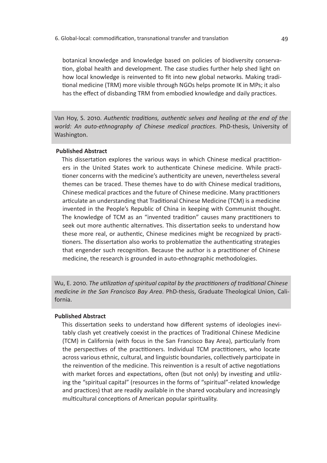botanical knowledge and knowledge based on policies of biodiversity conservation, global health and development. The case studies further help shed light on how local knowledge is reinvented to fit into new global networks. Making traditional medicine (TRM) more visible through NGOs helps promote IK in MPs; it also has the effect of disbanding TRM from embodied knowledge and daily practices.

Van Hoy, S. 2010. *Authentic traditions, authentic selves and healing at the end of the world: An auto-ethnography of Chinese medical practices*. PhD-thesis, University of Washington.

#### **Published Abstract**

This dissertation explores the various ways in which Chinese medical practitioners in the United States work to authenticate Chinese medicine. While practitioner concerns with the medicine's authenticity are uneven, nevertheless several themes can be traced. These themes have to do with Chinese medical traditions, Chinese medical practices and the future of Chinese medicine. Many practitioners articulate an understanding that Traditional Chinese Medicine (TCM) is a medicine invented in the People's Republic of China in keeping with Communist thought. The knowledge of TCM as an "invented tradition" causes many practitioners to seek out more authentic alternatives. This dissertation seeks to understand how these more real, or authentic, Chinese medicines might be recognized by practitioners. The dissertation also works to problematize the authenticating strategies that engender such recognition. Because the author is a practitioner of Chinese medicine, the research is grounded in auto-ethnographic methodologies.

Wu, E. 2010. *The utilization of spiritual capital by the practitioners of traditional Chinese medicine in the San Francisco Bay Area*. PhD-thesis, Graduate Theological Union, California.

### **Published Abstract**

This dissertation seeks to understand how different systems of ideologies inevitably clash yet creatively coexist in the practices of Traditional Chinese Medicine (TCM) in California (with focus in the San Francisco Bay Area), particularly from the perspectives of the practitioners. Individual TCM practitioners, who locate across various ethnic, cultural, and linguistic boundaries, collectively participate in the reinvention of the medicine. This reinvention is a result of active negotiations with market forces and expectations, often (but not only) by investing and utilizing the "spiritual capital" (resources in the forms of "spiritual"-related knowledge and practices) that are readily available in the shared vocabulary and increasingly multicultural conceptions of American popular spirituality.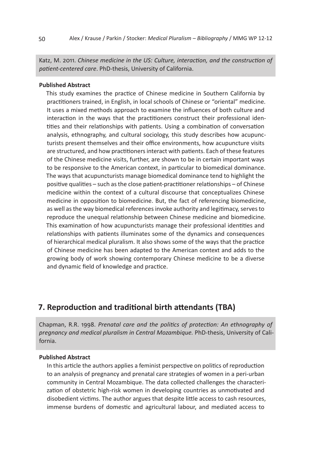Katz, M. 2011. *Chinese medicine in the US: Culture, interaction, and the construction of patient-centered care*. PhD-thesis, University of California.

### **Published Abstract**

This study examines the practice of Chinese medicine in Southern California by practitioners trained, in English, in local schools of Chinese or "oriental" medicine. It uses a mixed methods approach to examine the influences of both culture and interaction in the ways that the practitioners construct their professional identities and their relationships with patients. Using a combination of conversation analysis, ethnography, and cultural sociology, this study describes how acupuncturists present themselves and their office environments, how acupuncture visits are structured, and how practitioners interact with patients. Each of these features of the Chinese medicine visits, further, are shown to be in certain important ways to be responsive to the American context, in particular to biomedical dominance. The ways that acupuncturists manage biomedical dominance tend to highlight the positive qualities – such as the close patient-practitioner relationships – of Chinese medicine within the context of a cultural discourse that conceptualizes Chinese medicine in opposition to biomedicine. But, the fact of referencing biomedicine, as well as the way biomedical references invoke authority and legitimacy, serves to reproduce the unequal relationship between Chinese medicine and biomedicine. This examination of how acupuncturists manage their professional identities and relationships with patients illuminates some of the dynamics and consequences of hierarchical medical pluralism. It also shows some of the ways that the practice of Chinese medicine has been adapted to the American context and adds to the growing body of work showing contemporary Chinese medicine to be a diverse and dynamic field of knowledge and practice.

# **7. Reproduction and traditional birth attendants (TBA)**

Chapman, R.R. 1998. *Prenatal care and the politics of protection: An ethnography of pregnancy and medical pluralism in Central Mozambique.* PhD-thesis, University of California.

# **Published Abstract**

In this article the authors applies a feminist perspective on politics of reproduction to an analysis of pregnancy and prenatal care strategies of women in a peri-urban community in Central Mozambique. The data collected challenges the characterization of obstetric high-risk women in developing countries as unmotivated and disobedient victims. The author argues that despite little access to cash resources, immense burdens of domestic and agricultural labour, and mediated access to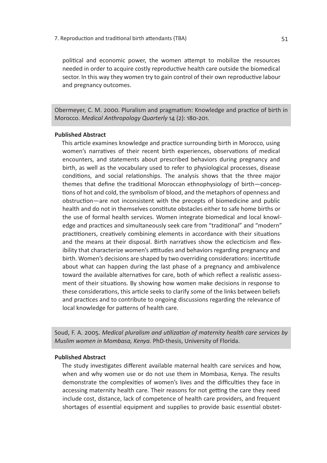political and economic power, the women attempt to mobilize the resources needed in order to acquire costly reproductive health care outside the biomedical sector. In this way they women try to gain control of their own reproductive labour and pregnancy outcomes.

Obermeyer, C. M. 2000. Pluralism and pragmatism: Knowledge and practice of birth in Morocco. *Medical Anthropology Quarterly* 14 (2): 180-201.

# **Published Abstract**

This article examines knowledge and practice surrounding birth in Morocco, using women's narratives of their recent birth experiences, observations of medical encounters, and statements about prescribed behaviors during pregnancy and birth, as well as the vocabulary used to refer to physiological processes, disease conditions, and social relationships. The analysis shows that the three major themes that define the traditional Moroccan ethnophysiology of birth—conceptions of hot and cold, the symbolism of blood, and the metaphors of openness and obstruction—are not inconsistent with the precepts of biomedicine and public health and do not in themselves constitute obstacles either to safe home births or the use of formal health services. Women integrate biomedical and local knowledge and practices and simultaneously seek care from "traditional" and "modern" practitioners, creatively combining elements in accordance with their situations and the means at their disposal. Birth narratives show the eclecticism and flexibility that characterize women's attitudes and behaviors regarding pregnancy and birth. Women's decisions are shaped by two overriding considerations: incertitude about what can happen during the last phase of a pregnancy and ambivalence toward the available alternatives for care, both of which reflect a realistic assessment of their situations. By showing how women make decisions in response to these considerations, this article seeks to clarify some of the links between beliefs and practices and to contribute to ongoing discussions regarding the relevance of local knowledge for patterns of health care.

Soud, F. A. 2005. *Medical pluralism and utilization of maternity health care services by Muslim women in Mombasa, Kenya.* PhD-thesis, University of Florida.

## **Published Abstract**

The study investigates different available maternal health care services and how, when and why women use or do not use them in Mombasa, Kenya. The results demonstrate the complexities of women's lives and the difficulties they face in accessing maternity health care. Their reasons for not getting the care they need include cost, distance, lack of competence of health care providers, and frequent shortages of essential equipment and supplies to provide basic essential obstet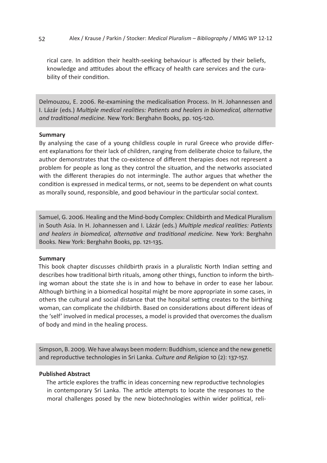rical care. In addition their health-seeking behaviour is affected by their beliefs, knowledge and attitudes about the efficacy of health care services and the curability of their condition.

Delmouzou, E. 2006. Re-examining the medicalisation Process. In H. Johannessen and I. Lázár (eds.) *Multiple medical realities: Patients and healers in biomedical, alternative and traditional medicine.* New York: Berghahn Books, pp. 105-120.

# **Summary**

By analysing the case of a young childless couple in rural Greece who provide different explanations for their lack of children, ranging from deliberate choice to failure, the author demonstrates that the co-existence of different therapies does not represent a problem for people as long as they control the situation, and the networks associated with the different therapies do not intermingle. The author argues that whether the condition is expressed in medical terms, or not, seems to be dependent on what counts as morally sound, responsible, and good behaviour in the particular social context.

Samuel, G. 2006. Healing and the Mind-body Complex: Childbirth and Medical Pluralism in South Asia. In H. Johannessen and I. Lázár (eds.) *Multiple medical realities: Patients and healers in biomedical, alternative and traditional medicine.* New York: Berghahn Books*.* New York: Berghahn Books, pp. 121-135.

# **Summary**

This book chapter discusses childbirth praxis in a pluralistic North Indian setting and describes how traditional birth rituals, among other things, function to inform the birthing woman about the state she is in and how to behave in order to ease her labour. Although birthing in a biomedical hospital might be more appropriate in some cases, in others the cultural and social distance that the hospital setting creates to the birthing woman, can complicate the childbirth. Based on considerations about different ideas of the 'self' involved in medical processes, a model is provided that overcomes the dualism of body and mind in the healing process.

Simpson, B. 2009. We have always been modern: Buddhism, science and the new genetic and reproductive technologies in Sri Lanka. *Culture and Religion* 10 (2): 137-157.

# **Published Abstract**

The article explores the traffic in ideas concerning new reproductive technologies in contemporary Sri Lanka. The article attempts to locate the responses to the moral challenges posed by the new biotechnologies within wider political, reli-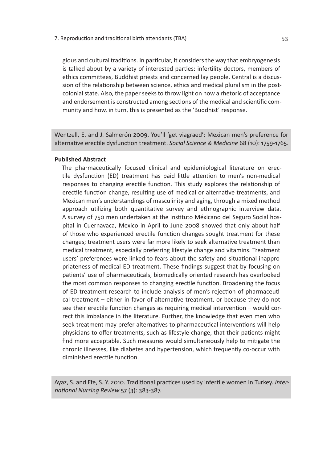gious and cultural traditions. In particular, it considers the way that embryogenesis is talked about by a variety of interested parties: infertility doctors, members of ethics committees, Buddhist priests and concerned lay people. Central is a discussion of the relationship between science, ethics and medical pluralism in the postcolonial state. Also, the paper seeks to throw light on how a rhetoric of acceptance and endorsement is constructed among sections of the medical and scientific community and how, in turn, this is presented as the 'Buddhist' response.

Wentzell, E. and J. Salmerón 2009. You'll 'get viagraed': Mexican men's preference for alternative erectile dysfunction treatment. *Social Science & Medicine* 68 (10): 1759-1765.

# **Published Abstract**

The pharmaceutically focused clinical and epidemiological literature on erectile dysfunction (ED) treatment has paid little attention to men's non-medical responses to changing erectile function. This study explores the relationship of erectile function change, resulting use of medical or alternative treatments, and Mexican men's understandings of masculinity and aging, through a mixed method approach utilizing both quantitative survey and ethnographic interview data. A survey of 750 men undertaken at the Instituto Méxicano del Seguro Social hospital in Cuernavaca, Mexico in April to June 2008 showed that only about half of those who experienced erectile function changes sought treatment for these changes; treatment users were far more likely to seek alternative treatment than medical treatment, especially preferring lifestyle change and vitamins. Treatment users' preferences were linked to fears about the safety and situational inappropriateness of medical ED treatment. These findings suggest that by focusing on patients' use of pharmaceuticals, biomedically oriented research has overlooked the most common responses to changing erectile function. Broadening the focus of ED treatment research to include analysis of men's rejection of pharmaceutical treatment – either in favor of alternative treatment, or because they do not see their erectile function changes as requiring medical intervention – would correct this imbalance in the literature. Further, the knowledge that even men who seek treatment may prefer alternatives to pharmaceutical interventions will help physicians to offer treatments, such as lifestyle change, that their patients might find more acceptable. Such measures would simultaneously help to mitigate the chronic illnesses, like diabetes and hypertension, which frequently co-occur with diminished erectile function.

Ayaz, S. and Efe, S. Y. 2010. Traditional practices used by infertile women in Turkey. *International Nursing Review* 57 (3): 383-387.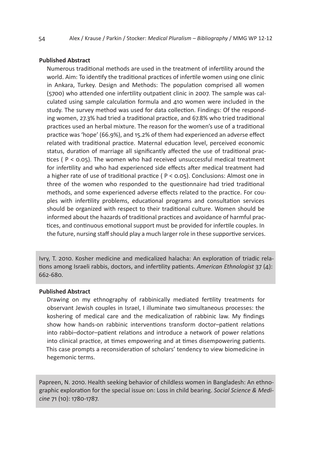#### **Published Abstract**

Numerous traditional methods are used in the treatment of infertility around the world. Aim: To identify the traditional practices of infertile women using one clinic in Ankara, Turkey. Design and Methods: The population comprised all women (5700) who attended one infertility outpatient clinic in 2007. The sample was calculated using sample calculation formula and 410 women were included in the study. The survey method was used for data collection. Findings: Of the responding women, 27.3% had tried a traditional practice, and 67.8% who tried traditional practices used an herbal mixture. The reason for the women's use of a traditional practice was 'hope' (66.9%), and 15.2% of them had experienced an adverse effect related with traditional practice. Maternal education level, perceived economic status, duration of marriage all significantly affected the use of traditional practices ( P < 0.05). The women who had received unsuccessful medical treatment for infertility and who had experienced side effects after medical treatment had a higher rate of use of traditional practice ( P < 0.05). Conclusions: Almost one in three of the women who responded to the questionnaire had tried traditional methods, and some experienced adverse effects related to the practice. For couples with infertility problems, educational programs and consultation services should be organized with respect to their traditional culture. Women should be informed about the hazards of traditional practices and avoidance of harmful practices, and continuous emotional support must be provided for infertile couples. In the future, nursing staff should play a much larger role in these supportive services.

Ivry, T. 2010. Kosher medicine and medicalized halacha: An exploration of triadic relations among Israeli rabbis, doctors, and infertility patients. *American Ethnologist* 37 (4): 662-680.

## **Published Abstract**

Drawing on my ethnography of rabbinically mediated fertility treatments for observant Jewish couples in Israel, I illuminate two simultaneous processes: the koshering of medical care and the medicalization of rabbinic law. My findings show how hands-on rabbinic interventions transform doctor–patient relations into rabbi–doctor–patient relations and introduce a network of power relations into clinical practice, at times empowering and at times disempowering patients. This case prompts a reconsideration of scholars' tendency to view biomedicine in hegemonic terms.

Papreen, N. 2010. Health seeking behavior of childless women in Bangladesh: An ethnographic exploration for the special issue on: Loss in child bearing. *Social Science & Medicine* 71 (10): 1780-1787.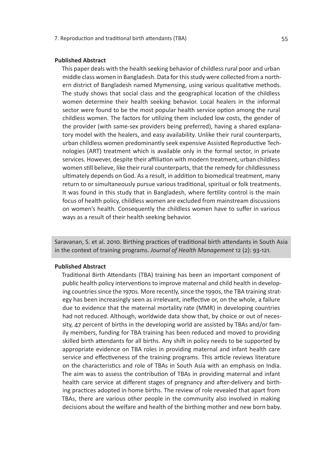### **Published Abstract**

This paper deals with the health seeking behavior of childless rural poor and urban middle class women in Bangladesh. Data for this study were collected from a northern district of Bangladesh named Mymensing, using various qualitative methods. The study shows that social class and the geographical location of the childless women determine their health seeking behavior. Local healers in the informal sector were found to be the most popular health service option among the rural childless women. The factors for utilizing them included low costs, the gender of the provider (with same-sex providers being preferred), having a shared explanatory model with the healers, and easy availability. Unlike their rural counterparts, urban childless women predominantly seek expensive Assisted Reproductive Technologies (ART) treatment which is available only in the formal sector, in private services. However, despite their affiliation with modern treatment, urban childless women still believe, like their rural counterparts, that the remedy for childlessness ultimately depends on God. As a result, in addition to biomedical treatment, many return to or simultaneously pursue various traditional, spiritual or folk treatments. It was found in this study that in Bangladesh, where fertility control is the main focus of health policy, childless women are excluded from mainstream discussions on women's health. Consequently the childless women have to suffer in various ways as a result of their health seeking behavior.

Saravanan, S. et al. 2010. Birthing practices of traditional birth attendants in South Asia in the context of training programs. *Journal of Health Management* 12 (2): 93-121.

#### **Published Abstract**

Traditional Birth Attendants (TBA) training has been an important component of public health policy interventions to improve maternal and child health in developing countries since the 1970s. More recently, since the 1990s, the TBA training strategy has been increasingly seen as irrelevant, ineffective or, on the whole, a failure due to evidence that the maternal mortality rate (MMR) in developing countries had not reduced. Although, worldwide data show that, by choice or out of necessity, 47 percent of births in the developing world are assisted by TBAs and/or family members, funding for TBA training has been reduced and moved to providing skilled birth attendants for all births. Any shift in policy needs to be supported by appropriate evidence on TBA roles in providing maternal and infant health care service and effectiveness of the training programs. This article reviews literature on the characteristics and role of TBAs in South Asia with an emphasis on India. The aim was to assess the contribution of TBAs in providing maternal and infant health care service at different stages of pregnancy and after-delivery and birthing practices adopted in home births. The review of role revealed that apart from TBAs, there are various other people in the community also involved in making decisions about the welfare and health of the birthing mother and new born baby.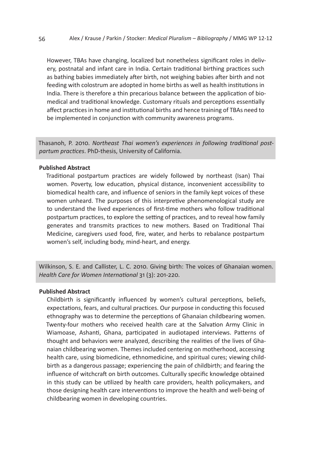However, TBAs have changing, localized but nonetheless significant roles in delivery, postnatal and infant care in India. Certain traditional birthing practices such as bathing babies immediately after birth, not weighing babies after birth and not feeding with colostrum are adopted in home births as well as health institutions in India. There is therefore a thin precarious balance between the application of biomedical and traditional knowledge. Customary rituals and perceptions essentially affect practices in home and institutional births and hence training of TBAs need to be implemented in conjunction with community awareness programs.

Thasanoh, P. 2010. *Northeast Thai women's experiences in following traditional postpartum practices*. PhD-thesis, University of California.

#### **Published Abstract**

Traditional postpartum practices are widely followed by northeast (Isan) Thai women. Poverty, low education, physical distance, inconvenient accessibility to biomedical health care, and influence of seniors in the family kept voices of these women unheard. The purposes of this interpretive phenomenological study are to understand the lived experiences of first-time mothers who follow traditional postpartum practices, to explore the setting of practices, and to reveal how family generates and transmits practices to new mothers. Based on Traditional Thai Medicine, caregivers used food, fire, water, and herbs to rebalance postpartum women's self, including body, mind-heart, and energy.

Wilkinson, S. E. and Callister, L. C. 2010. Giving birth: The voices of Ghanaian women. *Health Care for Women International* 31 (3): 201-220.

#### **Published Abstract**

Childbirth is significantly influenced by women's cultural perceptions, beliefs, expectations, fears, and cultural practices. Our purpose in conducting this focused ethnography was to determine the perceptions of Ghanaian childbearing women. Twenty-four mothers who received health care at the Salvation Army Clinic in Wiamoase, Ashanti, Ghana, participated in audiotaped interviews. Patterns of thought and behaviors were analyzed, describing the realities of the lives of Ghanaian childbearing women. Themes included centering on motherhood, accessing health care, using biomedicine, ethnomedicine, and spiritual cures; viewing childbirth as a dangerous passage; experiencing the pain of childbirth; and fearing the influence of witchcraft on birth outcomes. Culturally specific knowledge obtained in this study can be utilized by health care providers, health policymakers, and those designing health care interventions to improve the health and well-being of childbearing women in developing countries.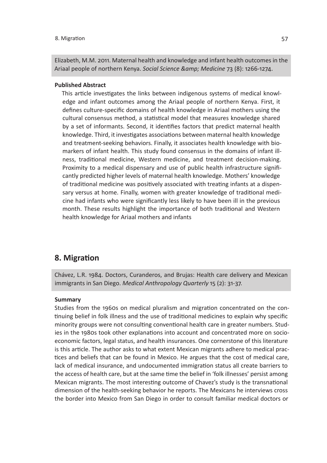Elizabeth, M.M. 2011. Maternal health and knowledge and infant health outcomes in the Ariaal people of northern Kenya. Social Science & amp; Medicine 73 (8): 1266-1274.

#### **Published Abstract**

This article investigates the links between indigenous systems of medical knowledge and infant outcomes among the Ariaal people of northern Kenya. First, it defines culture-specific domains of health knowledge in Ariaal mothers using the cultural consensus method, a statistical model that measures knowledge shared by a set of informants. Second, it identifies factors that predict maternal health knowledge. Third, it investigates associations between maternal health knowledge and treatment-seeking behaviors. Finally, it associates health knowledge with biomarkers of infant health. This study found consensus in the domains of infant illness, traditional medicine, Western medicine, and treatment decision-making. Proximity to a medical dispensary and use of public health infrastructure significantly predicted higher levels of maternal health knowledge. Mothers' knowledge of traditional medicine was positively associated with treating infants at a dispensary versus at home. Finally, women with greater knowledge of traditional medicine had infants who were significantly less likely to have been ill in the previous month. These results highlight the importance of both traditional and Western health knowledge for Ariaal mothers and infants

# **8. Migration**

Chávez, L.R. 1984. Doctors, Curanderos, and Brujas: Health care delivery and Mexican immigrants in San Diego. *Medical Anthropology Quarterly* 15 (2): 31-37.

#### **Summary**

Studies from the 1960s on medical pluralism and migration concentrated on the continuing belief in folk illness and the use of traditional medicines to explain why specific minority groups were not consulting conventional health care in greater numbers. Studies in the 1980s took other explanations into account and concentrated more on socioeconomic factors, legal status, and health insurances. One cornerstone of this literature is this article. The author asks to what extent Mexican migrants adhere to medical practices and beliefs that can be found in Mexico. He argues that the cost of medical care, lack of medical insurance, and undocumented immigration status all create barriers to the access of health care, but at the same time the belief in 'folk illnesses' persist among Mexican migrants. The most interesting outcome of Chavez's study is the transnational dimension of the health-seeking behavior he reports. The Mexicans he interviews cross the border into Mexico from San Diego in order to consult familiar medical doctors or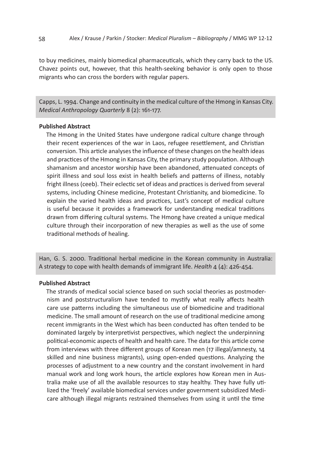to buy medicines, mainly biomedical pharmaceuticals, which they carry back to the US. Chavez points out, however, that this health-seeking behavior is only open to those migrants who can cross the borders with regular papers.

Capps, L. 1994. Change and continuity in the medical culture of the Hmong in Kansas City. *Medical Anthropology Quarterly* 8 (2): 161-177.

#### **Published Abstract**

The Hmong in the United States have undergone radical culture change through their recent experiences of the war in Laos, refugee resettlement, and Christian conversion. This article analyses the influence of these changes on the health ideas and practices of the Hmong in Kansas City, the primary study population. Although shamanism and ancestor worship have been abandoned, attenuated concepts of spirit illness and soul loss exist in health beliefs and patterns of illness, notably fright illness (ceeb). Their eclectic set of ideas and practices is derived from several systems, including Chinese medicine, Protestant Christianity, and biomedicine. To explain the varied health ideas and practices, Last's concept of medical culture is useful because it provides a framework for understanding medical traditions drawn from differing cultural systems. The Hmong have created a unique medical culture through their incorporation of new therapies as well as the use of some traditional methods of healing.

Han, G. S. 2000. Traditional herbal medicine in the Korean community in Australia: A strategy to cope with health demands of immigrant life. *Health* 4 (4): 426-454.

#### **Published Abstract**

The strands of medical social science based on such social theories as postmodernism and poststructuralism have tended to mystify what really affects health care use patterns including the simultaneous use of biomedicine and traditional medicine. The small amount of research on the use of traditional medicine among recent immigrants in the West which has been conducted has often tended to be dominated largely by interpretivist perspectives, which neglect the underpinning political-economic aspects of health and health care. The data for this article come from interviews with three different groups of Korean men (17 illegal/amnesty, 14 skilled and nine business migrants), using open-ended questions. Analyzing the processes of adjustment to a new country and the constant involvement in hard manual work and long work hours, the article explores how Korean men in Australia make use of all the available resources to stay healthy. They have fully utilized the 'freely' available biomedical services under government subsidized Medicare although illegal migrants restrained themselves from using it until the time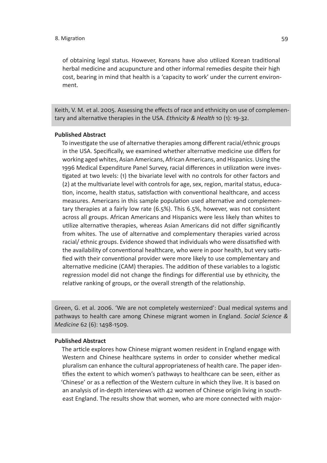of obtaining legal status. However, Koreans have also utilized Korean traditional herbal medicine and acupuncture and other informal remedies despite their high cost, bearing in mind that health is a 'capacity to work' under the current environment.

Keith, V. M. et al. 2005. Assessing the effects of race and ethnicity on use of complementary and alternative therapies in the USA. *Ethnicity & Health* 10 (1): 19-32.

# **Published Abstract**

To investigate the use of alternative therapies among different racial/ethnic groups in the USA. Specifically, we examined whether alternative medicine use differs for working aged whites, Asian Americans, African Americans, and Hispanics. Using the 1996 Medical Expenditure Panel Survey, racial differences in utilization were investigated at two levels: (1) the bivariate level with no controls for other factors and (2) at the multivariate level with controls for age, sex, region, marital status, education, income, health status, satisfaction with conventional healthcare, and access measures. Americans in this sample population used alternative and complementary therapies at a fairly low rate (6.5%). This 6.5%, however, was not consistent across all groups. African Americans and Hispanics were less likely than whites to utilize alternative therapies, whereas Asian Americans did not differ significantly from whites. The use of alternative and complementary therapies varied across racial/ ethnic groups. Evidence showed that individuals who were dissatisfied with the availability of conventional healthcare, who were in poor health, but very satisfied with their conventional provider were more likely to use complementary and alternative medicine (CAM) therapies. The addition of these variables to a logistic regression model did not change the findings for differential use by ethnicity, the relative ranking of groups, or the overall strength of the relationship.

Green, G. et al. 2006. 'We are not completely westernized': Dual medical systems and pathways to health care among Chinese migrant women in England. *Social Science & Medicine* 62 (6): 1498-1509.

## **Published Abstract**

The article explores how Chinese migrant women resident in England engage with Western and Chinese healthcare systems in order to consider whether medical pluralism can enhance the cultural appropriateness of health care. The paper identifies the extent to which women's pathways to healthcare can be seen, either as 'Chinese' or as a reflection of the Western culture in which they live. It is based on an analysis of in-depth interviews with 42 women of Chinese origin living in southeast England. The results show that women, who are more connected with major-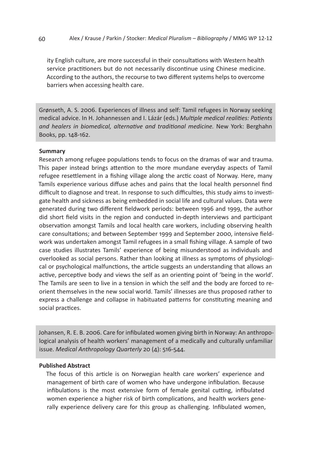ity English culture, are more successful in their consultations with Western health service practitioners but do not necessarily discontinue using Chinese medicine. According to the authors, the recourse to two different systems helps to overcome barriers when accessing health care.

Grønseth, A. S. 2006. Experiences of illness and self: Tamil refugees in Norway seeking medical advice. In H. Johannessen and I. Lázár (eds.) *Multiple medical realities: Patients and healers in biomedical, alternative and traditional medicine.* New York: Berghahn Books, pp. 148-162.

### **Summary**

Research among refugee populations tends to focus on the dramas of war and trauma. This paper instead brings attention to the more mundane everyday aspects of Tamil refugee resettlement in a fishing village along the arctic coast of Norway. Here, many Tamils experience various diffuse aches and pains that the local health personnel find difficult to diagnose and treat. In response to such difficulties, this study aims to investigate health and sickness as being embedded in social life and cultural values. Data were generated during two different fieldwork periods: between 1996 and 1999, the author did short field visits in the region and conducted in-depth interviews and participant observation amongst Tamils and local health care workers, including observing health care consultations; and between September 1999 and September 2000, intensive fieldwork was undertaken amongst Tamil refugees in a small fishing village. A sample of two case studies illustrates Tamils' experience of being misunderstood as individuals and overlooked as social persons. Rather than looking at illness as symptoms of physiological or psychological malfunctions, the article suggests an understanding that allows an active, perceptive body and views the self as an orienting point of 'being in the world'. The Tamils are seen to live in a tension in which the self and the body are forced to reorient themselves in the new social world. Tamils' illnesses are thus proposed rather to express a challenge and collapse in habituated patterns for constituting meaning and social practices.

Johansen, R. E. B. 2006. Care for infibulated women giving birth in Norway: An anthropological analysis of health workers' management of a medically and culturally unfamiliar issue. *Medical Anthropology Quarterly* 20 (4): 516-544.

#### **Published Abstract**

The focus of this article is on Norwegian health care workers' experience and management of birth care of women who have undergone infibulation. Because infibulations is the most extensive form of female genital cutting, infibulated women experience a higher risk of birth complications, and health workers generally experience delivery care for this group as challenging. Infibulated women,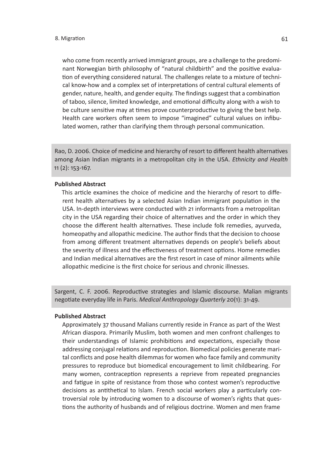# 8. Migration 61

who come from recently arrived immigrant groups, are a challenge to the predominant Norwegian birth philosophy of "natural childbirth" and the positive evaluation of everything considered natural. The challenges relate to a mixture of technical know-how and a complex set of interpretations of central cultural elements of gender, nature, health, and gender equity. The findings suggest that a combination of taboo, silence, limited knowledge, and emotional difficulty along with a wish to be culture sensitive may at times prove counterproductive to giving the best help. Health care workers often seem to impose "imagined" cultural values on infibulated women, rather than clarifying them through personal communication.

Rao, D. 2006. Choice of medicine and hierarchy of resort to different health alternatives among Asian Indian migrants in a metropolitan city in the USA. *Ethnicity and Health* 11 (2): 153-167.

# **Published Abstract**

This article examines the choice of medicine and the hierarchy of resort to different health alternatives by a selected Asian Indian immigrant population in the USA. In-depth interviews were conducted with 21 informants from a metropolitan city in the USA regarding their choice of alternatives and the order in which they choose the different health alternatives. These include folk remedies, ayurveda, homeopathy and allopathic medicine. The author finds that the decision to choose from among different treatment alternatives depends on people's beliefs about the severity of illness and the effectiveness of treatment options. Home remedies and Indian medical alternatives are the first resort in case of minor ailments while allopathic medicine is the first choice for serious and chronic illnesses.

Sargent, C. F. 2006. Reproductive strategies and Islamic discourse. Malian migrants negotiate everyday life in Paris. *Medical Anthropology Quarterly* 20(1): 31-49.

### **Published Abstract**

Approximately 37 thousand Malians currently reside in France as part of the West African diaspora. Primarily Muslim, both women and men confront challenges to their understandings of Islamic prohibitions and expectations, especially those addressing conjugal relations and reproduction. Biomedical policies generate marital conflicts and pose health dilemmas for women who face family and community pressures to reproduce but biomedical encouragement to limit childbearing. For many women, contraception represents a reprieve from repeated pregnancies and fatigue in spite of resistance from those who contest women's reproductive decisions as antithetical to Islam. French social workers play a particularly controversial role by introducing women to a discourse of women's rights that questions the authority of husbands and of religious doctrine. Women and men frame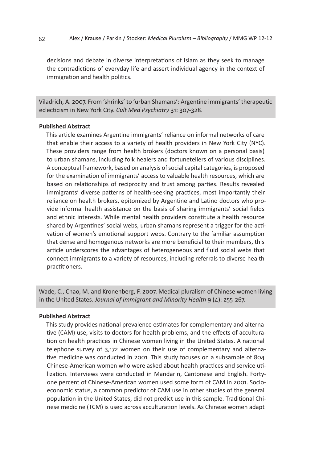decisions and debate in diverse interpretations of Islam as they seek to manage the contradictions of everyday life and assert individual agency in the context of immigration and health politics.

Viladrich, A. 2007. From 'shrinks' to 'urban Shamans': Argentine immigrants' therapeutic eclecticism in New York City. *Cult Med Psychiatry* 31: 307-328.

### **Published Abstract**

This article examines Argentine immigrants' reliance on informal networks of care that enable their access to a variety of health providers in New York City (NYC). These providers range from health brokers (doctors known on a personal basis) to urban shamans, including folk healers and fortunetellers of various disciplines. A conceptual framework, based on analysis of social capital categories, is proposed for the examination of immigrants' access to valuable health resources, which are based on relationships of reciprocity and trust among parties. Results revealed immigrants' diverse patterns of health-seeking practices, most importantly their reliance on health brokers, epitomized by Argentine and Latino doctors who provide informal health assistance on the basis of sharing immigrants' social fields and ethnic interests. While mental health providers constitute a health resource shared by Argentines' social webs, urban shamans represent a trigger for the activation of women's emotional support webs. Contrary to the familiar assumption that dense and homogenous networks are more beneficial to their members, this article underscores the advantages of heterogeneous and fluid social webs that connect immigrants to a variety of resources, including referrals to diverse health practitioners.

Wade, C., Chao, M. and Kronenberg, F. 2007. Medical pluralism of Chinese women living in the United States. *Journal of Immigrant and Minority Health* 9 (4): 255-267.

#### **Published Abstract**

This study provides national prevalence estimates for complementary and alternative (CAM) use, visits to doctors for health problems, and the effects of acculturation on health practices in Chinese women living in the United States. A national telephone survey of 3,172 women on their use of complementary and alternative medicine was conducted in 2001. This study focuses on a subsample of 804 Chinese-American women who were asked about health practices and service utilization. Interviews were conducted in Mandarin, Cantonese and English. Fortyone percent of Chinese-American women used some form of CAM in 2001. Socioeconomic status, a common predictor of CAM use in other studies of the general population in the United States, did not predict use in this sample. Traditional Chinese medicine (TCM) is used across acculturation levels. As Chinese women adapt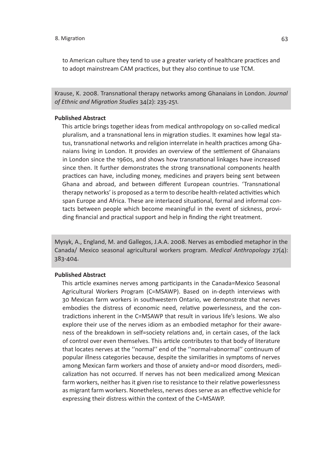# 8. Migration 63

to American culture they tend to use a greater variety of healthcare practices and to adopt mainstream CAM practices, but they also continue to use TCM.

Krause, K. 2008. Transnational therapy networks among Ghanaians in London. *Journal of Ethnic and Migration Studies* 34(2): 235-251.

## **Published Abstract**

This article brings together ideas from medical anthropology on so-called medical pluralism, and a transnational lens in migration studies. It examines how legal status, transnational networks and religion interrelate in health practices among Ghanaians living in London. It provides an overview of the settlement of Ghanaians in London since the 1960s, and shows how transnational linkages have increased since then. It further demonstrates the strong transnational components health practices can have, including money, medicines and prayers being sent between Ghana and abroad, and between different European countries. 'Transnational therapy networks' is proposed as a term to describe health-related activities which span Europe and Africa. These are interlaced situational, formal and informal contacts between people which become meaningful in the event of sickness, providing financial and practical support and help in finding the right treatment.

Mysyk, A., England, M. and Gallegos, J.A.A. 2008. Nerves as embodied metaphor in the Canada/ Mexico seasonal agricultural workers program. *Medical Anthropology* 27(4): 383-404.

# **Published Abstract**

This article examines nerves among participants in the Canada=Mexico Seasonal Agricultural Workers Program (C=MSAWP). Based on in-depth interviews with 30 Mexican farm workers in southwestern Ontario, we demonstrate that nerves embodies the distress of economic need, relative powerlessness, and the contradictions inherent in the C=MSAWP that result in various life's lesions. We also explore their use of the nerves idiom as an embodied metaphor for their awareness of the breakdown in self=society relations and, in certain cases, of the lack of control over even themselves. This article contributes to that body of literature that locates nerves at the ''normal'' end of the ''normal=abnormal'' continuum of popular illness categories because, despite the similarities in symptoms of nerves among Mexican farm workers and those of anxiety and=or mood disorders, medicalization has not occurred. If nerves has not been medicalized among Mexican farm workers, neither has it given rise to resistance to their relative powerlessness as migrant farm workers. Nonetheless, nerves does serve as an effective vehicle for expressing their distress within the context of the C=MSAWP.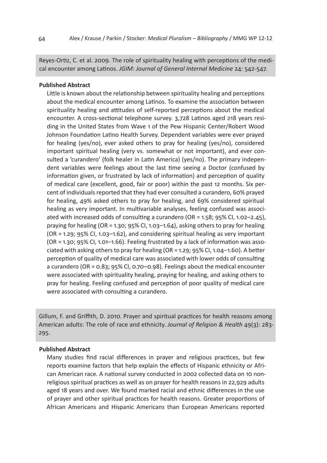Reyes-Ortiz, C. et al. 2009. The role of spirituality healing with perceptions of the medical encounter among Latinos. *JGIM: Journal of General Internal Medicine* 24: 542-547.

#### **Published Abstract**

Little is known about the relationship between spirituality healing and perceptions about the medical encounter among Latinos. To examine the association between spirituality healing and attitudes of self-reported perceptions about the medical encounter. A cross-sectional telephone survey. 3,728 Latinos aged ≥18 years residing in the United States from Wave 1 of the Pew Hispanic Center/Robert Wood Johnson Foundation Latino Health Survey. Dependent variables were ever prayed for healing (yes/no), ever asked others to pray for healing (yes/no), considered important spiritual healing (very vs. somewhat or not important), and ever consulted a 'curandero' (folk healer in Latin America) (yes/no). The primary independent variables were feelings about the last time seeing a Doctor (confused by information given, or frustrated by lack of information) and perception of quality of medical care (excellent, good, fair or poor) within the past 12 months. Six percent of individuals reported that they had ever consulted a curandero, 60% prayed for healing, 49% asked others to pray for healing, and 69% considered spiritual healing as very important. In multivariable analyses, feeling confused was associated with increased odds of consulting a curandero (OR = 1.58; 95% CI, 1.02–2.45), praying for healing (OR = 1.30; 95% CI, 1.03–1.64), asking others to pray for healing (OR = 1.29; 95% CI, 1.03–1.62), and considering spiritual healing as very important (OR = 1.30; 95% CI, 1.01–1.66). Feeling frustrated by a lack of information was associated with asking others to pray for healing (OR = 1.29; 95% CI, 1.04–1.60). A better perception of quality of medical care was associated with lower odds of consulting a curandero (OR = 0.83; 95% CI, 0.70–0.98). Feelings about the medical encounter were associated with spirituality healing, praying for healing, and asking others to pray for healing. Feeling confused and perception of poor quality of medical care were associated with consulting a curandero.

Gillum, F. and Griffith, D. 2010. Prayer and spiritual practices for health reasons among American adults: The role of race and ethnicity. *Journal of Religion & Health* 49(3): 283- 295.

### **Published Abstract**

Many studies find racial differences in prayer and religious practices, but few reports examine factors that help explain the effects of Hispanic ethnicity or African American race. A national survey conducted in 2002 collected data on 10 nonreligious spiritual practices as well as on prayer for health reasons in 22,929 adults aged 18 years and over. We found marked racial and ethnic differences in the use of prayer and other spiritual practices for health reasons. Greater proportions of African Americans and Hispanic Americans than European Americans reported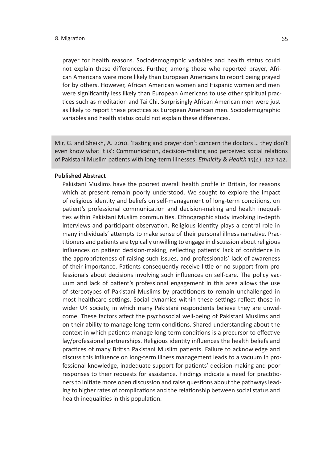# 8. Migration 65

prayer for health reasons. Sociodemographic variables and health status could not explain these differences. Further, among those who reported prayer, African Americans were more likely than European Americans to report being prayed for by others. However, African American women and Hispanic women and men were significantly less likely than European Americans to use other spiritual practices such as meditation and Tai Chi. Surprisingly African American men were just as likely to report these practices as European American men. Sociodemographic variables and health status could not explain these differences.

Mir, G. and Sheikh, A. 2010. 'Fasting and prayer don't concern the doctors … they don't even know what it is': Communication, decision-making and perceived social relations of Pakistani Muslim patients with long-term illnesses. *Ethnicity & Health* 15(4): 327-342.

#### **Published Abstract**

Pakistani Muslims have the poorest overall health profile in Britain, for reasons which at present remain poorly understood. We sought to explore the impact of religious identity and beliefs on self-management of long-term conditions, on patient's professional communication and decision-making and health inequalities within Pakistani Muslim communities. Ethnographic study involving in-depth interviews and participant observation. Religious identity plays a central role in many individuals' attempts to make sense of their personal illness narrative. Practitioners and patients are typically unwilling to engage in discussion about religious influences on patient decision-making, reflecting patients' lack of confidence in the appropriateness of raising such issues, and professionals' lack of awareness of their importance. Patients consequently receive little or no support from professionals about decisions involving such influences on self-care. The policy vacuum and lack of patient's professional engagement in this area allows the use of stereotypes of Pakistani Muslims by practitioners to remain unchallenged in most healthcare settings. Social dynamics within these settings reflect those in wider UK society, in which many Pakistani respondents believe they are unwelcome. These factors affect the psychosocial well-being of Pakistani Muslims and on their ability to manage long-term conditions. Shared understanding about the context in which patients manage long-term conditions is a precursor to effective lay/professional partnerships. Religious identity influences the health beliefs and practices of many British Pakistani Muslim patients. Failure to acknowledge and discuss this influence on long-term illness management leads to a vacuum in professional knowledge, inadequate support for patients' decision-making and poor responses to their requests for assistance. Findings indicate a need for practitioners to initiate more open discussion and raise questions about the pathways leading to higher rates of complications and the relationship between social status and health inequalities in this population.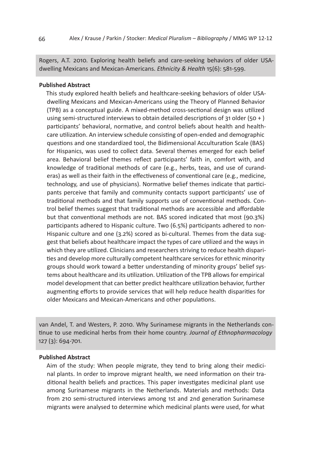Rogers, A.T. 2010. Exploring health beliefs and care-seeking behaviors of older USAdwelling Mexicans and Mexican-Americans. *Ethnicity & Health* 15(6): 581-599.

#### **Published Abstract**

This study explored health beliefs and healthcare-seeking behaviors of older USAdwelling Mexicans and Mexican-Americans using the Theory of Planned Behavior (TPB) as a conceptual guide. A mixed-method cross-sectional design was utilized using semi-structured interviews to obtain detailed descriptions of 31 older (50 +) participants' behavioral, normative, and control beliefs about health and healthcare utilization. An interview schedule consisting of open-ended and demographic questions and one standardized tool, the Bidimensional Acculturation Scale (BAS) for Hispanics, was used to collect data. Several themes emerged for each belief area. Behavioral belief themes reflect participants' faith in, comfort with, and knowledge of traditional methods of care (e.g., herbs, teas, and use of curanderas) as well as their faith in the effectiveness of conventional care (e.g., medicine, technology, and use of physicians). Normative belief themes indicate that participants perceive that family and community contacts support participants' use of traditional methods and that family supports use of conventional methods. Control belief themes suggest that traditional methods are accessible and affordable but that conventional methods are not. BAS scored indicated that most (90.3%) participants adhered to Hispanic culture. Two (6.5%) participants adhered to non-Hispanic culture and one (3.2%) scored as bi-cultural. Themes from the data suggest that beliefs about healthcare impact the types of care utilized and the ways in which they are utilized. Clinicians and researchers striving to reduce health disparities and develop more culturally competent healthcare services for ethnic minority groups should work toward a better understanding of minority groups' belief systems about healthcare and its utilization. Utilization of the TPB allows for empirical model development that can better predict healthcare utilization behavior, further augmenting efforts to provide services that will help reduce health disparities for older Mexicans and Mexican-Americans and other populations.

van Andel, T. and Westers, P. 2010. Why Surinamese migrants in the Netherlands continue to use medicinal herbs from their home country. *Journal of Ethnopharmacology* 127 (3): 694-701.

# **Published Abstract**

Aim of the study: When people migrate, they tend to bring along their medicinal plants. In order to improve migrant health, we need information on their traditional health beliefs and practices. This paper investigates medicinal plant use among Surinamese migrants in the Netherlands. Materials and methods: Data from 210 semi-structured interviews among 1st and 2nd generation Surinamese migrants were analysed to determine which medicinal plants were used, for what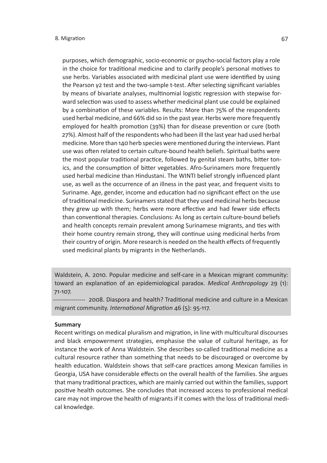purposes, which demographic, socio-economic or psycho-social factors play a role in the choice for traditional medicine and to clarify people's personal motives to use herbs. Variables associated with medicinal plant use were identified by using the Pearson γ2 test and the two-sample t-test. After selecting significant variables by means of bivariate analyses, multinomial logistic regression with stepwise forward selection was used to assess whether medicinal plant use could be explained by a combination of these variables. Results: More than 75% of the respondents used herbal medicine, and 66% did so in the past year. Herbs were more frequently employed for health promotion (39%) than for disease prevention or cure (both 27%). Almost half of the respondents who had been ill the last year had used herbal medicine. More than 140 herb species were mentioned during the interviews. Plant use was often related to certain culture-bound health beliefs. Spiritual baths were the most popular traditional practice, followed by genital steam baths, bitter tonics, and the consumption of bitter vegetables. Afro-Surinamers more frequently used herbal medicine than Hindustani. The WINTI belief strongly influenced plant use, as well as the occurrence of an illness in the past year, and frequent visits to Suriname. Age, gender, income and education had no significant effect on the use of traditional medicine. Surinamers stated that they used medicinal herbs because they grew up with them; herbs were more effective and had fewer side effects than conventional therapies. Conclusions: As long as certain culture-bound beliefs and health concepts remain prevalent among Surinamese migrants, and ties with their home country remain strong, they will continue using medicinal herbs from their country of origin. More research is needed on the health effects of frequently used medicinal plants by migrants in the Netherlands.

Waldstein, A. 2010. Popular medicine and self-care in a Mexican migrant community: toward an explanation of an epidemiological paradox. *Medical Anthropology* 29 (1): 71-107.

---------------- 2008. Diaspora and health? Traditional medicine and culture in a Mexican migrant community. *International Migration* 46 (5): 95-117.

#### **Summary**

Recent writings on medical pluralism and migration, in line with multicultural discourses and black empowerment strategies, emphasise the value of cultural heritage, as for instance the work of Anna Waldstein. She describes so-called traditional medicine as a cultural resource rather than something that needs to be discouraged or overcome by health education. Waldstein shows that self-care practices among Mexican families in Georgia, USA have considerable effects on the overall health of the families. She argues that many traditional practices, which are mainly carried out within the families, support positive health outcomes. She concludes that increased access to professional medical care may not improve the health of migrants if it comes with the loss of traditional medical knowledge.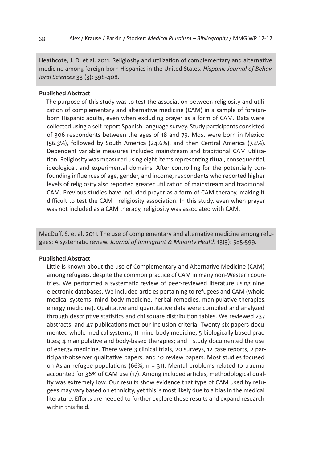Heathcote, J. D. et al. 2011. Religiosity and utilization of complementary and alternative medicine among foreign-born Hispanics in the United States. *Hispanic Journal of Behavioral Sciences* 33 (3): 398-408.

# **Published Abstract**

The purpose of this study was to test the association between religiosity and utilization of complementary and alternative medicine (CAM) in a sample of foreignborn Hispanic adults, even when excluding prayer as a form of CAM. Data were collected using a self-report Spanish-language survey. Study participants consisted of 306 respondents between the ages of 18 and 79. Most were born in Mexico (56.3%), followed by South America (24.6%), and then Central America (7.4%). Dependent variable measures included mainstream and traditional CAM utilization. Religiosity was measured using eight items representing ritual, consequential, ideological, and experimental domains. After controlling for the potentially confounding influences of age, gender, and income, respondents who reported higher levels of religiosity also reported greater utilization of mainstream and traditional CAM. Previous studies have included prayer as a form of CAM therapy, making it difficult to test the CAM—religiosity association. In this study, even when prayer was not included as a CAM therapy, religiosity was associated with CAM.

MacDuff, S. et al. 2011. The use of complementary and alternative medicine among refugees: A systematic review. *Journal of Immigrant & Minority Health* 13(3): 585-599.

#### **Published Abstract**

Little is known about the use of Complementary and Alternative Medicine (CAM) among refugees, despite the common practice of CAM in many non-Western countries. We performed a systematic review of peer-reviewed literature using nine electronic databases. We included articles pertaining to refugees and CAM (whole medical systems, mind body medicine, herbal remedies, manipulative therapies, energy medicine). Qualitative and quantitative data were compiled and analyzed through descriptive statistics and chi square distribution tables. We reviewed 237 abstracts, and 47 publications met our inclusion criteria. Twenty-six papers documented whole medical systems; 11 mind-body medicine; 5 biologically based practices; 4 manipulative and body-based therapies; and 1 study documented the use of energy medicine. There were 3 clinical trials, 20 surveys, 12 case reports, 2 participant-observer qualitative papers, and 10 review papers. Most studies focused on Asian refugee populations (66%;  $n = 31$ ). Mental problems related to trauma accounted for 36% of CAM use (17). Among included articles, methodological quality was extremely low. Our results show evidence that type of CAM used by refugees may vary based on ethnicity, yet this is most likely due to a bias in the medical literature. Efforts are needed to further explore these results and expand research within this field.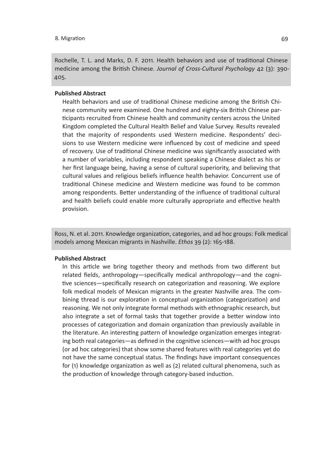Rochelle, T. L. and Marks, D. F. 2011. Health behaviors and use of traditional Chinese medicine among the British Chinese. *Journal of Cross-Cultural Psychology* 42 (3): 390- 405.

# **Published Abstract**

Health behaviors and use of traditional Chinese medicine among the British Chinese community were examined. One hundred and eighty-six British Chinese participants recruited from Chinese health and community centers across the United Kingdom completed the Cultural Health Belief and Value Survey. Results revealed that the majority of respondents used Western medicine. Respondents' decisions to use Western medicine were influenced by cost of medicine and speed of recovery. Use of traditional Chinese medicine was significantly associated with a number of variables, including respondent speaking a Chinese dialect as his or her first language being, having a sense of cultural superiority, and believing that cultural values and religious beliefs influence health behavior. Concurrent use of traditional Chinese medicine and Western medicine was found to be common among respondents. Better understanding of the influence of traditional cultural and health beliefs could enable more culturally appropriate and effective health provision.

Ross, N. et al. 2011. Knowledge organization, categories, and ad hoc groups: Folk medical models among Mexican migrants in Nashville. *Ethos* 39 (2): 165-188.

### **Published Abstract**

In this article we bring together theory and methods from two different but related fields, anthropology—specifically medical anthropology—and the cognitive sciences—specifically research on categorization and reasoning. We explore folk medical models of Mexican migrants in the greater Nashville area. The combining thread is our exploration in conceptual organization (categorization) and reasoning. We not only integrate formal methods with ethnographic research, but also integrate a set of formal tasks that together provide a better window into processes of categorization and domain organization than previously available in the literature. An interesting pattern of knowledge organization emerges integrating both real categories—as defined in the cognitive sciences—with ad hoc groups (or ad hoc categories) that show some shared features with real categories yet do not have the same conceptual status. The findings have important consequences for (1) knowledge organization as well as (2) related cultural phenomena, such as the production of knowledge through category-based induction.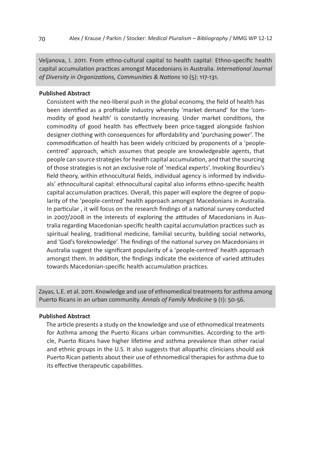Veljanova, I. 2011. From ethno-cultural capital to health capital: Ethno-specific health capital accumulation practices amongst Macedonians in Australia. *International Journal of Diversity in Organizations, Communities & Nations* 10 (5): 117-131.

# **Published Abstract**

Consistent with the neo-liberal push in the global economy, the field of health has been identified as a profitable industry whereby 'market demand' for the 'commodity of good health' is constantly increasing. Under market conditions, the commodity of good health has effectively been price-tagged alongside fashion designer clothing with consequences for affordability and 'purchasing power'. The commodification of health has been widely criticized by proponents of a 'peoplecentred' approach, which assumes that people are knowledgeable agents, that people can source strategies for health capital accumulation, and that the sourcing of those strategies is not an exclusive role of 'medical experts'. Invoking Bourdieu's field theory, within ethnocultural fields, individual agency is informed by individuals' ethnocultural capital: ethnocultural capital also informs ethno-specific health capital accumulation practices. Overall, this paper will explore the degree of popularity of the 'people-centred' health approach amongst Macedonians in Australia. In particular , it will focus on the research findings of a national survey conducted in 2007/2008 in the interests of exploring the attitudes of Macedonians in Australia regarding Macedonian-specific health capital accumulation practices such as spiritual healing, traditional medicine, familial security, building social networks, and 'God's foreknowledge'. The findings of the national survey on Macedonians in Australia suggest the significant popularity of a 'people-centred' health approach amongst them. In addition, the findings indicate the existence of varied attitudes towards Macedonian-specific health accumulation practices.

Zayas, L.E. et al. 2011. Knowledge and use of ethnomedical treatments for asthma among Puerto Ricans in an urban community. *Annals of Family Medicine* 9 (1): 50-56.

#### **Published Abstract**

The article presents a study on the knowledge and use of ethnomedical treatments for Asthma among the Puerto Ricans urban communities. According to the article, Puerto Ricans have higher lifetime and asthma prevalence than other racial and ethnic groups in the U.S. It also suggests that allopathic clinicians should ask Puerto Rican patients about their use of ethnomedical therapies for asthma due to its effective therapeutic capabilities.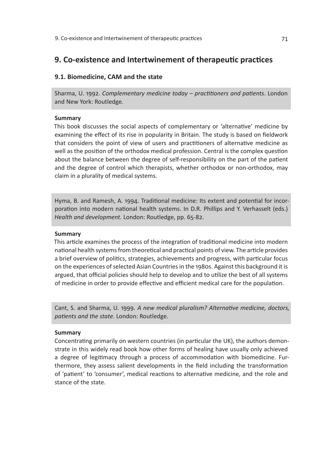# **9. Co-existence and Intertwinement of therapeutic practices**

# **9.1. Biomedicine, CAM and the state**

Sharma, U. 1992. *Complementary medicine today – practitioners and patients*. London and New York: Routledge.

# **Summary**

This book discusses the social aspects of complementary or 'alternative' medicine by examining the effect of its rise in popularity in Britain. The study is based on fieldwork that considers the point of view of users and practitioners of alternative medicine as well as the position of the orthodox medical profession. Central is the complex question about the balance between the degree of self-responsibility on the part of the patient and the degree of control which therapists, whether orthodox or non-orthodox, may claim in a plurality of medical systems.

Hyma, B. and Ramesh, A. 1994. Traditional medicine: Its extent and potential for incorporation into modern national health systems. In D.R. Phillips and Y. Verhasselt (eds.) *Health and development.* London: Routledge, pp. 65-82.

# **Summary**

This article examines the process of the integration of traditional medicine into modern national health systems from theoretical and practical points of view. The article provides a brief overview of politics, strategies, achievements and progress, with particular focus on the experiences of selected Asian Countries in the 1980s. Against this background it is argued, that official policies should help to develop and to utilize the best of all systems of medicine in order to provide effective and efficient medical care for the population.

Cant, S. and Sharma, U. 1999. *A new medical pluralism? Alternative medicine, doctors, patients and the state.* London: Routledge.

## **Summary**

Concentrating primarily on western countries (in particular the UK), the authors demonstrate in this widely read book how other forms of healing have usually only achieved a degree of legitimacy through a process of accommodation with biomedicine. Furthermore, they assess salient developments in the field including the transformation of 'patient' to 'consumer', medical reactions to alternative medicine, and the role and stance of the state.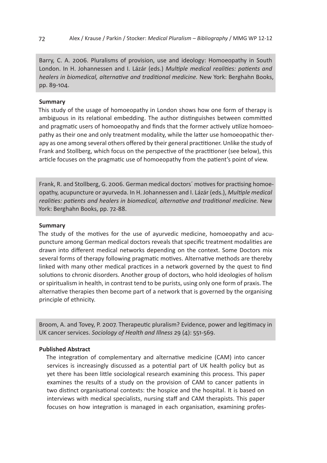Barry, C. A. 2006. Pluralisms of provision, use and ideology: Homoeopathy in South London. In H. Johannessen and I. Lázár (eds.) *Multiple medical realities: patients and healers in biomedical, alternative and traditional medicine.* New York: Berghahn Books, pp. 89-104.

### **Summary**

This study of the usage of homoeopathy in London shows how one form of therapy is ambiguous in its relational embedding. The author distinguishes between committed and pragmatic users of homoeopathy and finds that the former actively utilize homoeopathy as their one and only treatment modality, while the latter use homoeopathic therapy as one among several others offered by their general practitioner. Unlike the study of Frank and Stollberg, which focus on the perspective of the practitioner (see below), this article focuses on the pragmatic use of homoeopathy from the patient's point of view.

Frank, R. and Stollberg, G. 2006. German medical doctors´ motives for practising homoeopathy, acupuncture or ayurveda. In H. Johannessen and I. Lázár (eds.), *Multiple medical realities: patients and healers in biomedical, alternative and traditional medicine.* New York: Berghahn Books, pp. 72-88.

#### **Summary**

The study of the motives for the use of ayurvedic medicine, homoeopathy and acupuncture among German medical doctors reveals that specific treatment modalities are drawn into different medical networks depending on the context. Some Doctors mix several forms of therapy following pragmatic motives. Alternative methods are thereby linked with many other medical practices in a network governed by the quest to find solutions to chronic disorders. Another group of doctors, who hold ideologies of holism or spiritualism in health, in contrast tend to be purists, using only one form of praxis. The alternative therapies then become part of a network that is governed by the organising principle of ethnicity.

Broom, A. and Tovey, P. 2007. Therapeutic pluralism? Evidence, power and legitimacy in UK cancer services. *Sociology of Health and Illness* 29 (4): 551-569.

# **Published Abstract**

The integration of complementary and alternative medicine (CAM) into cancer services is increasingly discussed as a potential part of UK health policy but as yet there has been little sociological research examining this process. This paper examines the results of a study on the provision of CAM to cancer patients in two distinct organisational contexts: the hospice and the hospital. It is based on interviews with medical specialists, nursing staff and CAM therapists. This paper focuses on how integration is managed in each organisation, examining profes-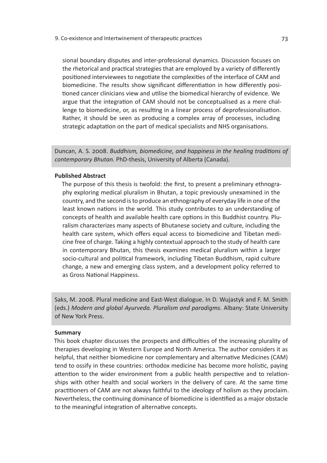sional boundary disputes and inter-professional dynamics. Discussion focuses on the rhetorical and practical strategies that are employed by a variety of differently positioned interviewees to negotiate the complexities of the interface of CAM and biomedicine. The results show significant differentiation in how differently positioned cancer clinicians view and utilise the biomedical hierarchy of evidence. We argue that the integration of CAM should not be conceptualised as a mere challenge to biomedicine, or, as resulting in a linear process of deprofessionalisation. Rather, it should be seen as producing a complex array of processes, including strategic adaptation on the part of medical specialists and NHS organisations.

Duncan, A. S. 2008. *Buddhism, biomedicine, and happiness in the healing traditions of contemporary Bhutan.* PhD-thesis, University of Alberta (Canada).

#### **Published Abstract**

The purpose of this thesis is twofold: the first, to present a preliminary ethnography exploring medical pluralism in Bhutan, a topic previously unexamined in the country, and the second is to produce an ethnography of everyday life in one of the least known nations in the world. This study contributes to an understanding of concepts of health and available health care options in this Buddhist country. Pluralism characterizes many aspects of Bhutanese society and culture, including the health care system, which offers equal access to biomedicine and Tibetan medicine free of charge. Taking a highly contextual approach to the study of health care in contemporary Bhutan, this thesis examines medical pluralism within a larger socio-cultural and political framework, including Tibetan Buddhism, rapid culture change, a new and emerging class system, and a development policy referred to as Gross National Happiness.

Saks, M. 2008. Plural medicine and East-West dialogue. In D. Wujastyk and F. M. Smith (eds.) *Modern and global Ayurveda. Pluralism and paradigms.* Albany: State University of New York Press.

#### **Summary**

This book chapter discusses the prospects and difficulties of the increasing plurality of therapies developing in Western Europe and North America. The author considers it as helpful, that neither biomedicine nor complementary and alternative Medicines (CAM) tend to ossify in these countries: orthodox medicine has become more holistic, paying attention to the wider environment from a public health perspective and to relationships with other health and social workers in the delivery of care. At the same time practitioners of CAM are not always faithful to the ideology of holism as they proclaim. Nevertheless, the continuing dominance of biomedicine is identified as a major obstacle to the meaningful integration of alternative concepts.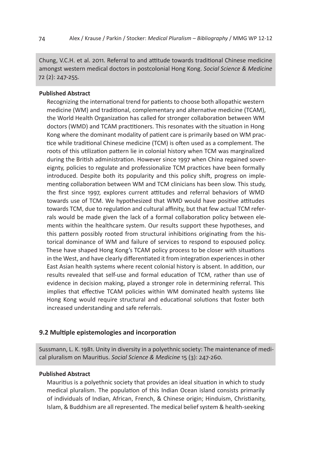Chung, V.C.H. et al. 2011. Referral to and attitude towards traditional Chinese medicine amongst western medical doctors in postcolonial Hong Kong. *Social Science & Medicine* 72 (2): 247-255.

## **Published Abstract**

Recognizing the international trend for patients to choose both allopathic western medicine (WM) and traditional, complementary and alternative medicine (TCAM), the World Health Organization has called for stronger collaboration between WM doctors (WMD) and TCAM practitioners. This resonates with the situation in Hong Kong where the dominant modality of patient care is primarily based on WM practice while traditional Chinese medicine (TCM) is often used as a complement. The roots of this utilization pattern lie in colonial history when TCM was marginalized during the British administration. However since 1997 when China regained sovereignty, policies to regulate and professionalize TCM practices have been formally introduced. Despite both its popularity and this policy shift, progress on implementing collaboration between WM and TCM clinicians has been slow. This study, the first since 1997, explores current attitudes and referral behaviors of WMD towards use of TCM. We hypothesized that WMD would have positive attitudes towards TCM, due to regulation and cultural affinity, but that few actual TCM referrals would be made given the lack of a formal collaboration policy between elements within the healthcare system. Our results support these hypotheses, and this pattern possibly rooted from structural inhibitions originating from the historical dominance of WM and failure of services to respond to espoused policy. These have shaped Hong Kong's TCAM policy process to be closer with situations in the West, and have clearly differentiated it from integration experiences in other East Asian health systems where recent colonial history is absent. In addition, our results revealed that self-use and formal education of TCM, rather than use of evidence in decision making, played a stronger role in determining referral. This implies that effective TCAM policies within WM dominated health systems like Hong Kong would require structural and educational solutions that foster both increased understanding and safe referrals.

## **9.2 Multiple epistemologies and incorporation**

Sussmann, L. K. 1981. Unity in diversity in a polyethnic society: The maintenance of medical pluralism on Mauritius. *Social Science & Medicine* 15 (3): 247-260.

## **Published Abstract**

Mauritius is a polyethnic society that provides an ideal situation in which to study medical pluralism. The population of this Indian Ocean island consists primarily of individuals of Indian, African, French, & Chinese origin; Hinduism, Christianity, Islam, & Buddhism are all represented. The medical belief system & health-seeking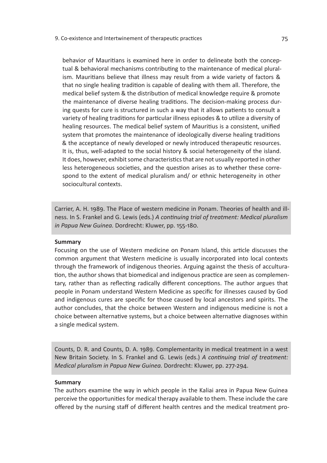behavior of Mauritians is examined here in order to delineate both the conceptual & behavioral mechanisms contributing to the maintenance of medical pluralism. Mauritians believe that illness may result from a wide variety of factors & that no single healing tradition is capable of dealing with them all. Therefore, the medical belief system & the distribution of medical knowledge require & promote the maintenance of diverse healing traditions. The decision-making process during quests for cure is structured in such a way that it allows patients to consult a variety of healing traditions for particular illness episodes & to utilize a diversity of healing resources. The medical belief system of Mauritius is a consistent, unified system that promotes the maintenance of ideologically diverse healing traditions & the acceptance of newly developed or newly introduced therapeutic resources. It is, thus, well-adapted to the social history & social heterogeneity of the island. It does, however, exhibit some characteristics that are not usually reported in other less heterogeneous societies, and the question arises as to whether these correspond to the extent of medical pluralism and/ or ethnic heterogeneity in other sociocultural contexts.

Carrier, A. H. 1989. The Place of western medicine in Ponam. Theories of health and illness. In S. Frankel and G. Lewis (eds.) *A continuing trial of treatment: Medical pluralism in Papua New Guinea.* Dordrecht: Kluwer, pp. 155-180.

#### **Summary**

Focusing on the use of Western medicine on Ponam Island, this article discusses the common argument that Western medicine is usually incorporated into local contexts through the framework of indigenous theories. Arguing against the thesis of acculturation, the author shows that biomedical and indigenous practice are seen as complementary, rather than as reflecting radically different conceptions. The author argues that people in Ponam understand Western Medicine as specific for illnesses caused by God and indigenous cures are specific for those caused by local ancestors and spirits. The author concludes, that the choice between Western and indigenous medicine is not a choice between alternative systems, but a choice between alternative diagnoses within a single medical system.

Counts, D. R. and Counts, D. A. 1989. Complementarity in medical treatment in a west New Britain Society. In S. Frankel and G. Lewis (eds.) *A continuing trial of treatment: Medical pluralism in Papua New Guinea.* Dordrecht: Kluwer, pp. 277-294.

## **Summary**

The authors examine the way in which people in the Kaliai area in Papua New Guinea perceive the opportunities for medical therapy available to them. These include the care offered by the nursing staff of different health centres and the medical treatment pro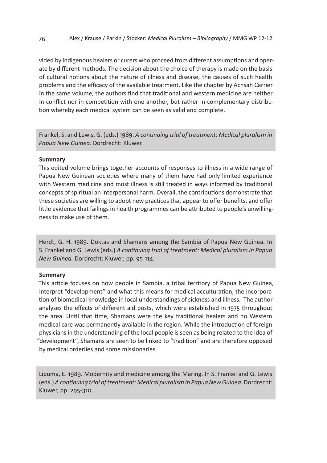vided by indigenous healers or curers who proceed from different assumptions and operate by different methods. The decision about the choice of therapy is made on the basis of cultural notions about the nature of illness and disease, the causes of such health problems and the efficacy of the available treatment. Like the chapter by Achsah Carrier in the same volume, the authors find that traditional and western medicine are neither in conflict nor in competition with one another, but rather in complementary distribution whereby each medical system can be seen as valid and complete.

Frankel, S. and Lewis, G. (eds.) 1989. *A continuing trial of treatment: Medical pluralism in Papua New Guinea.* Dordrecht: Kluwer.

## **Summary**

This edited volume brings together accounts of responses to illness in a wide range of Papua New Guinean societies where many of them have had only limited experience with Western medicine and most illness is still treated in ways informed by traditional concepts of spiritual an interpersonal harm. Overall, the contributions demonstrate that these societies are willing to adopt new practices that appear to offer benefits, and offer little evidence that failings in health programmes can be attributed to people's unwillingness to make use of them.

Herdt, G. H. 1989. Doktas and Shamans among the Sambia of Papua New Guinea. In S. Frankel and G. Lewis (eds.) *A continuing trial of treatment: Medical pluralism in Papua New Guinea.* Dordrecht: Kluwer, pp. 95-114.

## **Summary**

This article focuses on how people in Sambia, a tribal territory of Papua New Guinea, interpret "development" and what this means for medical acculturation, the incorporation of biomedical knowledge in local understandings of sickness and illness. The author analyses the effects of different aid posts, which were established in 1975 throughout the area. Until that time, Shamans were the key traditional healers and no Western medical care was permanently available in the region. While the introduction of foreign physicians in the understanding of the local people is seen as being related to the idea of "development", Shamans are seen to be linked to "tradition" and are therefore opposed by medical orderlies and some missionaries.

Lipuma, E. 1989. Modernity and medicine among the Maring. In S. Frankel and G. Lewis (eds.) *A continuing trial of treatment: Medical pluralism in Papua New Guinea.* Dordrecht: Kluwer, pp. 295-310.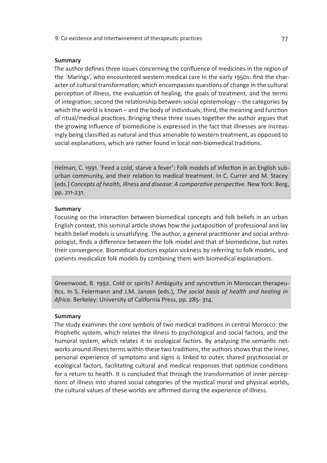#### **Summary**

The author defines three issues concerning the confluence of medicines in the region of the ´Marings', who encountered western medical care in the early 1950s: first the character of cultural transformation, which encompasses questions of change in the cultural perception of illness, the evaluation of healing, the goals of treatment, and the terms of integration; second the relationship between social epistemology – the categories by which the world is known – and the body of individuals; third, the meaning and function of ritual/medical practices. Bringing these three issues together the author argues that the growing influence of biomedicine is expressed in the fact that illnesses are increasingly being classified as natural and thus amenable to western treatment, as opposed to social explanations, which are rather found in local non-biomedical traditions.

Helman, C. 1991. 'Feed a cold, starve a fever': Folk models of infection in an English suburban community, and their relation to medical treatment. In C. Currer and M. Stacey (eds.) *Concepts of health, illness and disease: A comparative perspective.* New York: Berg, pp. 211-231.

#### **Summary**

Focusing on the interaction between biomedical concepts and folk beliefs in an urban English context, this seminal article shows how the juxtaposition of professional and lay health belief models is unsatisfying. The author, a general practitioner and social anthropologist, finds a difference between the folk model and that of biomedicine, but notes their convergence. Biomedical doctors explain sickness by referring to folk models, and patients medicalize folk models by combining them with biomedical explanations.

Greenwood, B. 1992. Cold or spirits? Ambiguity and syncretism in Moroccan therapeutics. In S. Feiermann and J.M. Janzen (eds.), *The social basis of health and healing in Africa*. Berkeley: University of California Press, pp. 285- 314.

## **Summary**

The study examines the core symbols of two medical traditions in central Morocco: the Prophetic system, which relates the illness to psychological and social factors, and the humoral system, which relates it to ecological factors. By analysing the semantic networks around illness terms within these two traditions, the authors shows that the inner, personal experience of symptoms and signs is linked to outer, shared psychosocial or ecological factors, facilitating cultural and medical responses that optimize conditions for a return to health. It is concluded that through the transformation of inner perceptions of illness into shared social categories of the mystical moral and physical worlds, the cultural values of these worlds are affirmed during the experience of illness.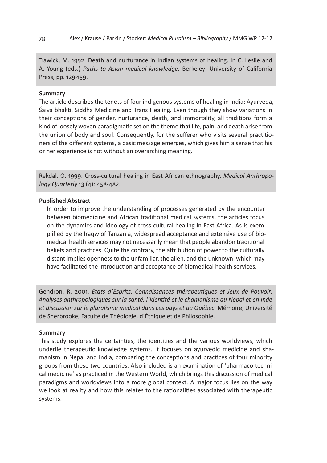Trawick, M. 1992. Death and nurturance in Indian systems of healing. In C. Leslie and A. Young (eds.) *Paths to Asian medical knowledge.* Berkeley: University of California Press, pp. 129-159.

## **Summary**

The article describes the tenets of four indigenous systems of healing in India: Ayurveda, Śaiva bhakti, Siddha Medicine and Trans Healing. Even though they show variations in their conceptions of gender, nurturance, death, and immortality, all traditions form a kind of loosely woven paradigmatic set on the theme that life, pain, and death arise from the union of body and soul. Consequently, for the sufferer who visits several practitioners of the different systems, a basic message emerges, which gives him a sense that his or her experience is not without an overarching meaning.

Rekdal, O. 1999. Cross-cultural healing in East African ethnography. *Medical Anthropology Quarterly* 13 (4): 458-482.

#### **Published Abstract**

In order to improve the understanding of processes generated by the encounter between biomedicine and African traditional medical systems, the articles focus on the dynamics and ideology of cross-cultural healing in East Africa. As is exemplified by the Iraqw of Tanzania, widespread acceptance and extensive use of biomedical health services may not necessarily mean that people abandon traditional beliefs and practices. Quite the contrary, the attribution of power to the culturally distant implies openness to the unfamiliar, the alien, and the unknown, which may have facilitated the introduction and acceptance of biomedical health services.

Gendron, R. 2001. *Etats d´Esprits, Connaissances thérapeutiques et Jeux de Pouvoir: Analyses anthropologiques sur la santé, l´identité et le chamanisme au Népal et en Inde et discussion sur le pluralisme medical dans ces pays et au Québec.* Mémoire, Université de Sherbrooke, Faculté de Théologie, d´Éthique et de Philosophie.

#### **Summary**

This study explores the certainties, the identities and the various worldviews, which underlie therapeutic knowledge systems. It focuses on ayurvedic medicine and shamanism in Nepal and India, comparing the conceptions and practices of four minority groups from these two countries. Also included is an examination of 'pharmaco-technical medicine' as practiced in the Western World, which brings this discussion of medical paradigms and worldviews into a more global context. A major focus lies on the way we look at reality and how this relates to the rationalities associated with therapeutic systems.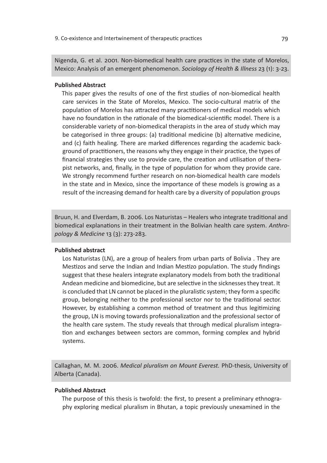Nigenda, G. et al. 2001. Non-biomedical health care practices in the state of Morelos, Mexico: Analysis of an emergent phenomenon. *Sociology of Health & Illness* 23 (1): 3-23.

#### **Published Abstract**

This paper gives the results of one of the first studies of non-biomedical health care services in the State of Morelos, Mexico. The socio-cultural matrix of the population of Morelos has attracted many practitioners of medical models which have no foundation in the rationale of the biomedical-scientific model. There is a considerable variety of non-biomedical therapists in the area of study which may be categorised in three groups: (a) traditional medicine (b) alternative medicine, and (c) faith healing. There are marked differences regarding the academic background of practitioners, the reasons why they engage in their practice, the types of financial strategies they use to provide care, the creation and utilisation of therapist networks, and, finally, in the type of population for whom they provide care. We strongly recommend further research on non-biomedical health care models in the state and in Mexico, since the importance of these models is growing as a result of the increasing demand for health care by a diversity of population groups

Bruun, H. and Elverdam, B. 2006. Los Naturistas – Healers who integrate traditional and biomedical explanations in their treatment in the Bolivian health care system. *Anthropology & Medicine* 13 (3): 273-283.

# **Published abstract**

Los Naturistas (LN), are a group of healers from urban parts of Bolivia . They are Mestizos and serve the Indian and Indian Mestizo population. The study findings suggest that these healers integrate explanatory models from both the traditional Andean medicine and biomedicine, but are selective in the sicknesses they treat. It is concluded that LN cannot be placed in the pluralistic system; they form a specific group, belonging neither to the professional sector nor to the traditional sector. However, by establishing a common method of treatment and thus legitimizing the group, LN is moving towards professionalization and the professional sector of the health care system. The study reveals that through medical pluralism integration and exchanges between sectors are common, forming complex and hybrid systems.

Callaghan, M. M. 2006. *Medical pluralism on Mount Everest.* PhD-thesis, University of Alberta (Canada).

## **Published Abstract**

The purpose of this thesis is twofold: the first, to present a preliminary ethnography exploring medical pluralism in Bhutan, a topic previously unexamined in the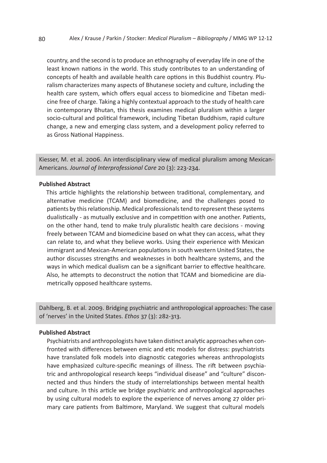country, and the second is to produce an ethnography of everyday life in one of the least known nations in the world. This study contributes to an understanding of concepts of health and available health care options in this Buddhist country. Pluralism characterizes many aspects of Bhutanese society and culture, including the health care system, which offers equal access to biomedicine and Tibetan medicine free of charge. Taking a highly contextual approach to the study of health care in contemporary Bhutan, this thesis examines medical pluralism within a larger socio-cultural and political framework, including Tibetan Buddhism, rapid culture change, a new and emerging class system, and a development policy referred to as Gross National Happiness.

Kiesser, M. et al. 2006. An interdisciplinary view of medical pluralism among Mexican-Americans. *Journal of Interprofessional Care* 20 (3): 223-234.

# **Published Abstract**

This article highlights the relationship between traditional, complementary, and alternative medicine (TCAM) and biomedicine, and the challenges posed to patients by this relationship. Medical professionals tend to represent these systems dualistically - as mutually exclusive and in competition with one another. Patients, on the other hand, tend to make truly pluralistic health care decisions - moving freely between TCAM and biomedicine based on what they can access, what they can relate to, and what they believe works. Using their experience with Mexican immigrant and Mexican-American populations in south western United States, the author discusses strengths and weaknesses in both healthcare systems, and the ways in which medical dualism can be a significant barrier to effective healthcare. Also, he attempts to deconstruct the notion that TCAM and biomedicine are diametrically opposed healthcare systems.

Dahlberg, B. et al. 2009. Bridging psychiatric and anthropological approaches: The case of 'nerves' in the United States. *Ethos* 37 (3): 282-313.

#### **Published Abstract**

Psychiatrists and anthropologists have taken distinct analytic approaches when confronted with differences between emic and etic models for distress: psychiatrists have translated folk models into diagnostic categories whereas anthropologists have emphasized culture-specific meanings of illness. The rift between psychiatric and anthropological research keeps "individual disease" and "culture" disconnected and thus hinders the study of interrelationships between mental health and culture. In this article we bridge psychiatric and anthropological approaches by using cultural models to explore the experience of nerves among 27 older primary care patients from Baltimore, Maryland. We suggest that cultural models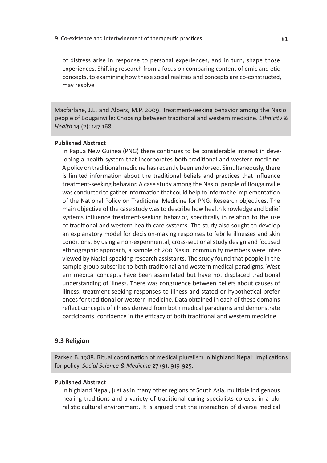of distress arise in response to personal experiences, and in turn, shape those experiences. Shifting research from a focus on comparing content of emic and etic concepts, to examining how these social realities and concepts are co-constructed, may resolve

Macfarlane, J.E. and Alpers, M.P. 2009. Treatment-seeking behavior among the Nasioi people of Bougainville: Choosing between traditional and western medicine. *Ethnicity & Health* 14 (2): 147-168.

# **Published Abstract**

In Papua New Guinea (PNG) there continues to be considerable interest in developing a health system that incorporates both traditional and western medicine. A policy on traditional medicine has recently been endorsed. Simultaneously, there is limited information about the traditional beliefs and practices that influence treatment-seeking behavior. A case study among the Nasioi people of Bougainville was conducted to gather information that could help to inform the implementation of the National Policy on Traditional Medicine for PNG. Research objectives. The main objective of the case study was to describe how health knowledge and belief systems influence treatment-seeking behavior, specifically in relation to the use of traditional and western health care systems. The study also sought to develop an explanatory model for decision-making responses to febrile illnesses and skin conditions. By using a non-experimental, cross-sectional study design and focused ethnographic approach, a sample of 200 Nasioi community members were interviewed by Nasioi-speaking research assistants. The study found that people in the sample group subscribe to both traditional and western medical paradigms. Western medical concepts have been assimilated but have not displaced traditional understanding of illness. There was congruence between beliefs about causes of illness, treatment-seeking responses to illness and stated or hypothetical preferences for traditional or western medicine. Data obtained in each of these domains reflect concepts of illness derived from both medical paradigms and demonstrate participants' confidence in the efficacy of both traditional and western medicine.

# **9.3 Religion**

Parker, B. 1988. Ritual coordination of medical pluralism in highland Nepal: Implications for policy. *Social Science & Medicine* 27 (9): 919-925.

# **Published Abstract**

In highland Nepal, just as in many other regions of South Asia, multiple indigenous healing traditions and a variety of traditional curing specialists co-exist in a pluralistic cultural environment. It is argued that the interaction of diverse medical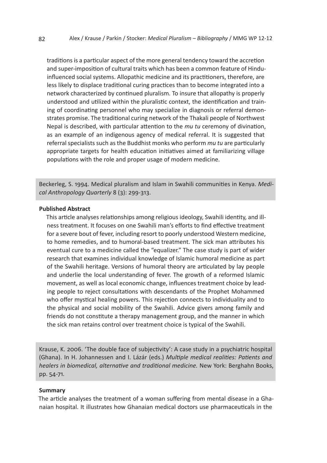traditions is a particular aspect of the more general tendency toward the accretion and super-imposition of cultural traits which has been a common feature of Hinduinfluenced social systems. Allopathic medicine and its practitioners, therefore, are less likely to displace traditional curing practices than to become integrated into a network characterized by continued pluralism. To insure that allopathy is properly understood and utilized within the pluralistic context, the identification and training of coordinating personnel who may specialize in diagnosis or referral demonstrates promise. The traditional curing network of the Thakali people of Northwest Nepal is described, with particular attention to the *mu tu* ceremony of divination, as an example of an indigenous agency of medical referral. It is suggested that referral specialists such as the Buddhist monks who perform *mu tu* are particularly appropriate targets for health education initiatives aimed at familiarizing village populations with the role and proper usage of modern medicine.

Beckerleg, S. 1994. Medical pluralism and Islam in Swahili communities in Kenya. *Medical Anthropology Quarterly* 8 (3): 299-313.

## **Published Abstract**

This article analyses relationships among religious ideology, Swahili identity, and illness treatment. It focuses on one Swahili man's efforts to find effective treatment for a severe bout of fever, including resort to poorly understood Western medicine, to home remedies, and to humoral-based treatment. The sick man attributes his eventual cure to a medicine called the "equalizer." The case study is part of wider research that examines individual knowledge of Islamic humoral medicine as part of the Swahili heritage. Versions of humoral theory are articulated by lay people and underlie the local understanding of fever. The growth of a reformed Islamic movement, as well as local economic change, influences treatment choice by leading people to reject consultations with descendants of the Prophet Mohammed who offer mystical healing powers. This rejection connects to individuality and to the physical and social mobility of the Swahili. Advice givers among family and friends do not constitute a therapy management group, and the manner in which the sick man retains control over treatment choice is typical of the Swahili.

Krause, K. 2006. 'The double face of subjectivity': A case study in a psychiatric hospital (Ghana). In H. Johannessen and I. Lázár (eds.) *Multiple medical realities: Patients and healers in biomedical, alternative and traditional medicine.* New York: Berghahn Books, pp. 54-71.

## **Summary**

The article analyses the treatment of a woman suffering from mental disease in a Ghanaian hospital. It illustrates how Ghanaian medical doctors use pharmaceuticals in the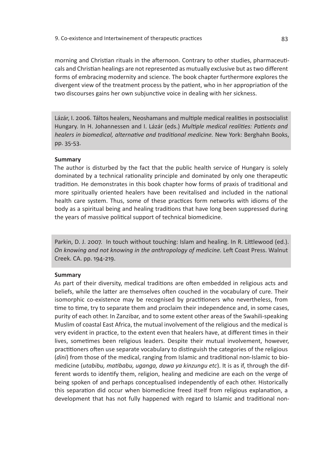morning and Christian rituals in the afternoon. Contrary to other studies, pharmaceuticals and Christian healings are not represented as mutually exclusive but as two different forms of embracing modernity and science. The book chapter furthermore explores the divergent view of the treatment process by the patient, who in her appropriation of the two discourses gains her own subjunctive voice in dealing with her sickness.

Lázár, I. 2006. Táltos healers, Neoshamans and multiple medical realities in postsocialist Hungary. In H. Johannessen and I. Lázár (eds.) *Multiple medical realities: Patients and healers in biomedical, alternative and traditional medicine.* New York: Berghahn Books, pp. 35-53.

## **Summary**

The author is disturbed by the fact that the public health service of Hungary is solely dominated by a technical rationality principle and dominated by only one therapeutic tradition. He demonstrates in this book chapter how forms of praxis of traditional and more spiritually oriented healers have been revitalised and included in the national health care system. Thus, some of these practices form networks with idioms of the body as a spiritual being and healing traditions that have long been suppressed during the years of massive political support of technical biomedicine.

Parkin, D. J. 2007. In touch without touching: Islam and healing. In R. Littlewood (ed.). *On knowing and not knowing in the anthropology of medicine.* Left Coast Press. Walnut Creek. CA. pp. 194-219.

#### **Summary**

As part of their diversity, medical traditions are often embedded in religious acts and beliefs, while the latter are themselves often couched in the vocabulary of cure. Their isomorphic co-existence may be recognised by practitioners who nevertheless, from time to time, try to separate them and proclaim their independence and, in some cases, purity of each other. In Zanzibar, and to some extent other areas of the Swahili-speaking Muslim of coastal East Africa, the mutual involvement of the religious and the medical is very evident in practice, to the extent even that healers have, at different times in their lives, sometimes been religious leaders. Despite their mutual involvement, however, practitioners often use separate vocabulary to distinguish the categories of the religious (*dini*) from those of the medical, ranging from Islamic and traditional non-Islamic to biomedicine (*utabibu, matibabu, uganga, dawa ya kinzungu etc*). It is as if, through the different words to identify them, religion, healing and medicine are each on the verge of being spoken of and perhaps conceptualised independently of each other. Historically this separation did occur when biomedicine freed itself from religious explanation, a development that has not fully happened with regard to Islamic and traditional non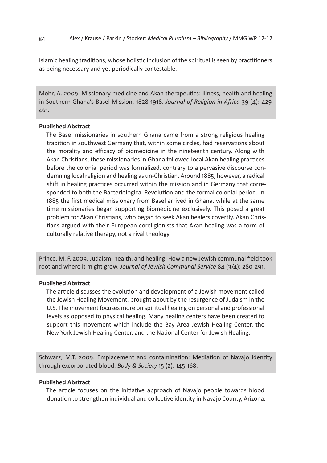Islamic healing traditions, whose holistic inclusion of the spiritual is seen by practitioners as being necessary and yet periodically contestable.

Mohr, A. 2009. Missionary medicine and Akan therapeutics: Illness, health and healing in Southern Ghana's Basel Mission, 1828-1918. *Journal of Religion in Africa* 39 (4): 429- 461.

## **Published Abstract**

The Basel missionaries in southern Ghana came from a strong religious healing tradition in southwest Germany that, within some circles, had reservations about the morality and efficacy of biomedicine in the nineteenth century. Along with Akan Christians, these missionaries in Ghana followed local Akan healing practices before the colonial period was formalized, contrary to a pervasive discourse condemning local religion and healing as un-Christian. Around 1885, however, a radical shift in healing practices occurred within the mission and in Germany that corresponded to both the Bacteriological Revolution and the formal colonial period. In 1885 the first medical missionary from Basel arrived in Ghana, while at the same time missionaries began supporting biomedicine exclusively. This posed a great problem for Akan Christians, who began to seek Akan healers covertly. Akan Christians argued with their European coreligionists that Akan healing was a form of culturally relative therapy, not a rival theology.

Prince, M. F. 2009. Judaism, health, and healing: How a new Jewish communal field took root and where it might grow. *Journal of Jewish Communal Service* 84 (3/4): 280-291.

## **Published Abstract**

The article discusses the evolution and development of a Jewish movement called the Jewish Healing Movement, brought about by the resurgence of Judaism in the U.S. The movement focuses more on spiritual healing on personal and professional levels as opposed to physical healing. Many healing centers have been created to support this movement which include the Bay Area Jewish Healing Center, the New York Jewish Healing Center, and the National Center for Jewish Healing.

Schwarz, M.T. 2009. Emplacement and contamination: Mediation of Navajo identity through excorporated blood. *Body & Society* 15 (2): 145-168.

## **Published Abstract**

The article focuses on the initiative approach of Navajo people towards blood donation to strengthen individual and collective identity in Navajo County, Arizona.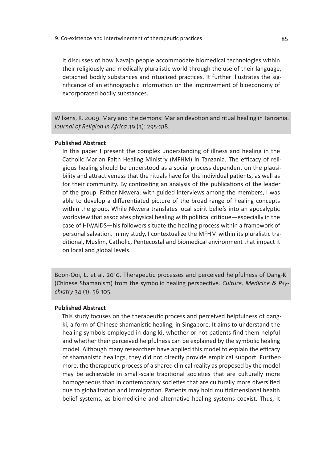It discusses of how Navajo people accommodate biomedical technologies within their religiously and medically pluralistic world through the use of their language, detached bodily substances and ritualized practices. It further illustrates the significance of an ethnographic information on the improvement of bioeconomy of excorporated bodily substances.

Wilkens, K. 2009. Mary and the demons: Marian devotion and ritual healing in Tanzania. *Journal of Religion in Africa* 39 (3): 295-318.

## **Published Abstract**

In this paper I present the complex understanding of illness and healing in the Catholic Marian Faith Healing Ministry (MFHM) in Tanzania. The efficacy of religious healing should be understood as a social process dependent on the plausibility and attractiveness that the rituals have for the individual patients, as well as for their community. By contrasting an analysis of the publications of the leader of the group, Father Nkwera, with guided interviews among the members, I was able to develop a differentiated picture of the broad range of healing concepts within the group. While Nkwera translates local spirit beliefs into an apocalyptic worldview that associates physical healing with political critique—especially in the case of HIV/AIDS—his followers situate the healing process within a framework of personal salvation. In my study, I contextualize the MFHM within its pluralistic traditional, Muslim, Catholic, Pentecostal and biomedical environment that impact it on local and global levels.

Boon-Ooi, L. et al. 2010. Therapeutic processes and perceived helpfulness of Dang-Ki (Chinese Shamanism) from the symbolic healing perspective. *Culture, Medicine & Psychiatry* 34 (1): 56-105.

## **Published Abstract**

This study focuses on the therapeutic process and perceived helpfulness of dangki, a form of Chinese shamanistic healing, in Singapore. It aims to understand the healing symbols employed in dang-ki, whether or not patients find them helpful and whether their perceived helpfulness can be explained by the symbolic healing model. Although many researchers have applied this model to explain the efficacy of shamanistic healings, they did not directly provide empirical support. Furthermore, the therapeutic process of a shared clinical reality as proposed by the model may be achievable in small-scale traditional societies that are culturally more homogeneous than in contemporary societies that are culturally more diversified due to globalization and immigration. Patients may hold multidimensional health belief systems, as biomedicine and alternative healing systems coexist. Thus, it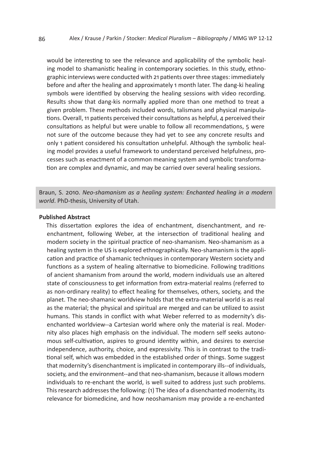would be interesting to see the relevance and applicability of the symbolic healing model to shamanistic healing in contemporary societies. In this study, ethnographic interviews were conducted with 21 patients over three stages: immediately before and after the healing and approximately 1 month later. The dang-ki healing symbols were identified by observing the healing sessions with video recording. Results show that dang-kis normally applied more than one method to treat a given problem. These methods included words, talismans and physical manipulations. Overall, 11 patients perceived their consultations as helpful, 4 perceived their consultations as helpful but were unable to follow all recommendations, 5 were not sure of the outcome because they had yet to see any concrete results and only 1 patient considered his consultation unhelpful. Although the symbolic healing model provides a useful framework to understand perceived helpfulness, processes such as enactment of a common meaning system and symbolic transformation are complex and dynamic, and may be carried over several healing sessions.

Braun, S. 2010. *Neo-shamanism as a healing system: Enchanted healing in a modern world*. PhD-thesis, University of Utah.

### **Published Abstract**

This dissertation explores the idea of enchantment, disenchantment, and reenchantment, following Weber, at the intersection of traditional healing and modern society in the spiritual practice of neo-shamanism. Neo-shamanism as a healing system in the US is explored ethnographically. Neo-shamanism is the application and practice of shamanic techniques in contemporary Western society and functions as a system of healing alternative to biomedicine. Following traditions of ancient shamanism from around the world, modern individuals use an altered state of consciousness to get information from extra-material realms (referred to as non-ordinary reality) to effect healing for themselves, others, society, and the planet. The neo-shamanic worldview holds that the extra-material world is as real as the material; the physical and spiritual are merged and can be utilized to assist humans. This stands in conflict with what Weber referred to as modernity's disenchanted worldview--a Cartesian world where only the material is real. Modernity also places high emphasis on the individual. The modern self seeks autonomous self-cultivation, aspires to ground identity within, and desires to exercise independence, authority, choice, and expressivity. This is in contrast to the traditional self, which was embedded in the established order of things. Some suggest that modernity's disenchantment is implicated in contemporary ills--of individuals, society, and the environment--and that neo-shamanism, because it allows modern individuals to re-enchant the world, is well suited to address just such problems. This research addresses the following: (1) The idea of a disenchanted modernity, its relevance for biomedicine, and how neoshamanism may provide a re-enchanted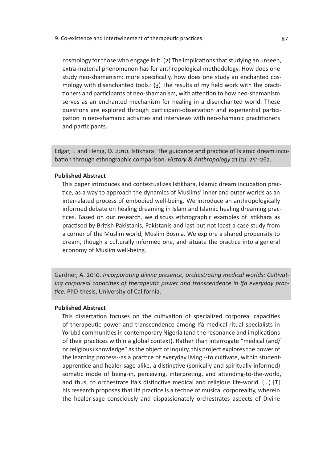cosmology for those who engage in it. (2) The implications that studying an unseen, extra-material phenomenon has for anthropological methodology. How does one study neo-shamanism: more specifically, how does one study an enchanted cosmology with disenchanted tools? (3) The results of my field work with the practitioners and participants of neo-shamanism, with attention to how neo-shamanism serves as an enchanted mechanism for healing in a disenchanted world. These questions are explored through participant-observation and experiential participation in neo-shamanic activities and interviews with neo-shamanic practitioners and participants.

Edgar, I. and Henig, D. 2010. Istikhara: The guidance and practice of Islamic dream incubation through ethnographic comparison. *History & Anthropology* 21 (3): 251-262.

#### **Published Abstract**

This paper introduces and contextualizes Istikhara, Islamic dream incubation practice, as a way to approach the dynamics of Muslims' inner and outer worlds as an interrelated process of embodied well-being. We introduce an anthropologically informed debate on healing dreaming in Islam and Islamic healing dreaming practices. Based on our research, we discuss ethnographic examples of Istikhara as practised by British Pakistanis, Pakistanis and last but not least a case study from a corner of the Muslim world, Muslim Bosnia. We explore a shared propensity to dream, though a culturally informed one, and situate the practice into a general economy of Muslim well-being.

Gardner, A. 2010. *Incorporating divine presence, orchestrating medical worlds: Cultivating corporeal capacities of therapeutic power and transcendence in Ifa everyday practice*. PhD-thesis, University of California.

## **Published Abstract**

This dissertation focuses on the cultivation of specialized corporeal capacities of therapeutic power and transcendence among Ifá medical-ritual specialists in Yorùbá communities in contemporary Nigeria (and the resonance and implications of their practices within a global context). Rather than interrogate "medical (and/ or religious) knowledge" as the object of inquiry, this project explores the power of the learning process--as a practice of everyday living --to cultivate, within studentapprentice and healer-sage alike, a distinctive (sonically and spiritually informed) somatic mode of being-in, perceiving, interpreting, and attending-to-the-world, and thus, to orchestrate Ifá's distinctive medical and religious life-world. (…) [T] his research proposes that Ifá practice is a techne of musical corporeality, wherein the healer-sage consciously and dispassionately orchestrates aspects of Divine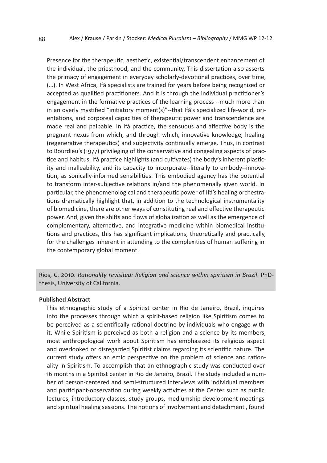Presence for the therapeutic, aesthetic, existential/transcendent enhancement of the individual, the priesthood, and the community. This dissertation also asserts the primacy of engagement in everyday scholarly-devotional practices, over time, (…). In West Africa, Ifá specialists are trained for years before being recognized or accepted as qualified practitioners. And it is through the individual practitioner's engagement in the formative practices of the learning process --much more than in an overly mystified "initiatory moment(s)"--that Ifá's specialized life-world, orientations, and corporeal capacities of therapeutic power and transcendence are made real and palpable. In Ifá practice, the sensuous and affective body is the pregnant nexus from which, and through which, innovative knowledge, healing (regenerative therapeutics) and subjectivity continually emerge. Thus, in contrast to Bourdieu's (1977) privileging of the conservative and congealing aspects of practice and habitus, Ifá practice highlights (and cultivates) the body's inherent plasticity and malleability, and its capacity to incorporate--literally to embody--innovation, as sonically-informed sensibilities. This embodied agency has the potential to transform inter-subjective relations in/and the phenomenally given world. In particular, the phenomenological and therapeutic power of Ifá's healing orchestrations dramatically highlight that, in addition to the technological instrumentality of biomedicine, there are other ways of constituting real and effective therapeutic power. And, given the shifts and flows of globalization as well as the emergence of complementary, alternative, and integrative medicine within biomedical institutions and practices, this has significant implications, theoretically and practically, for the challenges inherent in attending to the complexities of human suffering in the contemporary global moment.

Rios, C. 2010. *Rationality revisited: Religion and science within spiritism in Brazil*. PhDthesis, University of California.

## **Published Abstract**

This ethnographic study of a Spiritist center in Rio de Janeiro, Brazil, inquires into the processes through which a spirit-based religion like Spiritism comes to be perceived as a scientifically rational doctrine by individuals who engage with it. While Spiritism is perceived as both a religion and a science by its members, most anthropological work about Spiritism has emphasized its religious aspect and overlooked or disregarded Spiritist claims regarding its scientific nature. The current study offers an emic perspective on the problem of science and rationality in Spiritism. To accomplish that an ethnographic study was conducted over 16 months in a Spiritist center in Rio de Janeiro, Brazil. The study included a number of person-centered and semi-structured interviews with individual members and participant-observation during weekly activities at the Center such as public lectures, introductory classes, study groups, mediumship development meetings and spiritual healing sessions. The notions of involvement and detachment , found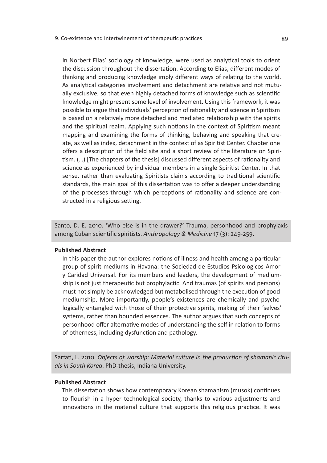in Norbert Elias' sociology of knowledge, were used as analytical tools to orient the discussion throughout the dissertation. According to Elias, different modes of thinking and producing knowledge imply different ways of relating to the world. As analytical categories involvement and detachment are relative and not mutually exclusive, so that even highly detached forms of knowledge such as scientific knowledge might present some level of involvement. Using this framework, it was possible to argue that individuals' perception of rationality and science in Spiritism is based on a relatively more detached and mediated relationship with the spirits and the spiritual realm. Applying such notions in the context of Spiritism meant mapping and examining the forms of thinking, behaving and speaking that create, as well as index, detachment in the context of as Spiritist Center. Chapter one offers a description of the field site and a short review of the literature on Spiritism. (…) [The chapters of the thesis] discussed different aspects of rationality and science as experienced by individual members in a single Spiritist Center. In that sense, rather than evaluating Spiritists claims according to traditional scientific standards, the main goal of this dissertation was to offer a deeper understanding of the processes through which perceptions of rationality and science are constructed in a religious setting.

Santo, D. E. 2010. 'Who else is in the drawer?' Trauma, personhood and prophylaxis among Cuban scientific spiritists. *Anthropology & Medicine* 17 (3): 249-259.

## **Published Abstract**

In this paper the author explores notions of illness and health among a particular group of spirit mediums in Havana: the Sociedad de Estudios Psicologicos Amor y Caridad Universal. For its members and leaders, the development of mediumship is not just therapeutic but prophylactic. And traumas (of spirits and persons) must not simply be acknowledged but metabolised through the execution of good mediumship. More importantly, people's existences are chemically and psychologically entangled with those of their protective spirits, making of their 'selves' systems, rather than bounded essences. The author argues that such concepts of personhood offer alternative modes of understanding the self in relation to forms of otherness, including dysfunction and pathology.

Sarfati, L. 2010. *Objects of worship: Material culture in the production of shamanic rituals in South Korea*. PhD-thesis, Indiana University.

## **Published Abstract**

This dissertation shows how contemporary Korean shamanism (musok) continues to flourish in a hyper technological society, thanks to various adjustments and innovations in the material culture that supports this religious practice. It was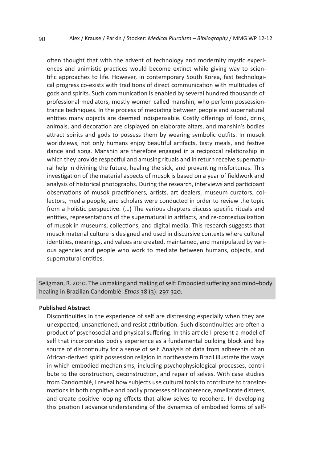often thought that with the advent of technology and modernity mystic experiences and animistic practices would become extinct while giving way to scientific approaches to life. However, in contemporary South Korea, fast technological progress co-exists with traditions of direct communication with multitudes of gods and spirits. Such communication is enabled by several hundred thousands of professional mediators, mostly women called manshin, who perform possessiontrance techniques. In the process of mediating between people and supernatural entities many objects are deemed indispensable. Costly offerings of food, drink, animals, and decoration are displayed on elaborate altars, and manshin's bodies attract spirits and gods to possess them by wearing symbolic outfits. In musok worldviews, not only humans enjoy beautiful artifacts, tasty meals, and festive dance and song. Manshin are therefore engaged in a reciprocal relationship in which they provide respectful and amusing rituals and in return receive supernatural help in divining the future, healing the sick, and preventing misfortunes. This investigation of the material aspects of musok is based on a year of fieldwork and analysis of historical photographs. During the research, interviews and participant observations of musok practitioners, artists, art dealers, museum curators, collectors, media people, and scholars were conducted in order to review the topic from a holistic perspective. (…) The various chapters discuss specific rituals and entities, representations of the supernatural in artifacts, and re-contextualization of musok in museums, collections, and digital media. This research suggests that musok material culture is designed and used in discursive contexts where cultural identities, meanings, and values are created, maintained, and manipulated by various agencies and people who work to mediate between humans, objects, and supernatural entities.

Seligman, R. 2010. The unmaking and making of self: Embodied suffering and mind–body healing in Brazilian Candomblé. *Ethos* 38 (3): 297-320.

#### **Published Abstract**

Discontinuities in the experience of self are distressing especially when they are unexpected, unsanctioned, and resist attribution. Such discontinuities are often a product of psychosocial and physical suffering. In this article I present a model of self that incorporates bodily experience as a fundamental building block and key source of discontinuity for a sense of self. Analysis of data from adherents of an African-derived spirit possession religion in northeastern Brazil illustrate the ways in which embodied mechanisms, including psychophysiological processes, contribute to the construction, deconstruction, and repair of selves. With case studies from Candomblé, I reveal how subjects use cultural tools to contribute to transformations in both cognitive and bodily processes of incoherence, ameliorate distress, and create positive looping effects that allow selves to recohere. In developing this position I advance understanding of the dynamics of embodied forms of self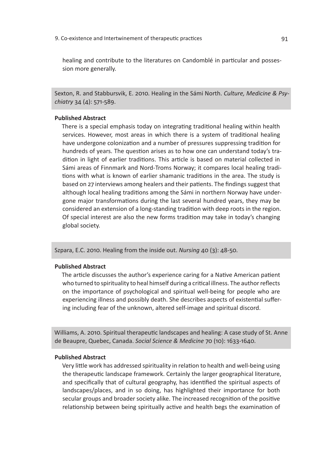healing and contribute to the literatures on Candomblé in particular and possession more generally.

Sexton, R. and Stabbursvik, E. 2010. Healing in the Sámi North. *Culture, Medicine & Psychiatry* 34 (4): 571-589.

# **Published Abstract**

There is a special emphasis today on integrating traditional healing within health services. However, most areas in which there is a system of traditional healing have undergone colonization and a number of pressures suppressing tradition for hundreds of years. The question arises as to how one can understand today's tradition in light of earlier traditions. This article is based on material collected in Sámi areas of Finnmark and Nord-Troms Norway; it compares local healing traditions with what is known of earlier shamanic traditions in the area. The study is based on 27 interviews among healers and their patients. The findings suggest that although local healing traditions among the Sámi in northern Norway have undergone major transformations during the last several hundred years, they may be considered an extension of a long-standing tradition with deep roots in the region. Of special interest are also the new forms tradition may take in today's changing global society.

Szpara, E.C. 2010. Healing from the inside out. *Nursing* 40 (3): 48-50.

## **Published Abstract**

The article discusses the author's experience caring for a Native American patient who turned to spirituality to heal himself during a critical illness. The author reflects on the importance of psychological and spiritual well-being for people who are experiencing illness and possibly death. She describes aspects of existential suffering including fear of the unknown, altered self-image and spiritual discord.

Williams, A. 2010. Spiritual therapeutic landscapes and healing: A case study of St. Anne de Beaupre, Quebec, Canada. *Social Science & Medicine* 70 (10): 1633-1640.

# **Published Abstract**

Very little work has addressed spirituality in relation to health and well-being using the therapeutic landscape framework. Certainly the larger geographical literature, and specifically that of cultural geography, has identified the spiritual aspects of landscapes/places, and in so doing, has highlighted their importance for both secular groups and broader society alike. The increased recognition of the positive relationship between being spiritually active and health begs the examination of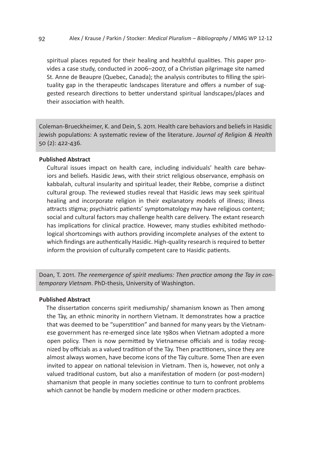spiritual places reputed for their healing and healthful qualities. This paper provides a case study, conducted in 2006–2007, of a Christian pilgrimage site named St. Anne de Beaupre (Quebec, Canada); the analysis contributes to filling the spirituality gap in the therapeutic landscapes literature and offers a number of suggested research directions to better understand spiritual landscapes/places and their association with health.

Coleman-Brueckheimer, K. and Dein, S. 2011. Health care behaviors and beliefs in Hasidic Jewish populations: A systematic review of the literature. *Journal of Religion & Health*  50 (2): 422-436.

## **Published Abstract**

Cultural issues impact on health care, including individuals' health care behaviors and beliefs. Hasidic Jews, with their strict religious observance, emphasis on kabbalah, cultural insularity and spiritual leader, their Rebbe, comprise a distinct cultural group. The reviewed studies reveal that Hasidic Jews may seek spiritual healing and incorporate religion in their explanatory models of illness; illness attracts stigma; psychiatric patients' symptomatology may have religious content; social and cultural factors may challenge health care delivery. The extant research has implications for clinical practice. However, many studies exhibited methodological shortcomings with authors providing incomplete analyses of the extent to which findings are authentically Hasidic. High-quality research is required to better inform the provision of culturally competent care to Hasidic patients.

Doan, T. 2011. *The reemergence of spirit mediums: Then practice among the Tay in contemporary Vietnam*. PhD-thesis, University of Washington.

## **Published Abstract**

The dissertation concerns spirit mediumship/ shamanism known as Then among the Tày, an ethnic minority in northern Vietnam. It demonstrates how a practice that was deemed to be "superstition" and banned for many years by the Vietnamese government has re-emerged since late 1980s when Vietnam adopted a more open policy. Then is now permitted by Vietnamese officials and is today recognized by officials as a valued tradition of the Tày. Then practitioners, since they are almost always women, have become icons of the Tày culture. Some Then are even invited to appear on national television in Vietnam. Then is, however, not only a valued traditional custom, but also a manifestation of modern (or post-modern) shamanism that people in many societies continue to turn to confront problems which cannot be handle by modern medicine or other modern practices.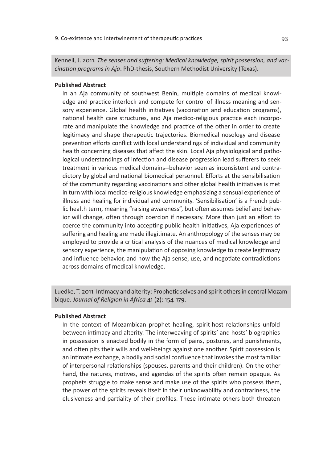Kennell, J. 2011. *The senses and suffering: Medical knowledge, spirit possession, and vaccination programs in Aja*. PhD-thesis, Southern Methodist University (Texas).

#### **Published Abstract**

In an Aja community of southwest Benin, multiple domains of medical knowledge and practice interlock and compete for control of illness meaning and sensory experience. Global health initiatives (vaccination and education programs), national health care structures, and Aja medico-religious practice each incorporate and manipulate the knowledge and practice of the other in order to create legitimacy and shape therapeutic trajectories. Biomedical nosology and disease prevention efforts conflict with local understandings of individual and community health concerning diseases that affect the skin. Local Aja physiological and pathological understandings of infection and disease progression lead sufferers to seek treatment in various medical domains--behavior seen as inconsistent and contradictory by global and national biomedical personnel. Efforts at the sensibilisation of the community regarding vaccinations and other global health initiatives is met in turn with local medico-religious knowledge emphasizing a sensual experience of illness and healing for individual and community. 'Sensibilisation' is a French public health term, meaning "raising awareness", but often assumes belief and behavior will change, often through coercion if necessary. More than just an effort to coerce the community into accepting public health initiatives, Aja experiences of suffering and healing are made illegitimate. An anthropology of the senses may be employed to provide a critical analysis of the nuances of medical knowledge and sensory experience, the manipulation of opposing knowledge to create legitimacy and influence behavior, and how the Aja sense, use, and negotiate contradictions across domains of medical knowledge.

Luedke, T. 2011. Intimacy and alterity: Prophetic selves and spirit others in central Mozambique. *Journal of Religion in Africa* 41 (2): 154-179.

## **Published Abstract**

In the context of Mozambican prophet healing, spirit-host relationships unfold between intimacy and alterity. The interweaving of spirits' and hosts' biographies in possession is enacted bodily in the form of pains, postures, and punishments, and often pits their wills and well-beings against one another. Spirit possession is an intimate exchange, a bodily and social confluence that invokes the most familiar of interpersonal relationships (spouses, parents and their children). On the other hand, the natures, motives, and agendas of the spirits often remain opaque. As prophets struggle to make sense and make use of the spirits who possess them, the power of the spirits reveals itself in their unknowability and contrariness, the elusiveness and partiality of their profiles. These intimate others both threaten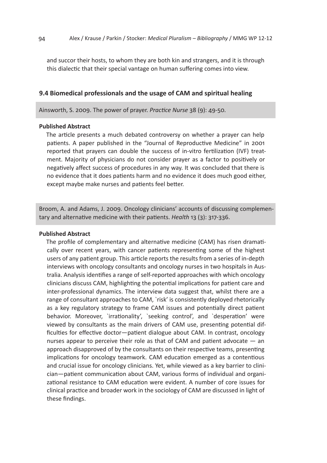and succor their hosts, to whom they are both kin and strangers, and it is through this dialectic that their special vantage on human suffering comes into view.

# **9.4 Biomedical professionals and the usage of CAM and spiritual healing**

Ainsworth, S. 2009. The power of prayer. *Practice Nurse* 38 (9): 49-50.

## **Published Abstract**

The article presents a much debated controversy on whether a prayer can help patients. A paper published in the "Journal of Reproductive Medicine" in 2001 reported that prayers can double the success of in-vitro fertilization (IVF) treatment. Majority of physicians do not consider prayer as a factor to positively or negatively affect success of procedures in any way. It was concluded that there is no evidence that it does patients harm and no evidence it does much good either, except maybe make nurses and patients feel better.

Broom, A. and Adams, J. 2009. Oncology clinicians' accounts of discussing complementary and alternative medicine with their patients. *Health* 13 (3): 317-336.

# **Published Abstract**

The profile of complementary and alternative medicine (CAM) has risen dramatically over recent years, with cancer patients representing some of the highest users of any patient group. This article reports the results from a series of in-depth interviews with oncology consultants and oncology nurses in two hospitals in Australia. Analysis identifies a range of self-reported approaches with which oncology clinicians discuss CAM, highlighting the potential implications for patient care and inter-professional dynamics. The interview data suggest that, whilst there are a range of consultant approaches to CAM, `risk' is consistently deployed rhetorically as a key regulatory strategy to frame CAM issues and potentially direct patient behavior. Moreover, `irrationality', `seeking control', and `desperation' were viewed by consultants as the main drivers of CAM use, presenting potential difficulties for effective doctor—patient dialogue about CAM. In contrast, oncology nurses appear to perceive their role as that of CAM and patient advocate — an approach disapproved of by the consultants on their respective teams, presenting implications for oncology teamwork. CAM education emerged as a contentious and crucial issue for oncology clinicians. Yet, while viewed as a key barrier to clinician—patient communication about CAM, various forms of individual and organizational resistance to CAM education were evident. A number of core issues for clinical practice and broader work in the sociology of CAM are discussed in light of these findings.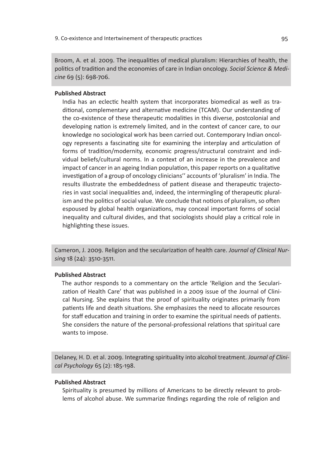Broom, A. et al. 2009. The inequalities of medical pluralism: Hierarchies of health, the politics of tradition and the economies of care in Indian oncology. *Social Science & Medicine* 69 (5): 698-706.

# **Published Abstract**

India has an eclectic health system that incorporates biomedical as well as traditional, complementary and alternative medicine (TCAM). Our understanding of the co-existence of these therapeutic modalities in this diverse, postcolonial and developing nation is extremely limited, and in the context of cancer care, to our knowledge no sociological work has been carried out. Contemporary Indian oncology represents a fascinating site for examining the interplay and articulation of forms of tradition/modernity, economic progress/structural constraint and individual beliefs/cultural norms. In a context of an increase in the prevalence and impact of cancer in an ageing Indian population, this paper reports on a qualitative investigation of a group of oncology clinicians'' accounts of 'pluralism' in India. The results illustrate the embeddedness of patient disease and therapeutic trajectories in vast social inequalities and, indeed, the intermingling of therapeutic pluralism and the politics of social value. We conclude that notions of pluralism, so often espoused by global health organizations, may conceal important forms of social inequality and cultural divides, and that sociologists should play a critical role in highlighting these issues.

Cameron, J. 2009. Religion and the secularization of health care. *Journal of Clinical Nursing* 18 (24): 3510-3511.

# **Published Abstract**

The author responds to a commentary on the article 'Religion and the Secularization of Health Care' that was published in a 2009 issue of the Journal of Clinical Nursing. She explains that the proof of spirituality originates primarily from patients life and death situations. She emphasizes the need to allocate resources for staff education and training in order to examine the spiritual needs of patients. She considers the nature of the personal-professional relations that spiritual care wants to impose.

Delaney, H. D. et al. 2009. Integrating spirituality into alcohol treatment. *Journal of Clinical Psychology* 65 (2): 185-198.

## **Published Abstract**

Spirituality is presumed by millions of Americans to be directly relevant to problems of alcohol abuse. We summarize findings regarding the role of religion and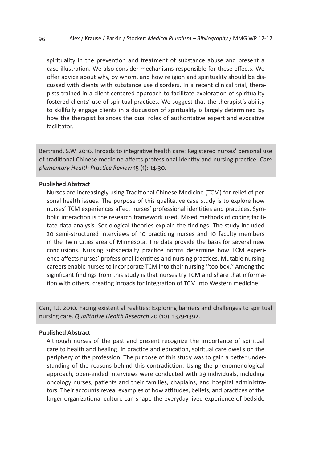spirituality in the prevention and treatment of substance abuse and present a case illustration. We also consider mechanisms responsible for these effects. We offer advice about why, by whom, and how religion and spirituality should be discussed with clients with substance use disorders. In a recent clinical trial, therapists trained in a client-centered approach to facilitate exploration of spirituality fostered clients' use of spiritual practices. We suggest that the therapist's ability to skillfully engage clients in a discussion of spirituality is largely determined by how the therapist balances the dual roles of authoritative expert and evocative facilitator.

Bertrand, S.W. 2010. Inroads to integrative health care: Registered nurses' personal use of traditional Chinese medicine affects professional identity and nursing practice. *Complementary Health Practice Review* 15 (1): 14-30.

## **Published Abstract**

Nurses are increasingly using Traditional Chinese Medicine (TCM) for relief of personal health issues. The purpose of this qualitative case study is to explore how nurses' TCM experiences affect nurses' professional identities and practices. Symbolic interaction is the research framework used. Mixed methods of coding facilitate data analysis. Sociological theories explain the findings. The study included 20 semi-structured interviews of 10 practicing nurses and 10 faculty members in the Twin Cities area of Minnesota. The data provide the basis for several new conclusions. Nursing subspecialty practice norms determine how TCM experience affects nurses' professional identities and nursing practices. Mutable nursing careers enable nurses to incorporate TCM into their nursing ''toolbox.'' Among the significant findings from this study is that nurses try TCM and share that information with others, creating inroads for integration of TCM into Western medicine.

Carr, T.J. 2010. Facing existential realities: Exploring barriers and challenges to spiritual nursing care. *Qualitative Health Research* 20 (10): 1379-1392.

#### **Published Abstract**

Although nurses of the past and present recognize the importance of spiritual care to health and healing, in practice and education, spiritual care dwells on the periphery of the profession. The purpose of this study was to gain a better understanding of the reasons behind this contradiction. Using the phenomenological approach, open-ended interviews were conducted with 29 individuals, including oncology nurses, patients and their families, chaplains, and hospital administrators. Their accounts reveal examples of how attitudes, beliefs, and practices of the larger organizational culture can shape the everyday lived experience of bedside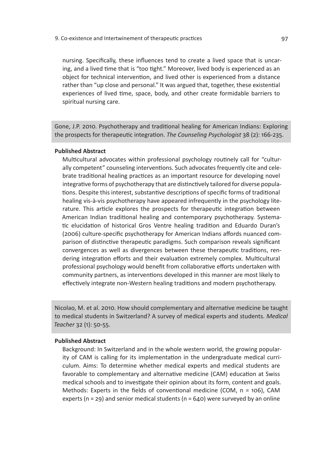nursing. Specifically, these influences tend to create a lived space that is uncaring, and a lived time that is "too tight." Moreover, lived body is experienced as an object for technical intervention, and lived other is experienced from a distance rather than "up close and personal." It was argued that, together, these existential experiences of lived time, space, body, and other create formidable barriers to spiritual nursing care.

Gone, J.P. 2010. Psychotherapy and traditional healing for American Indians: Exploring the prospects for therapeutic integration. *The Counseling Psychologist* 38 (2): 166-235.

#### **Published Abstract**

Multicultural advocates within professional psychology routinely call for "culturally competent" counseling interventions. Such advocates frequently cite and celebrate traditional healing practices as an important resource for developing novel integrative forms of psychotherapy that are distinctively tailored for diverse populations. Despite this interest, substantive descriptions of specific forms of traditional healing vis-à-vis psychotherapy have appeared infrequently in the psychology literature. This article explores the prospects for therapeutic integration between American Indian traditional healing and contemporary psychotherapy. Systematic elucidation of historical Gros Ventre healing tradition and Eduardo Duran's (2006) culture-specific psychotherapy for American Indians affords nuanced comparison of distinctive therapeutic paradigms. Such comparison reveals significant convergences as well as divergences between these therapeutic traditions, rendering integration efforts and their evaluation extremely complex. Multicultural professional psychology would benefit from collaborative efforts undertaken with community partners, as interventions developed in this manner are most likely to effectively integrate non-Western healing traditions and modern psychotherapy.

Nicolao, M. et al. 2010. How should complementary and alternative medicine be taught to medical students in Switzerland? A survey of medical experts and students. *Medical Teacher* 32 (1): 50-55.

#### **Published Abstract**

Background: In Switzerland and in the whole western world, the growing popularity of CAM is calling for its implementation in the undergraduate medical curriculum. Aims: To determine whether medical experts and medical students are favorable to complementary and alternative medicine (CAM) education at Swiss medical schools and to investigate their opinion about its form, content and goals. Methods: Experts in the fields of conventional medicine (COM,  $n = 106$ ), CAM experts ( $n = 29$ ) and senior medical students ( $n = 640$ ) were surveyed by an online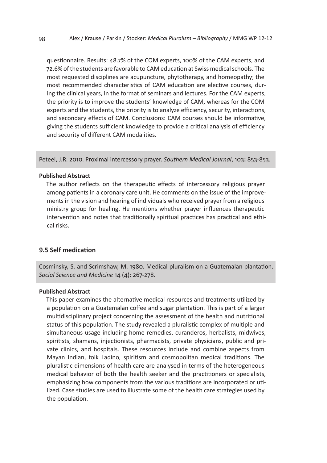questionnaire. Results: 48.7% of the COM experts, 100% of the CAM experts, and 72.6% of the students are favorable to CAM education at Swiss medical schools. The most requested disciplines are acupuncture, phytotherapy, and homeopathy; the most recommended characteristics of CAM education are elective courses, during the clinical years, in the format of seminars and lectures. For the CAM experts, the priority is to improve the students' knowledge of CAM, whereas for the COM experts and the students, the priority is to analyze efficiency, security, interactions, and secondary effects of CAM. Conclusions: CAM courses should be informative, giving the students sufficient knowledge to provide a critical analysis of efficiency and security of different CAM modalities.

Peteel, J.R. 2010. Proximal intercessory prayer. *Southern Medical Journal*, 103**:** 853-853.

#### **Published Abstract**

The author reflects on the therapeutic effects of intercessory religious prayer among patients in a coronary care unit. He comments on the issue of the improvements in the vision and hearing of individuals who received prayer from a religious ministry group for healing. He mentions whether prayer influences therapeutic intervention and notes that traditionally spiritual practices has practical and ethical risks.

# **9.5 Self medication**

Cosminsky, S. and Scrimshaw, M. 1980. Medical pluralism on a Guatemalan plantation. *Social Science and Medicine* 14 (4): 267-278.

#### **Published Abstract**

This paper examines the alternative medical resources and treatments utilized by a population on a Guatemalan coffee and sugar plantation. This is part of a larger multidisciplinary project concerning the assessment of the health and nutritional status of this population. The study revealed a pluralistic complex of multiple and simultaneous usage including home remedies, curanderos, herbalists, midwives, spiritists, shamans, injectionists, pharmacists, private physicians, public and private clinics, and hospitals. These resources include and combine aspects from Mayan Indian, folk Ladino, spiritism and cosmopolitan medical traditions. The pluralistic dimensions of health care are analysed in terms of the heterogeneous medical behavior of both the health seeker and the practitioners or specialists, emphasizing how components from the various traditions are incorporated or utilized. Case studies are used to illustrate some of the health care strategies used by the population.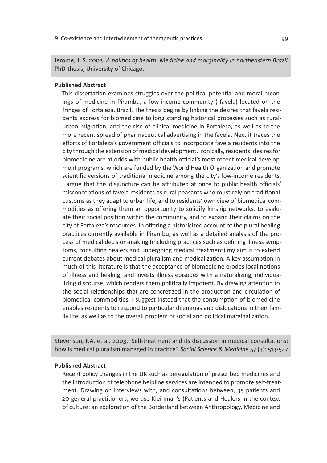Jerome, J. S. 2003. *A politics of health: Medicine and marginality in northeastern Brazil.*  PhD-thesis, University of Chicago.

#### **Published Abstract**

This dissertation examines struggles over the political potential and moral meanings of medicine in Pirambu, a low-income community ( favela) located on the fringes of Fortaleza, Brazil. The thesis begins by linking the desires that favela residents express for biomedicine to long standing historical processes such as ruralurban migration, and the rise of clinical medicine in Fortaleza, as well as to the more recent spread of pharmaceutical advertising in the favela. Next it traces the efforts of Fortaleza's government officials to incorporate favela residents into the city through the extension of medical development. Ironically, residents' desires for biomedicine are at odds with public health official's most recent medical development programs, which are funded by the World Health Organization and promote scientific versions of traditional medicine among the city's low-income residents. I argue that this disjuncture can be attributed at once to public health officials' misconceptions of favela residents as rural peasants who must rely on traditional customs as they adapt to urban life, and to residents' own view of biomedical commodities as offering them an opportunity to solidify kinship networks, to evaluate their social position within the community, and to expand their claims on the city of Fortaleza's resources. In offering a historicized account of the plural healing practices currently available in Pirambu, as well as a detailed analysis of the process of medical decision-making (including practices such as defining illness symptoms, consulting healers and undergoing medical treatment) my aim is to extend current debates about medical pluralism and medicalization. A key assumption in much of this literature is that the acceptance of biomedicine erodes local notions of illness and healing, and invests illness episodes with a naturalizing, individualizing discourse, which renders them politically impotent. By drawing attention to the social relationships that are concretized in the production and circulation of biomedical commodities, I suggest instead that the consumption of biomedicine enables residents to respond to particular dilemmas and dislocations in their family life, as well as to the overall problem of social and political marginalization.

Stevenson, F.A. et al. 2003. Self-treatment and its discussion in medical consultations: how is medical pluralism managed in practice? *Social Science & Medicine* 57 (3): 513-527.

#### **Published Abstract**

Recent policy changes in the UK such as deregulation of prescribed medicines and the introduction of telephone helpline services are intended to promote self-treatment. Drawing on interviews with, and consultations between, 35 patients and 20 general practitioners, we use Kleinman's (Patients and Healers in the context of culture: an exploration of the Borderland between Anthropology, Medicine and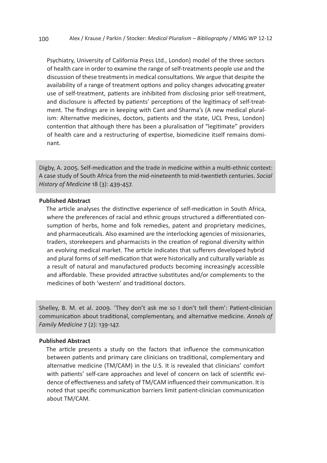Psychiatry, University of California Press Ltd., London) model of the three sectors of health care in order to examine the range of self-treatments people use and the discussion of these treatments in medical consultations. We argue that despite the availability of a range of treatment options and policy changes advocating greater use of self-treatment, patients are inhibited from disclosing prior self-treatment, and disclosure is affected by patients' perceptions of the legitimacy of self-treatment. The findings are in keeping with Cant and Sharma's (A new medical pluralism: Alternative medicines, doctors, patients and the state, UCL Press, London) contention that although there has been a pluralisation of "legitimate" providers of health care and a restructuring of expertise, biomedicine itself remains dominant.

Digby, A. 2005. Self-medication and the trade in medicine within a multi-ethnic context: A case study of South Africa from the mid-nineteenth to mid-twentieth centuries. *Social History of Medicine* 18 (3): 439-457.

### **Published Abstract**

The article analyses the distinctive experience of self-medication in South Africa, where the preferences of racial and ethnic groups structured a differentiated consumption of herbs, home and folk remedies, patent and proprietary medicines, and pharmaceuticals. Also examined are the interlocking agencies of missionaries, traders, storekeepers and pharmacists in the creation of regional diversity within an evolving medical market. The article indicates that sufferers developed hybrid and plural forms of self-medication that were historically and culturally variable as a result of natural and manufactured products becoming increasingly accessible and affordable. These provided attractive substitutes and/or complements to the medicines of both 'western' and traditional doctors.

Shelley, B. M. et al. 2009. 'They don't ask me so I don't tell them': Patient-clinician communication about traditional, complementary, and alternative medicine. *Annals of Family Medicine* 7 (2): 139-147.

#### **Published Abstract**

The article presents a study on the factors that influence the communication between patients and primary care clinicians on traditional, complementary and alternative medicine (TM/CAM) in the U.S. It is revealed that clinicians' comfort with patients' self-care approaches and level of concern on lack of scientific evidence of effectiveness and safety of TM/CAM influenced their communication. It is noted that specific communication barriers limit patient-clinician communication about TM/CAM.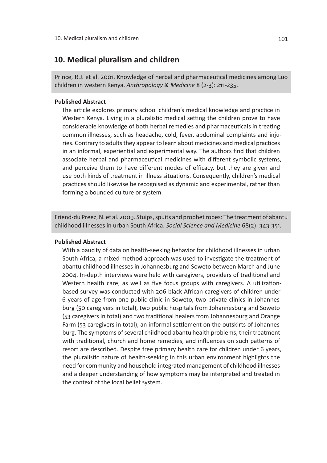# **10. Medical pluralism and children**

Prince, R.J. et al. 2001. Knowledge of herbal and pharmaceutical medicines among Luo children in western Kenya. *Anthropology & Medicine* 8 (2-3): 211-235.

## **Published Abstract**

The article explores primary school children's medical knowledge and practice in Western Kenya. Living in a pluralistic medical setting the children prove to have considerable knowledge of both herbal remedies and pharmaceuticals in treating common illnesses, such as headache, cold, fever, abdominal complaints and injuries. Contrary to adults they appear to learn about medicines and medical practices in an informal, experiential and experimental way. The authors find that children associate herbal and pharmaceutical medicines with different symbolic systems, and perceive them to have different modes of efficacy, but they are given and use both kinds of treatment in illness situations. Consequently, children's medical practices should likewise be recognised as dynamic and experimental, rather than forming a bounded culture or system.

Friend-du Preez, N. et al. 2009. Stuips, spuits and prophet ropes: The treatment of abantu childhood illnesses in urban South Africa. *Social Science and Medicine* 68(2): 343-351.

## **Published Abstract**

With a paucity of data on health-seeking behavior for childhood illnesses in urban South Africa, a mixed method approach was used to investigate the treatment of abantu childhood illnesses in Johannesburg and Soweto between March and June 2004. In-depth interviews were held with caregivers, providers of traditional and Western health care, as well as five focus groups with caregivers. A utilizationbased survey was conducted with 206 black African caregivers of children under 6 years of age from one public clinic in Soweto, two private clinics in Johannesburg (50 caregivers in total), two public hospitals from Johannesburg and Soweto (53 caregivers in total) and two traditional healers from Johannesburg and Orange Farm (53 caregivers in total), an informal settlement on the outskirts of Johannesburg. The symptoms of several childhood abantu health problems, their treatment with traditional, church and home remedies, and influences on such patterns of resort are described. Despite free primary health care for children under 6 years, the pluralistic nature of health-seeking in this urban environment highlights the need for community and household integrated management of childhood illnesses and a deeper understanding of how symptoms may be interpreted and treated in the context of the local belief system.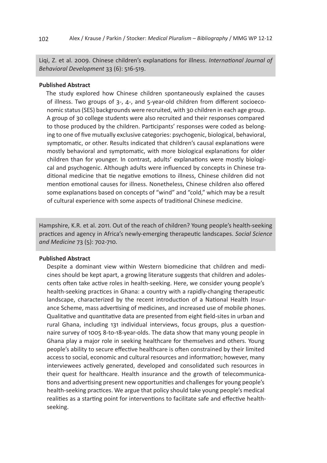Liqi, Z. et al. 2009. Chinese children's explanations for illness. *International Journal of Behavioral Development* 33 (6): 516-519.

## **Published Abstract**

The study explored how Chinese children spontaneously explained the causes of illness. Two groups of 3-, 4-, and 5-year-old children from different socioeconomic status (SES) backgrounds were recruited, with 30 children in each age group. A group of 30 college students were also recruited and their responses compared to those produced by the children. Participants' responses were coded as belonging to one of five mutually exclusive categories: psychogenic, biological, behavioral, symptomatic, or other. Results indicated that children's causal explanations were mostly behavioral and symptomatic, with more biological explanations for older children than for younger. In contrast, adults' explanations were mostly biological and psychogenic. Although adults were influenced by concepts in Chinese traditional medicine that tie negative emotions to illness, Chinese children did not mention emotional causes for illness. Nonetheless, Chinese children also offered some explanations based on concepts of "wind" and "cold," which may be a result of cultural experience with some aspects of traditional Chinese medicine.

Hampshire, K.R. et al. 2011. Out of the reach of children? Young people's health-seeking practices and agency in Africa's newly-emerging therapeutic landscapes. *Social Science and Medicine* 73 (5): 702-710.

## **Published Abstract**

Despite a dominant view within Western biomedicine that children and medicines should be kept apart, a growing literature suggests that children and adolescents often take active roles in health-seeking. Here, we consider young people's health-seeking practices in Ghana: a country with a rapidly-changing therapeutic landscape, characterized by the recent introduction of a National Health Insurance Scheme, mass advertising of medicines, and increased use of mobile phones. Qualitative and quantitative data are presented from eight field-sites in urban and rural Ghana, including 131 individual interviews, focus groups, plus a questionnaire survey of 1005 8-to-18-year-olds. The data show that many young people in Ghana play a major role in seeking healthcare for themselves and others. Young people's ability to secure effective healthcare is often constrained by their limited access to social, economic and cultural resources and information; however, many interviewees actively generated, developed and consolidated such resources in their quest for healthcare. Health insurance and the growth of telecommunications and advertising present new opportunities and challenges for young people's health-seeking practices. We argue that policy should take young people's medical realities as a starting point for interventions to facilitate safe and effective healthseeking.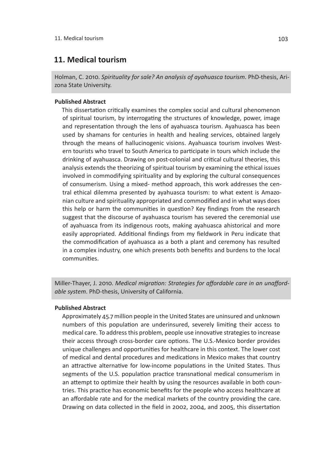# **11. Medical tourism**

Holman, C. 2010. *Spirituality for sale? An analysis of ayahuasca tourism*. PhD-thesis, Arizona State University.

# **Published Abstract**

This dissertation critically examines the complex social and cultural phenomenon of spiritual tourism, by interrogating the structures of knowledge, power, image and representation through the lens of ayahuasca tourism. Ayahuasca has been used by shamans for centuries in health and healing services, obtained largely through the means of hallucinogenic visions. Ayahuasca tourism involves Western tourists who travel to South America to participate in tours which include the drinking of ayahuasca. Drawing on post-colonial and critical cultural theories, this analysis extends the theorizing of spiritual tourism by examining the ethical issues involved in commodifying spirituality and by exploring the cultural consequences of consumerism. Using a mixed- method approach, this work addresses the central ethical dilemma presented by ayahuasca tourism: to what extent is Amazonian culture and spirituality appropriated and commodified and in what ways does this help or harm the communities in question? Key findings from the research suggest that the discourse of ayahuasca tourism has severed the ceremonial use of ayahuasca from its indigenous roots, making ayahuasca ahistorical and more easily appropriated. Additional findings from my fieldwork in Peru indicate that the commodification of ayahuasca as a both a plant and ceremony has resulted in a complex industry, one which presents both benefits and burdens to the local communities.

Miller-Thayer, J. 2010. *Medical migration: Strategies for affordable care in an unaffordable system*. PhD-thesis, University of California.

## **Published Abstract**

Approximately 45.7 million people in the United States are uninsured and unknown numbers of this population are underinsured, severely limiting their access to medical care. To address this problem, people use innovative strategies to increase their access through cross-border care options. The U.S.-Mexico border provides unique challenges and opportunities for healthcare in this context. The lower cost of medical and dental procedures and medications in Mexico makes that country an attractive alternative for low-income populations in the United States. Thus segments of the U.S. population practice transnational medical consumerism in an attempt to optimize their health by using the resources available in both countries. This practice has economic benefits for the people who access healthcare at an affordable rate and for the medical markets of the country providing the care. Drawing on data collected in the field in 2002, 2004, and 2005, this dissertation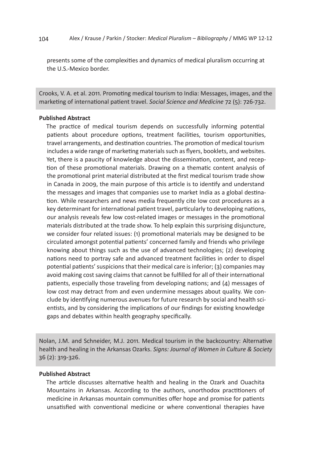# 104 Alex / Krause / Parkin / Stocker: *Medical Pluralism – Bibliography* / MMG WP 12-12

presents some of the complexities and dynamics of medical pluralism occurring at the U.S.-Mexico border.

Crooks, V. A. et al. 2011. Promoting medical tourism to India: Messages, images, and the marketing of international patient travel. *Social Science and Medicine* 72 (5): 726-732.

# **Published Abstract**

The practice of medical tourism depends on successfully informing potential patients about procedure options, treatment facilities, tourism opportunities, travel arrangements, and destination countries. The promotion of medical tourism includes a wide range of marketing materials such as flyers, booklets, and websites. Yet, there is a paucity of knowledge about the dissemination, content, and reception of these promotional materials. Drawing on a thematic content analysis of the promotional print material distributed at the first medical tourism trade show in Canada in 2009, the main purpose of this article is to identify and understand the messages and images that companies use to market India as a global destination. While researchers and news media frequently cite low cost procedures as a key determinant for international patient travel, particularly to developing nations, our analysis reveals few low cost-related images or messages in the promotional materials distributed at the trade show. To help explain this surprising disjuncture, we consider four related issues: (1) promotional materials may be designed to be circulated amongst potential patients' concerned family and friends who privilege knowing about things such as the use of advanced technologies; (2) developing nations need to portray safe and advanced treatment facilities in order to dispel potential patients' suspicions that their medical care is inferior; (3) companies may avoid making cost saving claims that cannot be fulfilled for all of their international patients, especially those traveling from developing nations; and (4) messages of low cost may detract from and even undermine messages about quality. We conclude by identifying numerous avenues for future research by social and health scientists, and by considering the implications of our findings for existing knowledge gaps and debates within health geography specifically.

Nolan, J.M. and Schneider, M.J. 2011. Medical tourism in the backcountry: Alternative health and healing in the Arkansas Ozarks. *Signs: Journal of Women in Culture & Society* 36 (2): 319-326.

## **Published Abstract**

The article discusses alternative health and healing in the Ozark and Ouachita Mountains in Arkansas. According to the authors, unorthodox practitioners of medicine in Arkansas mountain communities offer hope and promise for patients unsatisfied with conventional medicine or where conventional therapies have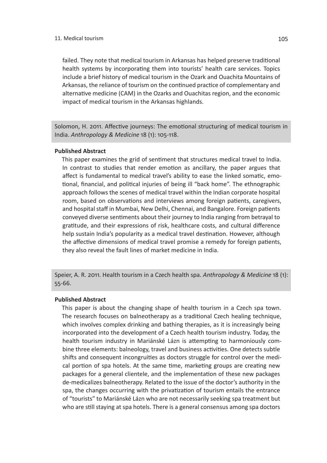failed. They note that medical tourism in Arkansas has helped preserve traditional health systems by incorporating them into tourists' health care services. Topics include a brief history of medical tourism in the Ozark and Ouachita Mountains of Arkansas, the reliance of tourism on the continued practice of complementary and alternative medicine (CAM) in the Ozarks and Ouachitas region, and the economic impact of medical tourism in the Arkansas highlands.

Solomon, H. 2011. Affective journeys: The emotional structuring of medical tourism in India. *Anthropology & Medicine* 18 (1): 105-118.

#### **Published Abstract**

This paper examines the grid of sentiment that structures medical travel to India. In contrast to studies that render emotion as ancillary, the paper argues that affect is fundamental to medical travel's ability to ease the linked somatic, emotional, financial, and political injuries of being ill "back home". The ethnographic approach follows the scenes of medical travel within the Indian corporate hospital room, based on observations and interviews among foreign patients, caregivers, and hospital staff in Mumbai, New Delhi, Chennai, and Bangalore. Foreign patients conveyed diverse sentiments about their journey to India ranging from betrayal to gratitude, and their expressions of risk, healthcare costs, and cultural difference help sustain India's popularity as a medical travel destination. However, although the affective dimensions of medical travel promise a remedy for foreign patients, they also reveal the fault lines of market medicine in India.

Speier, A. R. 2011. Health tourism in a Czech health spa. *Anthropology & Medicine* 18 (1): 55-66.

## **Published Abstract**

This paper is about the changing shape of health tourism in a Czech spa town. The research focuses on balneotherapy as a traditional Czech healing technique, which involves complex drinking and bathing therapies, as it is increasingly being incorporated into the development of a Czech health tourism industry. Today, the health tourism industry in Mariánské Lázn is attempting to harmoniously combine three elements: balneology, travel and business activities. One detects subtle shifts and consequent incongruities as doctors struggle for control over the medical portion of spa hotels. At the same time, marketing groups are creating new packages for a general clientele, and the implementation of these new packages de-medicalizes balneotherapy. Related to the issue of the doctor's authority in the spa, the changes occurring with the privatization of tourism entails the entrance of "tourists" to Mariánské Lázn who are not necessarily seeking spa treatment but who are still staying at spa hotels. There is a general consensus among spa doctors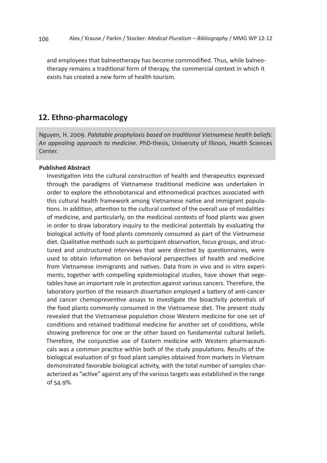and employees that balneotherapy has become commodified. Thus, while balneotherapy remains a traditional form of therapy, the commercial context in which it exists has created a new form of health tourism.

# **12. Ethno-pharmacology**

Nguyen, H. 2009. *Palatable prophylaxis based on traditional Vietnamese health beliefs: An appealing approach to medicine*. PhD-thesis, University of Illinois, Health Sciences Center.

# **Published Abstract**

Investigation into the cultural construction of health and therapeutics expressed through the paradigms of Vietnamese traditional medicine was undertaken in order to explore the ethnobotanical and ethnomedical practices associated with this cultural health framework among Vietnamese native and immigrant populations. In addition, attention to the cultural context of the overall use of modalities of medicine, and particularly, on the medicinal contexts of food plants was given in order to draw laboratory inquiry to the medicinal potentials by evaluating the biological activity of food plants commonly consumed as part of the Vietnamese diet. Qualitative methods such as participant observation, focus groups, and structured and unstructured interviews that were directed by questionnaires, were used to obtain information on behavioral perspectives of health and medicine from Vietnamese immigrants and natives. Data from in vivo and in vitro experiments, together with compelling epidemiological studies, have shown that vegetables have an important role in protection against various cancers. Therefore, the laboratory portion of the research dissertation employed a battery of anti-cancer and cancer chemopreventive assays to investigate the bioactivity potentials of the food plants commonly consumed in the Vietnamese diet. The present study revealed that the Vietnamese population chose Western medicine for one set of conditions and retained traditional medicine for another set of conditions, while showing preference for one or the other based on fundamental cultural beliefs. Therefore, the conjunctive use of Eastern medicine with Western pharmaceuticals was a common practice within both of the study populations. Results of the biological evaluation of 91 food plant samples obtained from markets in Vietnam demonstrated favorable biological activity, with the total number of samples characterized as "active" against any of the various targets was established in the range of 54.9%.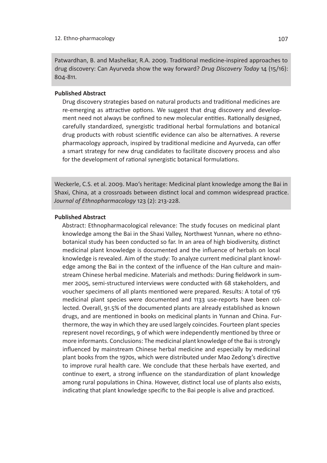Patwardhan, B. and Mashelkar, R.A. 2009. Traditional medicine-inspired approaches to drug discovery: Can Ayurveda show the way forward? *Drug Discovery Today* 14 (15/16): 804-811.

## **Published Abstract**

Drug discovery strategies based on natural products and traditional medicines are re-emerging as attractive options. We suggest that drug discovery and development need not always be confined to new molecular entities. Rationally designed, carefully standardized, synergistic traditional herbal formulations and botanical drug products with robust scientific evidence can also be alternatives. A reverse pharmacology approach, inspired by traditional medicine and Ayurveda, can offer a smart strategy for new drug candidates to facilitate discovery process and also for the development of rational synergistic botanical formulations.

Weckerle, C.S. et al. 2009. Mao's heritage: Medicinal plant knowledge among the Bai in Shaxi, China, at a crossroads between distinct local and common widespread practice. *Journal of Ethnopharmacology* 123 (2): 213-228.

### **Published Abstract**

Abstract: Ethnopharmacological relevance: The study focuses on medicinal plant knowledge among the Bai in the Shaxi Valley, Northwest Yunnan, where no ethnobotanical study has been conducted so far. In an area of high biodiversity, distinct medicinal plant knowledge is documented and the influence of herbals on local knowledge is revealed. Aim of the study: To analyze current medicinal plant knowledge among the Bai in the context of the influence of the Han culture and mainstream Chinese herbal medicine. Materials and methods: During fieldwork in summer 2005, semi-structured interviews were conducted with 68 stakeholders, and voucher specimens of all plants mentioned were prepared. Results: A total of 176 medicinal plant species were documented and 1133 use-reports have been collected. Overall, 91.5% of the documented plants are already established as known drugs, and are mentioned in books on medicinal plants in Yunnan and China. Furthermore, the way in which they are used largely coincides. Fourteen plant species represent novel recordings, 9 of which were independently mentioned by three or more informants. Conclusions: The medicinal plant knowledge of the Bai is strongly influenced by mainstream Chinese herbal medicine and especially by medicinal plant books from the 1970s, which were distributed under Mao Zedong's directive to improve rural health care. We conclude that these herbals have exerted, and continue to exert, a strong influence on the standardization of plant knowledge among rural populations in China. However, distinct local use of plants also exists, indicating that plant knowledge specific to the Bai people is alive and practiced.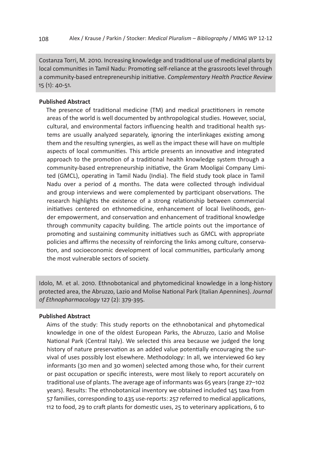Costanza Torri, M. 2010. Increasing knowledge and traditional use of medicinal plants by local communities in Tamil Nadu: Promoting self-reliance at the grassroots level through a community-based entrepreneurship initiative. *Complementary Health Practice Review* 15 (1): 40-51.

#### **Published Abstract**

The presence of traditional medicine (TM) and medical practitioners in remote areas of the world is well documented by anthropological studies. However, social, cultural, and environmental factors influencing health and traditional health systems are usually analyzed separately, ignoring the interlinkages existing among them and the resulting synergies, as well as the impact these will have on multiple aspects of local communities. This article presents an innovative and integrated approach to the promotion of a traditional health knowledge system through a community-based entrepreneurship initiative, the Gram Mooligai Company Limited (GMCL), operating in Tamil Nadu (India). The field study took place in Tamil Nadu over a period of  $\Delta$  months. The data were collected through individual and group interviews and were complemented by participant observations. The research highlights the existence of a strong relationship between commercial initiatives centered on ethnomedicine, enhancement of local livelihoods, gender empowerment, and conservation and enhancement of traditional knowledge through community capacity building. The article points out the importance of promoting and sustaining community initiatives such as GMCL with appropriate policies and affirms the necessity of reinforcing the links among culture, conservation, and socioeconomic development of local communities, particularly among the most vulnerable sectors of society.

Idolo, M. et al. 2010. Ethnobotanical and phytomedicinal knowledge in a long-history protected area, the Abruzzo, Lazio and Molise National Park (Italian Apennines). *Journal of Ethnopharmacology* 127 (2): 379-395.

#### **Published Abstract**

Aims of the study: This study reports on the ethnobotanical and phytomedical knowledge in one of the oldest European Parks, the Abruzzo, Lazio and Molise National Park (Central Italy). We selected this area because we judged the long history of nature preservation as an added value potentially encouraging the survival of uses possibly lost elsewhere. Methodology: In all, we interviewed 60 key informants (30 men and 30 women) selected among those who, for their current or past occupation or specific interests, were most likely to report accurately on traditional use of plants. The average age of informants was 65 years (range 27–102 years). Results: The ethnobotanical inventory we obtained included 145 taxa from 57 families, corresponding to 435 use-reports: 257 referred to medical applications, 112 to food, 29 to craft plants for domestic uses, 25 to veterinary applications, 6 to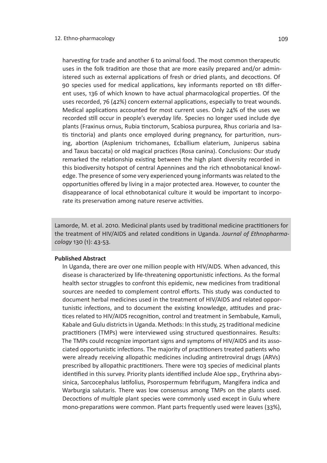harvesting for trade and another 6 to animal food. The most common therapeutic uses in the folk tradition are those that are more easily prepared and/or administered such as external applications of fresh or dried plants, and decoctions. Of 90 species used for medical applications, key informants reported on 181 different uses, 136 of which known to have actual pharmacological properties. Of the uses recorded, 76 (42%) concern external applications, especially to treat wounds. Medical applications accounted for most current uses. Only 24% of the uses we recorded still occur in people's everyday life. Species no longer used include dye plants (Fraxinus ornus, Rubia tinctorum, Scabiosa purpurea, Rhus coriaria and Isatis tinctoria) and plants once employed during pregnancy, for parturition, nursing, abortion (Asplenium trichomanes, Ecballium elaterium, Juniperus sabina and Taxus baccata) or old magical practices (Rosa canina). Conclusions: Our study remarked the relationship existing between the high plant diversity recorded in this biodiversity hotspot of central Apennines and the rich ethnobotanical knowledge. The presence of some very experienced young informants was related to the opportunities offered by living in a major protected area. However, to counter the disappearance of local ethnobotanical culture it would be important to incorporate its preservation among nature reserve activities.

Lamorde, M. et al. 2010. Medicinal plants used by traditional medicine practitioners for the treatment of HIV/AIDS and related conditions in Uganda. *Journal of Ethnopharmacology* 130 (1): 43-53.

#### **Published Abstract**

In Uganda, there are over one million people with HIV/AIDS. When advanced, this disease is characterized by life-threatening opportunistic infections. As the formal health sector struggles to confront this epidemic, new medicines from traditional sources are needed to complement control efforts. This study was conducted to document herbal medicines used in the treatment of HIV/AIDS and related opportunistic infections, and to document the existing knowledge, attitudes and practices related to HIV/AIDS recognition, control and treatment in Sembabule, Kamuli, Kabale and Gulu districts in Uganda. Methods: In this study, 25 traditional medicine practitioners (TMPs) were interviewed using structured questionnaires. Results: The TMPs could recognize important signs and symptoms of HIV/AIDS and its associated opportunistic infections. The majority of practitioners treated patients who were already receiving allopathic medicines including antiretroviral drugs (ARVs) prescribed by allopathic practitioners. There were 103 species of medicinal plants identified in this survey. Priority plants identified include Aloe spp., Erythrina abyssinica, Sarcocephalus latifolius, Psorospermum febrifugum, Mangifera indica and Warburgia salutaris. There was low consensus among TMPs on the plants used. Decoctions of multiple plant species were commonly used except in Gulu where mono-preparations were common. Plant parts frequently used were leaves (33%),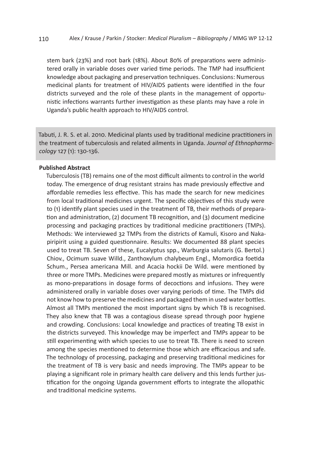stem bark (23%) and root bark (18%). About 80% of preparations were administered orally in variable doses over varied time periods. The TMP had insufficient knowledge about packaging and preservation techniques. Conclusions: Numerous medicinal plants for treatment of HIV/AIDS patients were identified in the four districts surveyed and the role of these plants in the management of opportunistic infections warrants further investigation as these plants may have a role in Uganda's public health approach to HIV/AIDS control.

Tabuti, J. R. S. et al. 2010. Medicinal plants used by traditional medicine practitioners in the treatment of tuberculosis and related ailments in Uganda. *Journal of Ethnopharmacology* 127 (1): 130-136.

#### **Published Abstract**

Tuberculosis (TB) remains one of the most difficult ailments to control in the world today. The emergence of drug resistant strains has made previously effective and affordable remedies less effective. This has made the search for new medicines from local traditional medicines urgent. The specific objectives of this study were to (1) identify plant species used in the treatment of TB, their methods of preparation and administration, (2) document TB recognition, and (3) document medicine processing and packaging practices by traditional medicine practitioners (TMPs). Methods: We interviewed 32 TMPs from the districts of Kamuli, Kisoro and Nakapiripirit using a guided questionnaire. Results: We documented 88 plant species used to treat TB. Seven of these, Eucalyptus spp., Warburgia salutaris (G. Bertol.) Chiov., Ocimum suave Willd., Zanthoxylum chalybeum Engl., Momordica foetida Schum., Persea americana Mill. and Acacia hockii De Wild. were mentioned by three or more TMPs. Medicines were prepared mostly as mixtures or infrequently as mono-preparations in dosage forms of decoctions and infusions. They were administered orally in variable doses over varying periods of time. The TMPs did not know how to preserve the medicines and packaged them in used water bottles. Almost all TMPs mentioned the most important signs by which TB is recognised. They also knew that TB was a contagious disease spread through poor hygiene and crowding. Conclusions: Local knowledge and practices of treating TB exist in the districts surveyed. This knowledge may be imperfect and TMPs appear to be still experimenting with which species to use to treat TB. There is need to screen among the species mentioned to determine those which are efficacious and safe. The technology of processing, packaging and preserving traditional medicines for the treatment of TB is very basic and needs improving. The TMPs appear to be playing a significant role in primary health care delivery and this lends further justification for the ongoing Uganda government efforts to integrate the allopathic and traditional medicine systems.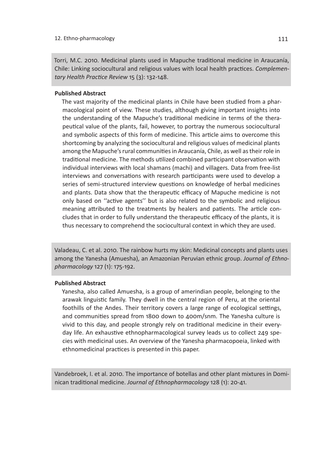Torri, M.C. 2010. Medicinal plants used in Mapuche traditional medicine in Araucanía, Chile: Linking sociocultural and religious values with local health practices. *Complementary Health Practice Review* 15 (3): 132-148.

# **Published Abstract**

The vast majority of the medicinal plants in Chile have been studied from a pharmacological point of view. These studies, although giving important insights into the understanding of the Mapuche's traditional medicine in terms of the therapeutical value of the plants, fail, however, to portray the numerous sociocultural and symbolic aspects of this form of medicine. This article aims to overcome this shortcoming by analyzing the sociocultural and religious values of medicinal plants among the Mapuche's rural communities in Araucanía, Chile, as well as their role in traditional medicine. The methods utilized combined participant observation with individual interviews with local shamans (machi) and villagers. Data from free-list interviews and conversations with research participants were used to develop a series of semi-structured interview questions on knowledge of herbal medicines and plants. Data show that the therapeutic efficacy of Mapuche medicine is not only based on ''active agents'' but is also related to the symbolic and religious meaning attributed to the treatments by healers and patients. The article concludes that in order to fully understand the therapeutic efficacy of the plants, it is thus necessary to comprehend the sociocultural context in which they are used.

Valadeau, C. et al. 2010. The rainbow hurts my skin: Medicinal concepts and plants uses among the Yanesha (Amuesha), an Amazonian Peruvian ethnic group. *Journal of Ethnopharmacology* 127 (1): 175-192.

#### **Published Abstract**

Yanesha, also called Amuesha, is a group of amerindian people, belonging to the arawak linguistic family. They dwell in the central region of Peru, at the oriental foothills of the Andes. Their territory covers a large range of ecological settings, and communities spread from 1800 down to 400m/snm. The Yanesha culture is vivid to this day, and people strongly rely on traditional medicine in their everyday life. An exhaustive ethnopharmacological survey leads us to collect 249 species with medicinal uses. An overview of the Yanesha pharmacopoeia, linked with ethnomedicinal practices is presented in this paper.

Vandebroek, I. et al. 2010. The importance of botellas and other plant mixtures in Dominican traditional medicine. *Journal of Ethnopharmacology* 128 (1): 20-41.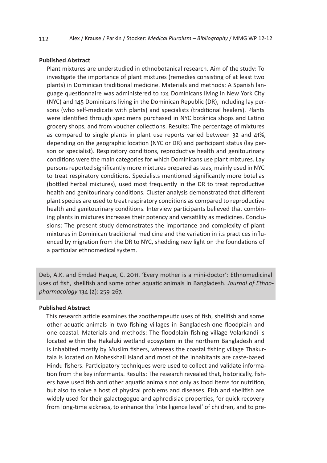## **Published Abstract**

Plant mixtures are understudied in ethnobotanical research. Aim of the study: To investigate the importance of plant mixtures (remedies consisting of at least two plants) in Dominican traditional medicine. Materials and methods: A Spanish language questionnaire was administered to 174 Dominicans living in New York City (NYC) and 145 Dominicans living in the Dominican Republic (DR), including lay persons (who self-medicate with plants) and specialists (traditional healers). Plants were identified through specimens purchased in NYC botánica shops and Latino grocery shops, and from voucher collections. Results: The percentage of mixtures as compared to single plants in plant use reports varied between 32 and 41%, depending on the geographic location (NYC or DR) and participant status (lay person or specialist). Respiratory conditions, reproductive health and genitourinary conditions were the main categories for which Dominicans use plant mixtures. Lay persons reported significantly more mixtures prepared as teas, mainly used in NYC to treat respiratory conditions. Specialists mentioned significantly more botellas (bottled herbal mixtures), used most frequently in the DR to treat reproductive health and genitourinary conditions. Cluster analysis demonstrated that different plant species are used to treat respiratory conditions as compared to reproductive health and genitourinary conditions. Interview participants believed that combining plants in mixtures increases their potency and versatility as medicines. Conclusions: The present study demonstrates the importance and complexity of plant mixtures in Dominican traditional medicine and the variation in its practices influenced by migration from the DR to NYC, shedding new light on the foundations of a particular ethnomedical system.

Deb, A.K. and Emdad Haque, C. 2011. 'Every mother is a mini-doctor': Ethnomedicinal uses of fish, shellfish and some other aquatic animals in Bangladesh. *Journal of Ethnopharmacology* 134 (2): 259-267.

#### **Published Abstract**

This research article examines the zootherapeutic uses of fish, shellfish and some other aquatic animals in two fishing villages in Bangladesh-one floodplain and one coastal. Materials and methods: The floodplain fishing village Volarkandi is located within the Hakaluki wetland ecosystem in the northern Bangladesh and is inhabited mostly by Muslim fishers, whereas the coastal fishing village Thakurtala is located on Moheskhali island and most of the inhabitants are caste-based Hindu fishers. Participatory techniques were used to collect and validate information from the key informants. Results: The research revealed that, historically, fishers have used fish and other aquatic animals not only as food items for nutrition, but also to solve a host of physical problems and diseases. Fish and shellfish are widely used for their galactogogue and aphrodisiac properties, for quick recovery from long-time sickness, to enhance the 'intelligence level' of children, and to pre-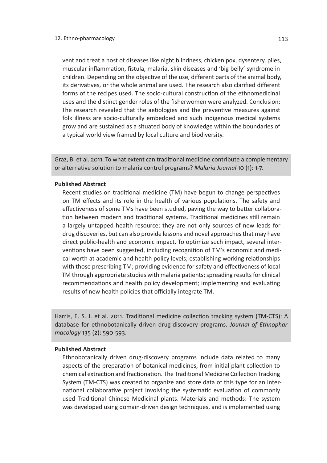vent and treat a host of diseases like night blindness, chicken pox, dysentery, piles, muscular inflammation, fistula, malaria, skin diseases and 'big belly' syndrome in children. Depending on the objective of the use, different parts of the animal body, its derivatives, or the whole animal are used. The research also clarified different forms of the recipes used. The socio-cultural construction of the ethnomedicinal uses and the distinct gender roles of the fisherwomen were analyzed. Conclusion: The research revealed that the aetiologies and the preventive measures against folk illness are socio-culturally embedded and such indigenous medical systems grow and are sustained as a situated body of knowledge within the boundaries of a typical world view framed by local culture and biodiversity.

Graz, B. et al. 2011. To what extent can traditional medicine contribute a complementary or alternative solution to malaria control programs? *Malaria Journal* 10 (1): 1-7.

# **Published Abstract**

Recent studies on traditional medicine (TM) have begun to change perspectives on TM effects and its role in the health of various populations. The safety and effectiveness of some TMs have been studied, paving the way to better collaboration between modern and traditional systems. Traditional medicines still remain a largely untapped health resource: they are not only sources of new leads for drug discoveries, but can also provide lessons and novel approaches that may have direct public-health and economic impact. To optimize such impact, several interventions have been suggested, including recognition of TM's economic and medical worth at academic and health policy levels; establishing working relationships with those prescribing TM; providing evidence for safety and effectiveness of local TM through appropriate studies with malaria patients; spreading results for clinical recommendations and health policy development; implementing and evaluating results of new health policies that officially integrate TM.

Harris, E. S. J. et al. 2011. Traditional medicine collection tracking system (TM-CTS): A database for ethnobotanically driven drug-discovery programs. *Journal of Ethnopharmacology* 135 (2): 590-593.

# **Published Abstract**

Ethnobotanically driven drug-discovery programs include data related to many aspects of the preparation of botanical medicines, from initial plant collection to chemical extraction and fractionation. The Traditional Medicine Collection Tracking System (TM-CTS) was created to organize and store data of this type for an international collaborative project involving the systematic evaluation of commonly used Traditional Chinese Medicinal plants. Materials and methods: The system was developed using domain-driven design techniques, and is implemented using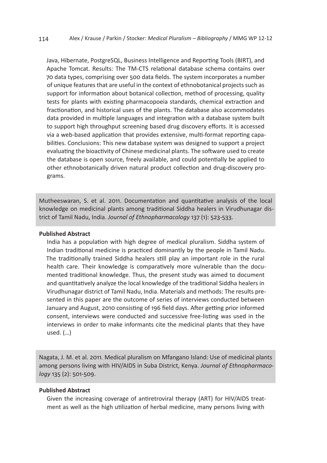Java, Hibernate, PostgreSQL, Business Intelligence and Reporting Tools (BIRT), and Apache Tomcat. Results: The TM-CTS relational database schema contains over 70 data types, comprising over 500 data fields. The system incorporates a number of unique features that are useful in the context of ethnobotanical projects such as support for information about botanical collection, method of processing, quality tests for plants with existing pharmacopoeia standards, chemical extraction and fractionation, and historical uses of the plants. The database also accommodates data provided in multiple languages and integration with a database system built to support high throughput screening based drug discovery efforts. It is accessed via a web-based application that provides extensive, multi-format reporting capabilities. Conclusions: This new database system was designed to support a project evaluating the bioactivity of Chinese medicinal plants. The software used to create the database is open source, freely available, and could potentially be applied to other ethnobotanically driven natural product collection and drug-discovery programs.

Mutheeswaran, S. et al. 2011. Documentation and quantitative analysis of the local knowledge on medicinal plants among traditional Siddha healers in Virudhunagar district of Tamil Nadu, India. *Journal of Ethnopharmacology* 137 (1): 523-533.

# **Published Abstract**

India has a population with high degree of medical pluralism. Siddha system of Indian traditional medicine is practiced dominantly by the people in Tamil Nadu. The traditionally trained Siddha healers still play an important role in the rural health care. Their knowledge is comparatively more vulnerable than the documented traditional knowledge. Thus, the present study was aimed to document and quantitatively analyze the local knowledge of the traditional Siddha healers in Virudhunagar district of Tamil Nadu, India. Materials and methods: The results presented in this paper are the outcome of series of interviews conducted between January and August, 2010 consisting of 196 field days. After getting prior informed consent, interviews were conducted and successive free-listing was used in the interviews in order to make informants cite the medicinal plants that they have used. (…)

Nagata, J. M. et al. 2011. Medical pluralism on Mfangano Island: Use of medicinal plants among persons living with HIV/AIDS in Suba District, Kenya. *Journal of Ethnopharmacology* 135 (2): 501-509.

## **Published Abstract**

Given the increasing coverage of antiretroviral therapy (ART) for HIV/AIDS treatment as well as the high utilization of herbal medicine, many persons living with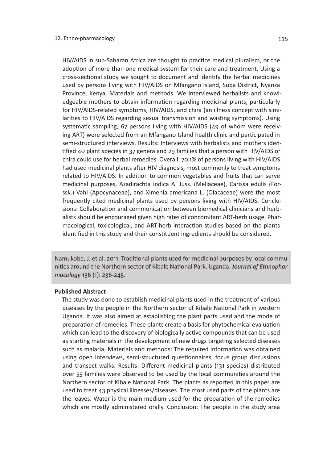HIV/AIDS in sub-Saharan Africa are thought to practice medical pluralism, or the adoption of more than one medical system for their care and treatment. Using a cross-sectional study we sought to document and identify the herbal medicines used by persons living with HIV/AIDS on Mfangano Island, Suba District, Nyanza Province, Kenya. Materials and methods: We interviewed herbalists and knowledgeable mothers to obtain information regarding medicinal plants, particularly for HIV/AIDS-related symptoms, HIV/AIDS, and chira (an illness concept with similarities to HIV/AIDS regarding sexual transmission and wasting symptoms). Using systematic sampling, 67 persons living with HIV/AIDS (49 of whom were receiving ART) were selected from an Mfangano Island health clinic and participated in semi-structured interviews. Results: Interviews with herbalists and mothers identified 40 plant species in 37 genera and 29 families that a person with HIV/AIDS or chira could use for herbal remedies. Overall, 70.1% of persons living with HIV/AIDS had used medicinal plants after HIV diagnosis, most commonly to treat symptoms related to HIV/AIDS. In addition to common vegetables and fruits that can serve medicinal purposes, Azadirachta indica A. Juss. (Meliaceae), Carissa edulis (Forssk.) Vahl (Apocynaceae), and Ximenia americana L. (Olacaceae) were the most frequently cited medicinal plants used by persons living with HIV/AIDS. Conclusions: Collaboration and communication between biomedical clinicians and herbalists should be encouraged given high rates of concomitant ART-herb usage. Pharmacological, toxicological, and ART-herb interaction studies based on the plants identified in this study and their constituent ingredients should be considered.

Namukobe, J. et al. 2011. Traditional plants used for medicinal purposes by local communities around the Northern sector of Kibale National Park, Uganda. *Journal of Ethnopharmacology* 136 (1): 236-245.

#### **Published Abstract**

The study was done to establish medicinal plants used in the treatment of various diseases by the people in the Northern sector of Kibale National Park in western Uganda. It was also aimed at establishing the plant parts used and the mode of preparation of remedies. These plants create a basis for phytochemical evaluation which can lead to the discovery of biologically active compounds that can be used as starting materials in the development of new drugs targeting selected diseases such as malaria. Materials and methods: The required information was obtained using open interviews, semi-structured questionnaires, focus group discussions and transect walks. Results: Different medicinal plants (131 species) distributed over 55 families were observed to be used by the local communities around the Northern sector of Kibale National Park. The plants as reported in this paper are used to treat 43 physical illnesses/diseases. The most used parts of the plants are the leaves. Water is the main medium used for the preparation of the remedies which are mostly administered orally. Conclusion: The people in the study area